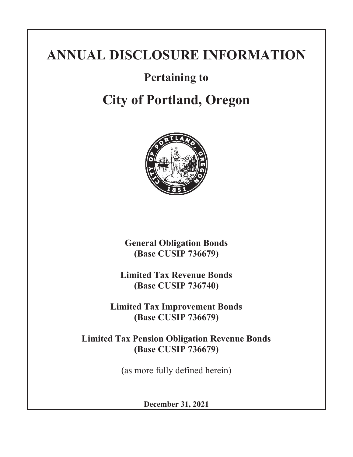## **ANNUAL DISCLOSURE INFORMATION**

## **Pertaining to**

# **City of Portland, Oregon**



**General Obligation Bonds (Base CUSIP 736679)** 

**Limited Tax Revenue Bonds (Base CUSIP 736740)** 

**Limited Tax Improvement Bonds (Base CUSIP 736679)** 

**Limited Tax Pension Obligation Revenue Bonds (Base CUSIP 736679)** 

(as more fully defined herein)

**December 31, 2021**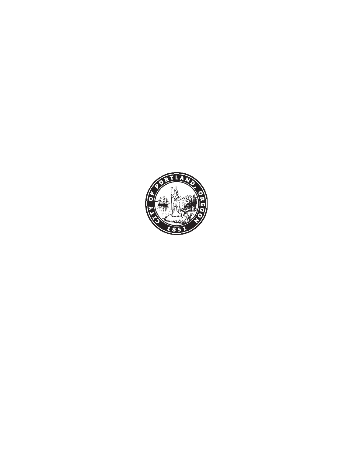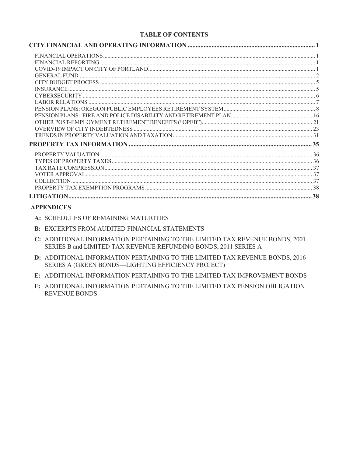## **TABLE OF CONTENTS**

## **APPENDICES**

- A: SCHEDULES OF REMAINING MATURITIES
- **B: EXCERPTS FROM AUDITED FINANCIAL STATEMENTS**
- C: ADDITIONAL INFORMATION PERTAINING TO THE LIMITED TAX REVENUE BONDS, 2001 SERIES B and LIMITED TAX REVENUE REFUNDING BONDS, 2011 SERIES A
- D: ADDITIONAL INFORMATION PERTAINING TO THE LIMITED TAX REVENUE BONDS, 2016 SERIES A (GREEN BONDS-LIGHTING EFFICIENCY PROJECT)
- E: ADDITIONAL INFORMATION PERTAINING TO THE LIMITED TAX IMPROVEMENT BONDS
- F: ADDITIONAL INFORMATION PERTAINING TO THE LIMITED TAX PENSION OBLIGATION **REVENUE BONDS**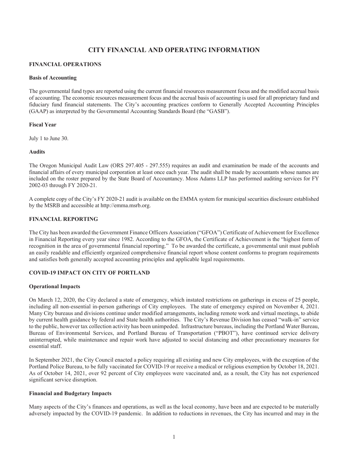### **CITY FINANCIAL AND OPERATING INFORMATION**

#### **FINANCIAL OPERATIONS**

#### **Basis of Accounting**

The governmental fund types are reported using the current financial resources measurement focus and the modified accrual basis of accounting. The economic resources measurement focus and the accrual basis of accounting is used for all proprietary fund and fiduciary fund financial statements. The City's accounting practices conform to Generally Accepted Accounting Principles (GAAP) as interpreted by the Governmental Accounting Standards Board (the "GASB").

#### **Fiscal Year**

July 1 to June 30.

#### **Audits**

The Oregon Municipal Audit Law (ORS 297.405 - 297.555) requires an audit and examination be made of the accounts and financial affairs of every municipal corporation at least once each year. The audit shall be made by accountants whose names are included on the roster prepared by the State Board of Accountancy. Moss Adams LLP has performed auditing services for FY 2002-03 through FY 2020-21.

A complete copy of the City's FY 2020-21 audit is available on the EMMA system for municipal securities disclosure established by the MSRB and accessible at http://emma.msrb.org.

#### **FINANCIAL REPORTING**

The City has been awarded the Government Finance Officers Association ("GFOA") Certificate of Achievement for Excellence in Financial Reporting every year since 1982. According to the GFOA, the Certificate of Achievement is the "highest form of recognition in the area of governmental financial reporting." To be awarded the certificate, a governmental unit must publish an easily readable and efficiently organized comprehensive financial report whose content conforms to program requirements and satisfies both generally accepted accounting principles and applicable legal requirements.

#### **COVID-19 IMPACT ON CITY OF PORTLAND**

#### **Operational Impacts**

On March 12, 2020, the City declared a state of emergency, which instated restrictions on gatherings in excess of 25 people, including all non-essential in-person gatherings of City employees. The state of emergency expired on November 4, 2021. Many City bureaus and divisions continue under modified arrangements, including remote work and virtual meetings, to abide by current health guidance by federal and State health authorities. The City's Revenue Division has ceased "walk-in" service to the public, however tax collection activity has been unimpeded. Infrastructure bureaus, including the Portland Water Bureau, Bureau of Environmental Services, and Portland Bureau of Transportation ("PBOT"), have continued service delivery uninterrupted, while maintenance and repair work have adjusted to social distancing and other precautionary measures for essential staff.

In September 2021, the City Council enacted a policy requiring all existing and new City employees, with the exception of the Portland Police Bureau, to be fully vaccinated for COVID-19 or receive a medical or religious exemption by October 18, 2021. As of October 14, 2021, over 92 percent of City employees were vaccinated and, as a result, the City has not experienced significant service disruption.

#### **Financial and Budgetary Impacts**

Many aspects of the City's finances and operations, as well as the local economy, have been and are expected to be materially adversely impacted by the COVID-19 pandemic. In addition to reductions in revenues, the City has incurred and may in the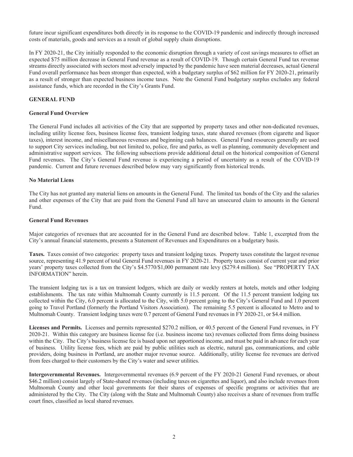future incur significant expenditures both directly in its response to the COVID-19 pandemic and indirectly through increased costs of materials, goods and services as a result of global supply chain disruptions.

In FY 2020-21, the City initially responded to the economic disruption through a variety of cost savings measures to offset an expected \$75 million decrease in General Fund revenue as a result of COVID-19. Though certain General Fund tax revenue streams directly associated with sectors most adversely impacted by the pandemic have seen material decreases, actual General Fund overall performance has been stronger than expected, with a budgetary surplus of \$62 million for FY 2020-21, primarily as a result of stronger than expected business income taxes. Note the General Fund budgetary surplus excludes any federal assistance funds, which are recorded in the City's Grants Fund.

#### **GENERAL FUND**

#### **General Fund Overview**

The General Fund includes all activities of the City that are supported by property taxes and other non-dedicated revenues, including utility license fees, business license fees, transient lodging taxes, state shared revenues (from cigarette and liquor taxes), interest income, and miscellaneous revenues and beginning cash balances. General Fund resources generally are used to support City services including, but not limited to, police, fire and parks, as well as planning, community development and administrative support services. The following subsections provide additional detail on the historical composition of General Fund revenues. The City's General Fund revenue is experiencing a period of uncertainty as a result of the COVID-19 pandemic. Current and future revenues described below may vary significantly from historical trends.

#### **No Material Liens**

The City has not granted any material liens on amounts in the General Fund. The limited tax bonds of the City and the salaries and other expenses of the City that are paid from the General Fund all have an unsecured claim to amounts in the General Fund.

#### **General Fund Revenues**

Major categories of revenues that are accounted for in the General Fund are described below. Table 1, excerpted from the City's annual financial statements, presents a Statement of Revenues and Expenditures on a budgetary basis.

**Taxes.** Taxes consist of two categories: property taxes and transient lodging taxes. Property taxes constitute the largest revenue source, representing 41.9 percent of total General Fund revenues in FY 2020-21. Property taxes consist of current year and prior years' property taxes collected from the City's \$4.5770/\$1,000 permanent rate levy (\$279.4 million). See "PROPERTY TAX INFORMATION" herein.

The transient lodging tax is a tax on transient lodgers, which are daily or weekly renters at hotels, motels and other lodging establishments. The tax rate within Multnomah County currently is 11.5 percent. Of the 11.5 percent transient lodging tax collected within the City, 6.0 percent is allocated to the City, with 5.0 percent going to the City's General Fund and 1.0 percent going to Travel Portland (formerly the Portland Visitors Association). The remaining 5.5 percent is allocated to Metro and to Multnomah County. Transient lodging taxes were 0.7 percent of General Fund revenues in FY 2020-21, or \$4.4 million.

**Licenses and Permits.** Licenses and permits represented \$270.2 million, or 40.5 percent of the General Fund revenues, in FY 2020-21. Within this category are business license fee (i.e. business income tax) revenues collected from firms doing business within the City. The City's business license fee is based upon net apportioned income, and must be paid in advance for each year of business. Utility license fees, which are paid by public utilities such as electric, natural gas, communications, and cable providers, doing business in Portland, are another major revenue source. Additionally, utility license fee revenues are derived from fees charged to their customers by the City's water and sewer utilities.

**Intergovernmental Revenues.** Intergovernmental revenues (6.9 percent of the FY 2020-21 General Fund revenues, or about \$46.2 million) consist largely of State-shared revenues (including taxes on cigarettes and liquor), and also include revenues from Multnomah County and other local governments for their shares of expenses of specific programs or activities that are administered by the City. The City (along with the State and Multnomah County) also receives a share of revenues from traffic court fines, classified as local shared revenues.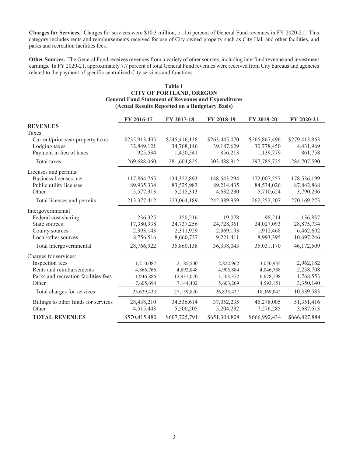**Charges for Services.** Charges for services were \$10.3 million, or 1.6 percent of General Fund revenues in FY 2020-21. This category includes rents and reimbursements received for use of City-owned property such as City Hall and other facilities, and parks and recreation facilities fees.

**Other Sources.** The General Fund receives revenues from a variety of other sources, including interfund revenue and investment earnings. In FY 2020-21, approximately 7.7 percent of total General Fund revenues were received from City bureaus and agencies related to the payment of specific centralized City services and functions.

#### **Table 1 CITY OF PORTLAND, OREGON General Fund Statement of Revenues and Expenditures (Actual Results Reported on a Budgetary Basis)**

|                                      | FY 2016-17    | FY 2017-18    | FY 2018-19    | FY 2019-20    | FY 2020-21    |
|--------------------------------------|---------------|---------------|---------------|---------------|---------------|
| <b>REVENUES</b>                      |               |               |               |               |               |
| Taxes                                |               |               |               |               |               |
| Current/prior year property taxes    | \$235,913,405 | \$245,416,138 | \$263,445,070 | \$265,867,496 | \$279,413,863 |
| Lodging taxes                        | 32,849,121    | 34,768,146    | 39,187,629    | 30,778,450    | 4,431,969     |
| Payment in lieu of taxes             | 925,534       | 1,420,541     | 856,213       | 1,139,779     | 861,758       |
| Total taxes                          | 269,688,060   | 281,604,825   | 303,488,912   | 297,785,725   | 284,707,590   |
| Licenses and permits:                |               |               |               |               |               |
| Business licenses, net               | 117,864,765   | 134,322,893   | 148,543,294   | 172,007,557   | 178,536,199   |
| Public utility licenses              | 89,935,334    | 83,525,983    | 89,214,435    | 84,534,026    | 87,842,868    |
| Other                                | 5,577,313     | 5,215,313     | 4,632,230     | 5,710,624     | 3,790,206     |
| Total licenses and permits           | 213,377,412   | 223,064,189   | 242,389,959   | 262, 252, 207 | 270,169,273   |
| Intergovernmental                    |               |               |               |               |               |
| Federal cost sharing                 | 236,325       | 150,216       | 19,078        | 98,214        | 136,837       |
| State sources                        | 17,380,938    | 24,737,256    | 24,728,361    | 24,027,093    | 28,875,734    |
| County sources                       | 2,393,143     | 2,311,929     | 2,369,193     | 1,912,468     | 6,462,692     |
| Local/other sources                  | 8,756,516     | 8,660,737     | 9,221,411     | 8,993,395     | 10,697,246    |
| Total intergovernmental              | 28,766,922    | 35,860,138    | 36,338,043    | 35,031,170    | 46,172,509    |
| Charges for services:                |               |               |               |               |               |
| Inspection fees                      | 1,210,087     | 2,185,500     | 2,822,962     | 3,050,935     | 2,962,182     |
| Rents and reimbursements             | 4,866,766     | 4,892,848     | 4,905,884     | 4,046,758     | 2,258,708     |
| Parks and recreation facilities fees | 11,946,886    | 12,937,070    | 13,503,372    | 6,678,198     | 1,768,553     |
| Other                                | 7,605,694     | 7,144,402     | 5,603,209     | 4,593,151     | 3,350,140     |
| Total charges for services           | 25,629,433    | 27,159,820    | 26,835,427    | 18,369,042    | 10,339,583    |
| Billings to other funds for services | 28,438,210    | 34,536,614    | 37,052,235    | 46,278,005    | 51,351,416    |
| Other                                | 4,515,443     | 5,500,205     | 5,204,232     | 7,276,285     | 3,687,513     |
| <b>TOTAL REVENUES</b>                | \$570,415,480 | \$607,725,791 | \$651,308,808 | \$666,992,434 | \$666,427,884 |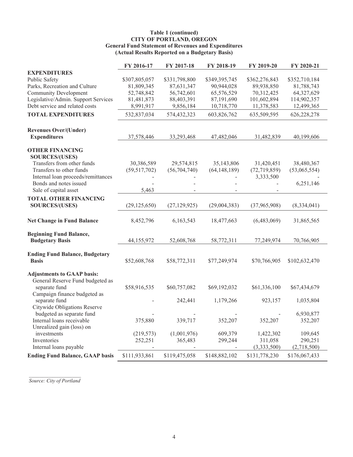#### **Table 1 (continued) CITY OF PORTLAND, OREGON General Fund Statement of Revenues and Expenditures (Actual Results Reported on a Budgetary Basis)**

|                                                                                        | FY 2016-17     | FY 2017-18     | FY 2018-19               | FY 2019-20     | FY 2020-21    |
|----------------------------------------------------------------------------------------|----------------|----------------|--------------------------|----------------|---------------|
| <b>EXPENDITURES</b>                                                                    |                |                |                          |                |               |
| Public Safety                                                                          | \$307,805,057  | \$331,798,800  | \$349,395,745            | \$362,276,843  | \$352,710,184 |
| Parks, Recreation and Culture                                                          | 81,809,345     | 87,631,347     | 90,944,028               | 89,938,850     | 81,788,743    |
| <b>Community Development</b>                                                           | 52,748,842     | 56,742,601     | 65,576,529               | 70,312,425     | 64,327,629    |
| Legislative/Admin. Support Services                                                    | 81,481,873     | 88,403,391     | 87,191,690               | 101,602,894    | 114,902,357   |
| Debt service and related costs                                                         | 8,991,917      | 9,856,184      | 10,718,770               | 11,378,583     | 12,499,365    |
| <b>TOTAL EXPENDITURES</b>                                                              | 532,837,034    | 574,432,323    | 603,826,762              | 635,509,595    | 626,228,278   |
| <b>Revenues Over/(Under)</b>                                                           |                |                |                          |                |               |
| <b>Expenditures</b>                                                                    | 37,578,446     | 33,293,468     | 47,482,046               | 31,482,839     | 40,199,606    |
| <b>OTHER FINANCING</b><br><b>SOURCES/(USES)</b>                                        |                |                |                          |                |               |
| Transfers from other funds                                                             | 30,386,589     | 29,574,815     | 35,143,806               | 31,420,451     | 38,480,367    |
| Transfers to other funds                                                               | (59, 517, 702) | (56, 704, 740) | (64, 148, 189)           | (72, 719, 859) | (53,065,554)  |
| Internal loan proceeds/remittances                                                     |                |                |                          | 3,333,500      |               |
| Bonds and notes issued                                                                 |                |                |                          |                | 6,251,146     |
| Sale of capital asset                                                                  | 5,463          |                |                          |                |               |
| <b>TOTAL OTHER FINANCING</b><br><b>SOURCES/(USES)</b>                                  | (29, 125, 650) | (27, 129, 925) | (29,004,383)             | (37,965,908)   | (8, 334, 041) |
| <b>Net Change in Fund Balance</b>                                                      | 8,452,796      | 6,163,543      | 18,477,663               | (6,483,069)    | 31,865,565    |
| <b>Beginning Fund Balance,</b>                                                         |                |                |                          |                |               |
| <b>Budgetary Basis</b>                                                                 | 44,155,972     | 52,608,768     | 58,772,311               | 77,249,974     | 70,766,905    |
| <b>Ending Fund Balance, Budgetary</b><br><b>Basis</b>                                  | \$52,608,768   | \$58,772,311   | \$77,249,974             | \$70,766,905   | \$102,632,470 |
| <b>Adjustments to GAAP basis:</b><br>General Reserve Fund budgeted as<br>separate fund | \$58,916,535   | \$60,757,082   | \$69,192,032             | \$61,336,100   | \$67,434,679  |
| Campaign finance budgeted as                                                           |                |                |                          |                |               |
| separate fund<br>Citywide Obligations Reserve                                          |                | 242,441        | 1,179,266                | 923,157        | 1,035,804     |
| budgeted as separate fund                                                              |                |                |                          |                | 6,930,877     |
| Internal loans receivable                                                              | 375,880        | 339,717        | 352,207                  | 352,207        | 352,207       |
| Unrealized gain (loss) on                                                              |                |                |                          |                |               |
| investments                                                                            | (219, 573)     | (1,001,976)    | 609,379                  | 1,422,302      | 109,645       |
| Inventories                                                                            | 252,251        | 365,483        | 299,244                  | 311,058        | 290,251       |
| Internal loans payable                                                                 |                |                | $\overline{\phantom{a}}$ | (3,333,500)    | (2,718,500)   |
| <b>Ending Fund Balance, GAAP basis</b>                                                 | \$111,933,861  | \$119,475,058  | \$148,882,102            | \$131,778,230  | \$176,067,433 |

*Source: City of Portland*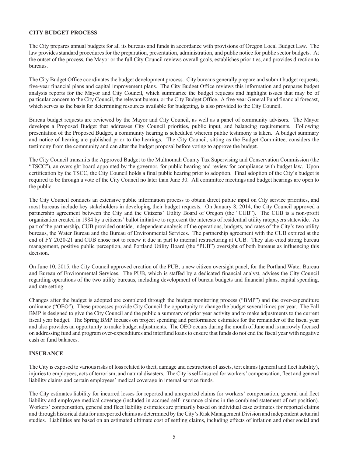#### **CITY BUDGET PROCESS**

The City prepares annual budgets for all its bureaus and funds in accordance with provisions of Oregon Local Budget Law. The law provides standard procedures for the preparation, presentation, administration, and public notice for public sector budgets. At the outset of the process, the Mayor or the full City Council reviews overall goals, establishes priorities, and provides direction to bureaus.

The City Budget Office coordinates the budget development process. City bureaus generally prepare and submit budget requests, five-year financial plans and capital improvement plans. The City Budget Office reviews this information and prepares budget analysis reports for the Mayor and City Council, which summarize the budget requests and highlight issues that may be of particular concern to the City Council, the relevant bureau, or the City Budget Office. A five-year General Fund financial forecast, which serves as the basis for determining resources available for budgeting, is also provided to the City Council.

Bureau budget requests are reviewed by the Mayor and City Council, as well as a panel of community advisors. The Mayor develops a Proposed Budget that addresses City Council priorities, public input, and balancing requirements. Following presentation of the Proposed Budget, a community hearing is scheduled wherein public testimony is taken. A budget summary and notice of hearing are published prior to the hearings. The City Council, sitting as the Budget Committee, considers the testimony from the community and can alter the budget proposal before voting to approve the budget.

The City Council transmits the Approved Budget to the Multnomah County Tax Supervising and Conservation Commission (the "TSCC"), an oversight board appointed by the governor, for public hearing and review for compliance with budget law. Upon certification by the TSCC, the City Council holds a final public hearing prior to adoption. Final adoption of the City's budget is required to be through a vote of the City Council no later than June 30. All committee meetings and budget hearings are open to the public.

The City Council conducts an extensive public information process to obtain direct public input on City service priorities, and most bureaus include key stakeholders in developing their budget requests. On January 8, 2014, the City Council approved a partnership agreement between the City and the Citizens' Utility Board of Oregon (the "CUB"). The CUB is a non-profit organization created in 1984 by a citizens' ballot initiative to represent the interests of residential utility ratepayers statewide. As part of the partnership, CUB provided outside, independent analysis of the operations, budgets, and rates of the City's two utility bureaus, the Water Bureau and the Bureau of Environmental Services. The partnership agreement with the CUB expired at the end of FY 2020-21 and CUB chose not to renew it due in part to internal restructuring at CUB. They also cited strong bureau management, positive public perception, and Portland Utility Board (the "PUB") oversight of both bureaus as influencing this decision.

On June 10, 2015, the City Council approved creation of the PUB, a new citizen oversight panel, for the Portland Water Bureau and Bureau of Environmental Services. The PUB, which is staffed by a dedicated financial analyst, advises the City Council regarding operations of the two utility bureaus, including development of bureau budgets and financial plans, capital spending, and rate setting.

Changes after the budget is adopted are completed through the budget monitoring process ("BMP") and the over-expenditure ordinance ("OEO"). These processes provide City Council the opportunity to change the budget several times per year. The Fall BMP is designed to give the City Council and the public a summary of prior year activity and to make adjustments to the current fiscal year budget. The Spring BMP focuses on project spending and performance estimates for the remainder of the fiscal year and also provides an opportunity to make budget adjustments. The OEO occurs during the month of June and is narrowly focused on addressing fund and program over-expenditures and interfund loans to ensure that funds do not end the fiscal year with negative cash or fund balances.

#### **INSURANCE**

The City is exposed to various risks of loss related to theft, damage and destruction of assets, tort claims (general and fleet liability), injuries to employees, acts of terrorism, and natural disasters. The City is self-insured for workers' compensation, fleet and general liability claims and certain employees' medical coverage in internal service funds.

The City estimates liability for incurred losses for reported and unreported claims for workers' compensation, general and fleet liability and employee medical coverage (included in accrued self-insurance claims in the combined statement of net position). Workers' compensation, general and fleet liability estimates are primarily based on individual case estimates for reported claims and through historical data for unreported claims as determined by the City's Risk Management Division and independent actuarial studies. Liabilities are based on an estimated ultimate cost of settling claims, including effects of inflation and other social and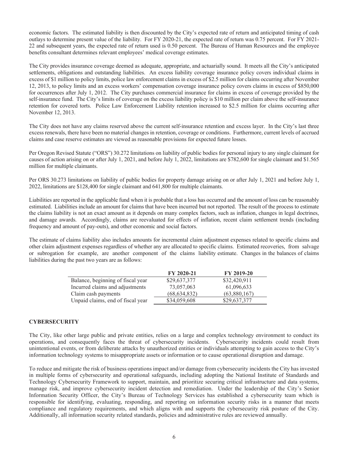economic factors. The estimated liability is then discounted by the City's expected rate of return and anticipated timing of cash outlays to determine present value of the liability. For FY 2020-21, the expected rate of return was 0.75 percent. For FY 2021- 22 and subsequent years, the expected rate of return used is 0.50 percent. The Bureau of Human Resources and the employee benefits consultant determines relevant employees' medical coverage estimates.

The City provides insurance coverage deemed as adequate, appropriate, and actuarially sound. It meets all the City's anticipated settlements, obligations and outstanding liabilities. An excess liability coverage insurance policy covers individual claims in excess of \$1 million to policy limits, police law enforcement claims in excess of \$2.5 million for claims occurring after November 12, 2013, to policy limits and an excess workers' compensation coverage insurance policy covers claims in excess of \$850,000 for occurrences after July 1, 2012. The City purchases commercial insurance for claims in excess of coverage provided by the self-insurance fund. The City's limits of coverage on the excess liability policy is \$10 million per claim above the self-insurance retention for covered torts. Police Law Enforcement Liability retention increased to \$2.5 million for claims occurring after November 12, 2013.

The City does not have any claims reserved above the current self-insurance retention and excess layer. In the City's last three excess renewals, there have been no material changes in retention, coverage or conditions. Furthermore, current levels of accrued claims and case reserve estimates are viewed as reasonable provisions for expected future losses.

Per Oregon Revised Statute ("ORS") 30.272 limitations on liability of public bodies for personal injury to any single claimant for causes of action arising on or after July 1, 2021, and before July 1, 2022, limitations are \$782,600 for single claimant and \$1.565 million for multiple claimants.

Per ORS 30.273 limitations on liability of public bodies for property damage arising on or after July 1, 2021 and before July 1, 2022, limitations are \$128,400 for single claimant and 641,800 for multiple claimants.

Liabilities are reported in the applicable fund when it is probable that a loss has occurred and the amount of loss can be reasonably estimated. Liabilities include an amount for claims that have been incurred but not reported. The result of the process to estimate the claims liability is not an exact amount as it depends on many complex factors, such as inflation, changes in legal doctrines, and damage awards. Accordingly, claims are reevaluated for effects of inflation, recent claim settlement trends (including frequency and amount of pay-outs), and other economic and social factors.

The estimate of claims liability also includes amounts for incremental claim adjustment expenses related to specific claims and other claim adjustment expenses regardless of whether any are allocated to specific claims. Estimated recoveries, from salvage or subrogation for example, are another component of the claims liability estimate. Changes in the balances of claims liabilities during the past two years are as follows:

|                                   | FY 2020-21     | FY 2019-20   |
|-----------------------------------|----------------|--------------|
| Balance, beginning of fiscal year | \$29,637,377   | \$32,420,911 |
| Incurred claims and adjustments   | 73,057,063     | 61,096,633   |
| Claim cash payments               | (68, 634, 832) | (63,880,167) |
| Unpaid claims, end of fiscal year | \$34,059,608   | \$29,637,377 |

#### **CYBERSECURITY**

The City, like other large public and private entities, relies on a large and complex technology environment to conduct its operations, and consequently faces the threat of cybersecurity incidents. Cybersecurity incidents could result from unintentional events, or from deliberate attacks by unauthorized entities or individuals attempting to gain access to the City's information technology systems to misappropriate assets or information or to cause operational disruption and damage.

To reduce and mitigate the risk of business operations impact and/or damage from cybersecurity incidents the City has invested in multiple forms of cybersecurity and operational safeguards, including adopting the National Institute of Standards and Technology Cybersecurity Framework to support, maintain, and prioritize securing critical infrastructure and data systems, manage risk, and improve cybersecurity incident detection and remediation. Under the leadership of the City's Senior Information Security Officer, the City's Bureau of Technology Services has established a cybersecurity team which is responsible for identifying, evaluating, responding, and reporting on information security risks in a manner that meets compliance and regulatory requirements, and which aligns with and supports the cybersecurity risk posture of the City. Additionally, all information security related standards, policies and administrative rules are reviewed annually.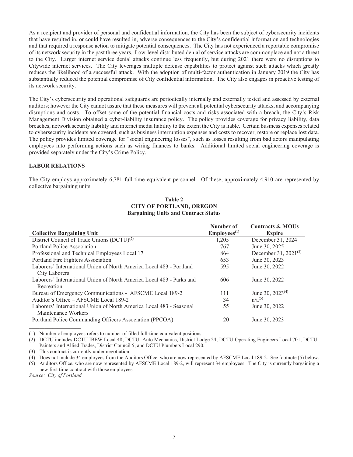As a recipient and provider of personal and confidential information, the City has been the subject of cybersecurity incidents that have resulted in, or could have resulted in, adverse consequences to the City's confidential information and technologies and that required a response action to mitigate potential consequences. The City has not experienced a reportable compromise of its network security in the past three years. Low-level distributed denial of service attacks are commonplace and not a threat to the City. Larger internet service denial attacks continue less frequently, but during 2021 there were no disruptions to Citywide internet services. The City leverages multiple defense capabilities to protect against such attacks which greatly reduces the likelihood of a successful attack. With the adoption of multi-factor authentication in January 2019 the City has substantially reduced the potential compromise of City confidential information. The City also engages in proactive testing of its network security.

The City's cybersecurity and operational safeguards are periodically internally and externally tested and assessed by external auditors; however the City cannot assure that these measures will prevent all potential cybersecurity attacks, and accompanying disruptions and costs. To offset some of the potential financial costs and risks associated with a breach, the City's Risk Management Division obtained a cyber-liability insurance policy. The policy provides coverage for privacy liability, data breaches, network security liability and internet media liability to the extent the City is liable. Certain business expenses related to cybersecurity incidents are covered, such as business interruption expenses and costs to recover, restore or replace lost data. The policy provides limited coverage for "social engineering losses", such as losses resulting from bad actors manipulating employees into performing actions such as wiring finances to banks. Additional limited social engineering coverage is provided separately under the City's Crime Policy.

#### **LABOR RELATIONS**

The City employs approximately 6,781 full-time equivalent personnel. Of these, approximately 4,910 are represented by collective bargaining units.

| Table 2                                     |
|---------------------------------------------|
| <b>CITY OF PORTLAND, OREGON</b>             |
| <b>Bargaining Units and Contract Status</b> |

|                                                                      | Number of                | <b>Contracts &amp; MOUs</b>  |
|----------------------------------------------------------------------|--------------------------|------------------------------|
| <b>Collective Bargaining Unit</b>                                    | Emplovees <sup>(1)</sup> | <b>Expire</b>                |
| District Council of Trade Unions (DCTU) <sup>(2)</sup>               | 1,205                    | December 31, 2024            |
| Portland Police Association                                          | 767                      | June 30, 2025                |
| Professional and Technical Employees Local 17                        | 864                      | December 31, 2021 $(3)$      |
| Portland Fire Fighters Association                                   | 653                      | June 30, 2023                |
| Laborers' International Union of North America Local 483 - Portland  | 595                      | June 30, 2022                |
| City Laborers                                                        |                          |                              |
| Laborers' International Union of North America Local 483 - Parks and | 606                      | June 30, 2022                |
| Recreation                                                           |                          |                              |
| Bureau of Emergency Communications - AFSCME Local 189-2              | 111                      | June 30, 2023 <sup>(4)</sup> |
| Auditor's Office – AFSCME Local 189-2                                | 34                       | $n/a^{(5)}$                  |
| Laborers' International Union of North America Local 483 - Seasonal  | 55                       | June 30, 2022                |
| Maintenance Workers                                                  |                          |                              |
| Portland Police Commanding Officers Association (PPCOA)              | 20                       | June 30, 2023                |

(1) Number of employees refers to number of filled full-time equivalent positions.

(2) DCTU includes DCTU IBEW Local 48; DCTU- Auto Mechanics, District Lodge 24; DCTU-Operating Engineers Local 701; DCTU-Painters and Allied Trades, District Council 5; and DCTU Plumbers Local 290.

(3) This contract is currently under negotiation.

(4) Does not include 34 employees from the Auditors Office, who are now represented by AFSCME Local 189-2. See footnote (5) below.

(5) Auditors Office, who are now represented by AFSCME Local 189-2, will represent 34 employees. The City is currently bargaining a new first time contract with those employees.

*Source: City of Portland*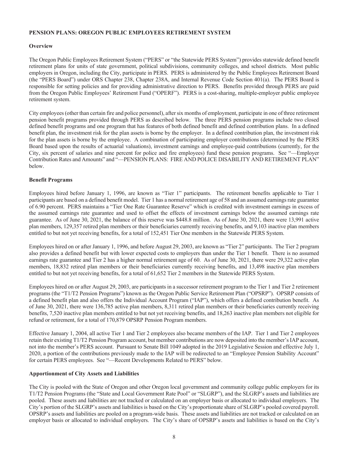#### **PENSION PLANS: OREGON PUBLIC EMPLOYEES RETIREMENT SYSTEM**

#### **Overview**

The Oregon Public Employees Retirement System ("PERS" or "the Statewide PERS System") provides statewide defined benefit retirement plans for units of state government, political subdivisions, community colleges, and school districts. Most public employers in Oregon, including the City, participate in PERS. PERS is administered by the Public Employees Retirement Board (the "PERS Board") under ORS Chapter 238, Chapter 238A, and Internal Revenue Code Section 401(a). The PERS Board is responsible for setting policies and for providing administrative direction to PERS. Benefits provided through PERS are paid from the Oregon Public Employees' Retirement Fund ("OPERF"). PERS is a cost-sharing, multiple-employer public employee retirement system.

City employees (other than certain fire and police personnel), after six months of employment, participate in one of three retirement pension benefit programs provided through PERS as described below. The three PERS pension programs include two closed defined benefit programs and one program that has features of both defined benefit and defined contribution plans. In a defined benefit plan, the investment risk for the plan assets is borne by the employer. In a defined contribution plan, the investment risk for the plan assets is borne by the employee. A combination of participating employer contributions (determined by the PERS Board based upon the results of actuarial valuations), investment earnings and employee-paid contributions (currently, for the City, six percent of salaries and nine percent for police and fire employees) fund these pension programs. See "—Employer Contribution Rates and Amounts" and "—PENSION PLANS: FIRE AND POLICE DISABILITY AND RETIREMENT PLAN" below.

#### **Benefit Programs**

Employees hired before January 1, 1996, are known as "Tier 1" participants. The retirement benefits applicable to Tier 1 participants are based on a defined benefit model. Tier 1 has a normal retirement age of 58 and an assumed earnings rate guarantee of 6.90 percent. PERS maintains a "Tier One Rate Guarantee Reserve" which is credited with investment earnings in excess of the assumed earnings rate guarantee and used to offset the effects of investment earnings below the assumed earnings rate guarantee. As of June 30, 2021, the balance of this reserve was \$448.8 million. As of June 30, 2021, there were 13,991 active plan members, 129,357 retired plan members or their beneficiaries currently receiving benefits, and 9,103 inactive plan members entitled to but not yet receiving benefits, for a total of 152,451 Tier One members in the Statewide PERS System.

Employees hired on or after January 1, 1996, and before August 29, 2003, are known as "Tier 2" participants. The Tier 2 program also provides a defined benefit but with lower expected costs to employers than under the Tier 1 benefit. There is no assumed earnings rate guarantee and Tier 2 has a higher normal retirement age of 60. As of June 30, 2021, there were 29,322 active plan members, 18,832 retired plan members or their beneficiaries currently receiving benefits, and 13,498 inactive plan members entitled to but not yet receiving benefits, for a total of 61,652 Tier 2 members in the Statewide PERS System.

Employees hired on or after August 29, 2003, are participants in a successor retirement program to the Tier 1 and Tier 2 retirement programs (the "T1/T2 Pension Programs") known as the Oregon Public Service Retirement Plan ("OPSRP"). OPSRP consists of a defined benefit plan and also offers the Individual Account Program ("IAP"), which offers a defined contribution benefit. As of June 30, 2021, there were 136,785 active plan members, 8,311 retired plan members or their beneficiaries currently receiving benefits, 7,520 inactive plan members entitled to but not yet receiving benefits, and 18,263 inactive plan members not eligible for refund or retirement, for a total of 170,879 OPSRP Pension Program members.

Effective January 1, 2004, all active Tier 1 and Tier 2 employees also became members of the IAP. Tier 1 and Tier 2 employees retain their existing T1/T2 Pension Program account, but member contributions are now deposited into the member's IAP account, not into the member's PERS account. Pursuant to Senate Bill 1049 adopted in the 2019 Legislative Session and effective July 1, 2020, a portion of the contributions previously made to the IAP will be redirected to an "Employee Pension Stability Account" for certain PERS employees. See "—Recent Developments Related to PERS" below.

#### **Apportionment of City Assets and Liabilities**

The City is pooled with the State of Oregon and other Oregon local government and community college public employers for its T1/T2 Pension Programs (the "State and Local Government Rate Pool" or "SLGRP"), and the SLGRP's assets and liabilities are pooled. These assets and liabilities are not tracked or calculated on an employer basis or allocated to individual employers. The City's portion of the SLGRP's assets and liabilities is based on the City's proportionate share of SLGRP's pooled covered payroll. OPSRP's assets and liabilities are pooled on a program-wide basis. These assets and liabilities are not tracked or calculated on an employer basis or allocated to individual employers. The City's share of OPSRP's assets and liabilities is based on the City's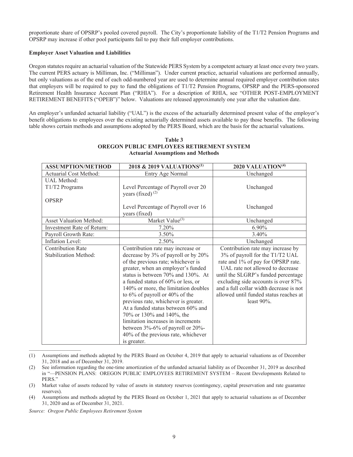proportionate share of OPSRP's pooled covered payroll. The City's proportionate liability of the T1/T2 Pension Programs and OPSRP may increase if other pool participants fail to pay their full employer contributions.

#### **Employer Asset Valuation and Liabilities**

Oregon statutes require an actuarial valuation of the Statewide PERS System by a competent actuary at least once every two years. The current PERS actuary is Milliman, Inc. ("Milliman"). Under current practice, actuarial valuations are performed annually, but only valuations as of the end of each odd-numbered year are used to determine annual required employer contribution rates that employers will be required to pay to fund the obligations of T1/T2 Pension Programs, OPSRP and the PERS-sponsored Retirement Health Insurance Account Plan ("RHIA"). For a description of RHIA, see "OTHER POST-EMPLOYMENT RETIREMENT BENEFITS ("OPEB")" below. Valuations are released approximately one year after the valuation date.

An employer's unfunded actuarial liability ("UAL") is the excess of the actuarially determined present value of the employer's benefit obligations to employees over the existing actuarially determined assets available to pay those benefits. The following table shows certain methods and assumptions adopted by the PERS Board, which are the basis for the actuarial valuations.

| <b>ASSUMPTION/METHOD</b>       | 2018 & 2019 VALUATIONS <sup>(1)</sup> | 2020 VALUATION(4)                       |
|--------------------------------|---------------------------------------|-----------------------------------------|
| Actuarial Cost Method:         | Entry Age Normal                      | Unchanged                               |
| <b>UAL</b> Method:             |                                       |                                         |
| T1/T2 Programs                 | Level Percentage of Payroll over 20   | Unchanged                               |
|                                | years (fixed) $^{(2)}$                |                                         |
| <b>OPSRP</b>                   |                                       |                                         |
|                                | Level Percentage of Payroll over 16   | Unchanged                               |
|                                | years (fixed)                         |                                         |
| <b>Asset Valuation Method:</b> | Market Value <sup>(3)</sup>           | Unchanged                               |
| Investment Rate of Return:     | 7.20%                                 | 6.90%                                   |
| Payroll Growth Rate:           | 3.50%                                 | 3.40%                                   |
| <b>Inflation Level:</b>        | $2.50\%$                              | Unchanged                               |
| <b>Contribution Rate</b>       | Contribution rate may increase or     | Contribution rate may increase by       |
| Stabilization Method:          | decrease by 3% of payroll or by 20%   | 3% of payroll for the T1/T2 UAL         |
|                                | of the previous rate; whichever is    | rate and 1% of pay for OPSRP rate.      |
|                                | greater, when an employer's funded    | UAL rate not allowed to decrease        |
|                                | status is between 70% and 130%. At    | until the SLGRP's funded percentage     |
|                                | a funded status of 60% or less, or    | excluding side accounts is over 87%     |
|                                | 140% or more, the limitation doubles  | and a full collar width decrease is not |
|                                | to 6% of payroll or 40% of the        | allowed until funded status reaches at  |
|                                | previous rate, whichever is greater.  | least $90\%$ .                          |
|                                | At a funded status between 60% and    |                                         |
|                                | 70% or 130% and 140%, the             |                                         |
|                                | limitation increases in increments    |                                         |
|                                | between 3%-6% of payroll or 20%-      |                                         |
|                                | 40% of the previous rate, whichever   |                                         |
|                                | is greater.                           |                                         |

#### **Table 3 OREGON PUBLIC EMPLOYEES RETIREMENT SYSTEM Actuarial Assumptions and Methods**

(1) Assumptions and methods adopted by the PERS Board on October 4, 2019 that apply to actuarial valuations as of December 31, 2018 and as of December 31, 2019.

*Source: Oregon Public Employees Retirement System*

<sup>(2)</sup> See information regarding the one-time amortization of the unfunded actuarial liability as of December 31, 2019 as described in "—PENSION PLANS: OREGON PUBLIC EMPLOYEES RETIREMENT SYSTEM – Recent Developments Related to PERS."

<sup>(3)</sup> Market value of assets reduced by value of assets in statutory reserves (contingency, capital preservation and rate guarantee reserves).

<sup>(4)</sup> Assumptions and methods adopted by the PERS Board on October 1, 2021 that apply to actuarial valuations as of December 31, 2020 and as of December 31, 2021.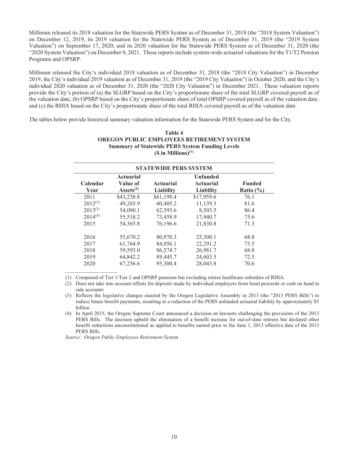Milliman released its 2018 valuation for the Statewide PERS System as of December 31, 2018 (the "2018 System Valuation") on December 12, 2019, its 2019 valuation for the Statewide PERS System as of December 31, 2019 (the "2019 System Valuation") on September 17, 2020, and its 2020 valuation for the Statewide PERS System as of December 31, 2020 (the "2020 System Valuation") on December 9, 2021. These reports include system-wide actuarial valuations for the T1/T2 Pension Programs and OPSRP.

Milliman released the City's individual 2018 valuation as of December 31, 2018 (the "2018 City Valuation") in December 2019, the City's individual 2019 valuation as of December 31, 2019 (the "2019 City Valuation") in October 2020, and the City's individual 2020 valuation as of December 31, 2020 (the "2020 City Valuation") in December 2021. These valuation reports provide the City's portion of (a) the SLGRP based on the City's proportionate share of the total SLGRP covered payroll as of the valuation date, (b) OPSRP based on the City's proportionate share of total OPSRP covered payroll as of the valuation date, and (c) the RHIA based on the City's proportionate share of the total RHIA covered payroll as of the valuation date.

The tables below provide historical summary valuation information for the Statewide PERS System and for the City.

| <b>STATEWIDE PERS SYSTEM</b> |                       |                  |                  |               |
|------------------------------|-----------------------|------------------|------------------|---------------|
|                              | <b>Actuarial</b>      |                  | <b>Unfunded</b>  |               |
| Calendar                     | Value of              | <b>Actuarial</b> | <b>Actuarial</b> | <b>Funded</b> |
| Year                         | $\text{Assets}^{(2)}$ | Liability        | Liability        | Ratio $(\% )$ |
| 2011                         | \$43,238.8            | \$61,198.4       | \$17,959.6       | 76.1          |
| $2012^{(3)}$                 | 49.265.9              | 60,405.2         | 11.139.3         | 81.6          |
| $2013^{(3)}$                 | 54,090.1              | 62,593.6         | 8,503.5          | 86.4          |
| $2014^{(4)}$                 | 55,518.2              | 73,458.9         | 17,940.7         | 75.6          |
| 2015                         | 54, 365.8             | 76,196.6         | 21,830.8         | 71.3          |
| 2016                         | 55,670.2              | 80,970.3         | 25,300.1         | 68.8          |
| 2017                         | 61,764.9              | 84,056.1         | 22,291.2         | 73.5          |
| 2018                         | 59,593.0              | 86,574.7         | 26.981.7         | 68.8          |
| 2019                         | 64,842.2              | 89,445.7         | 24,603.5         | 72.5          |
| 2020                         | 67,256.6              | 95,300.4         | 28,043.8         | 70.6          |

**Table 4 OREGON PUBLIC EMPLOYEES RETIREMENT SYSTEM Summary of Statewide PERS System Funding Levels (\$ in Millions)(1)** 

(1) Composed of Tier 1/Tier 2 and OPSRP pensions but excluding retiree healthcare subsidies of RHIA.

(2) Does not take into account offsets for deposits made by individual employers from bond proceeds or cash on hand in side accounts

(3) Reflects the legislative changes enacted by the Oregon Legislative Assembly in 2013 (the "2013 PERS Bills") to reduce future benefit payments, resulting in a reduction of the PERS unfunded actuarial liability by approximately \$5 billion.

(4) In April 2015, the Oregon Supreme Court announced a decision on lawsuits challenging the provisions of the 2013 PERS Bills. The decision upheld the elimination of a benefit increase for out-of-state retirees but declared other benefit reductions unconstitutional as applied to benefits earned prior to the June 1, 2013 effective date of the 2013 PERS Bills.

*Source: Oregon Public Employees Retirement System*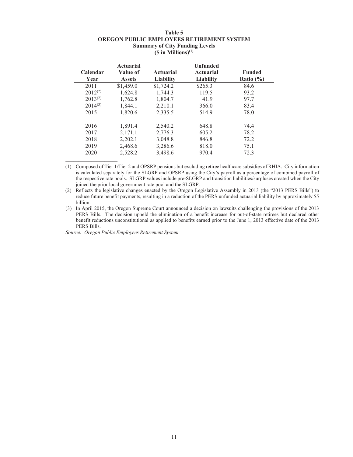| Table 5                                          |
|--------------------------------------------------|
| <b>OREGON PUBLIC EMPLOYEES RETIREMENT SYSTEM</b> |
| <b>Summary of City Funding Levels</b>            |
| $(S \in M$ illions) <sup>(1)</sup>               |

|              | <b>Actuarial</b> |                  | <b>Unfunded</b>  |               |  |
|--------------|------------------|------------------|------------------|---------------|--|
| Calendar     | Value of         | <b>Actuarial</b> | <b>Actuarial</b> | <b>Funded</b> |  |
| Year         | <b>Assets</b>    | Liability        | Liability        | Ratio $(\% )$ |  |
| 2011         | \$1,459.0        | \$1,724.2        | \$265.3          | 84.6          |  |
| $2012^{(2)}$ | 1,624.8          | 1,744.3          | 119.5            | 93.2          |  |
| $2013^{(2)}$ | 1,762.8          | 1,804.7          | 41.9             | 97.7          |  |
| $2014^{(3)}$ | 1,844.1          | 2.210.1          | 366.0            | 83.4          |  |
| 2015         | 1,820.6          | 2,335.5          | 514.9            | 78.0          |  |
|              |                  |                  |                  |               |  |
| 2016         | 1.891.4          | 2.540.2          | 648.8            | 74.4          |  |
| 2017         | 2,171.1          | 2,776.3          | 605.2            | 78.2          |  |
| 2018         | 2,202.1          | 3,048.8          | 846.8            | 72.2          |  |
| 2019         | 2.468.6          | 3,286.6          | 818.0            | 75.1          |  |
| 2020         | 2,528.2          | 3.498.6          | 970.4            | 72.3          |  |
|              |                  |                  |                  |               |  |

(1) Composed of Tier 1/Tier 2 and OPSRP pensions but excluding retiree healthcare subsidies of RHIA. City information is calculated separately for the SLGRP and OPSRP using the City's payroll as a percentage of combined payroll of the respective rate pools. SLGRP values include pre-SLGRP and transition liabilities/surpluses created when the City joined the prior local government rate pool and the SLGRP.

(2) Reflects the legislative changes enacted by the Oregon Legislative Assembly in 2013 (the "2013 PERS Bills") to reduce future benefit payments, resulting in a reduction of the PERS unfunded actuarial liability by approximately \$5 billion.

(3) In April 2015, the Oregon Supreme Court announced a decision on lawsuits challenging the provisions of the 2013 PERS Bills. The decision upheld the elimination of a benefit increase for out-of-state retirees but declared other benefit reductions unconstitutional as applied to benefits earned prior to the June 1, 2013 effective date of the 2013 PERS Bills.

*Source: Oregon Public Employees Retirement System*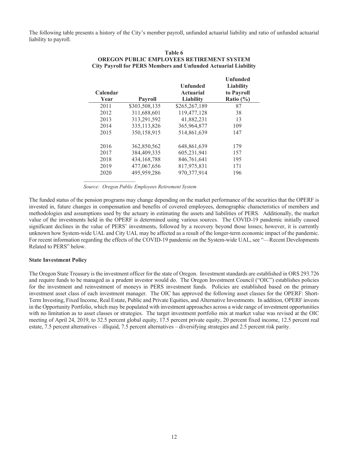The following table presents a history of the City's member payroll, unfunded actuarial liability and ratio of unfunded actuarial liability to payroll.

| Calendar<br>Year | Payroll       | Unfunded<br>Actuarial<br>Liability | Unfunded<br>Liability<br>to Payroll<br>Ratio $(\% )$ |
|------------------|---------------|------------------------------------|------------------------------------------------------|
| 2011             | \$303,508,135 | \$265,267,189                      | 87                                                   |
| 2012             | 311,688,601   | 119,477,128                        | 38                                                   |
| 2013             | 313.291.592   | 41.882.231                         | 13                                                   |
| 2014             | 335, 113, 826 | 365,964,877                        | 109                                                  |
| 2015             | 350,158,915   | 514,861,639                        | 147                                                  |
| 2016             | 362,850,562   | 648,861,639                        | 179                                                  |
| 2017             | 384,409,335   | 605,231,941                        | 157                                                  |
| 2018             | 434, 168, 788 | 846,761,641                        | 195                                                  |
| 2019             | 477,067,656   | 817,975,831                        | 171                                                  |
| 2020             | 495,959,286   | 970.377.914                        | 196                                                  |

#### **Table 6 OREGON PUBLIC EMPLOYEES RETIREMENT SYSTEM City Payroll for PERS Members and Unfunded Actuarial Liability**

*Source: Oregon Public Employees Retirement System* 

The funded status of the pension programs may change depending on the market performance of the securities that the OPERF is invested in, future changes in compensation and benefits of covered employees, demographic characteristics of members and methodologies and assumptions used by the actuary in estimating the assets and liabilities of PERS*.* Additionally, the market value of the investments held in the OPERF is determined using various sources. The COVID-19 pandemic initially caused significant declines in the value of PERS' investments, followed by a recovery beyond those losses; however, it is currently unknown how System-wide UAL and City UAL may be affected as a result of the longer-term economic impact of the pandemic. For recent information regarding the effects of the COVID-19 pandemic on the System-wide UAL, see "—Recent Developments Related to PERS" below.

#### **State Investment Policy**

The Oregon State Treasury is the investment officer for the state of Oregon. Investment standards are established in ORS 293.726 and require funds to be managed as a prudent investor would do. The Oregon Investment Council ("OIC") establishes policies for the investment and reinvestment of moneys in PERS investment funds. Policies are established based on the primary investment asset class of each investment manager. The OIC has approved the following asset classes for the OPERF: Short-Term Investing, Fixed Income, Real Estate, Public and Private Equities, and Alternative Investments. In addition, OPERF invests in the Opportunity Portfolio, which may be populated with investment approaches across a wide range of investment opportunities with no limitation as to asset classes or strategies. The target investment portfolio mix at market value was revised at the OIC meeting of April 24, 2019, to 32.5 percent global equity, 17.5 percent private equity, 20 percent fixed income, 12.5 percent real estate, 7.5 percent alternatives – illiquid, 7.5 percent alternatives – diversifying strategies and 2.5 percent risk parity.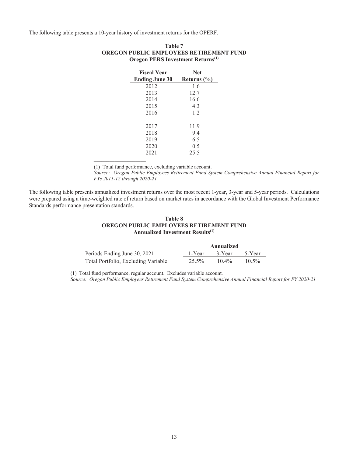The following table presents a 10-year history of investment returns for the OPERF.

| <b>Net</b>      |
|-----------------|
| Returns $(\% )$ |
| 1.6             |
| 12.7            |
| 16.6            |
| 4.3             |
| 1.2             |
| 11.9            |
| 9.4             |
| 6.5             |
| 0.5             |
| 25.5            |
|                 |

#### **Table 7 OREGON PUBLIC EMPLOYEES RETIREMENT FUND Oregon PERS Investment Returns(1)**

(1) Total fund performance, excluding variable account.

*Source: Oregon Public Employees Retirement Fund System Comprehensive Annual Financial Report for FYs 2011-12 through 2020-21*

The following table presents annualized investment returns over the most recent 1-year, 3-year and 5-year periods. Calculations were prepared using a time-weighted rate of return based on market rates in accordance with the Global Investment Performance Standards performance presentation standards.

#### **Table 8 OREGON PUBLIC EMPLOYEES RETIREMENT FUND Annualized Investment Results(1)**

|                                     |        | Annualized |          |
|-------------------------------------|--------|------------|----------|
| Periods Ending June 30, 2021        | 1-Year | 3-Year     | 5-Year   |
| Total Portfolio, Excluding Variable | 25.5%  | $10.4\%$   | $10.5\%$ |

(1) Total fund performance, regular account. Excludes variable account.

*Source: Oregon Public Employees Retirement Fund System Comprehensive Annual Financial Report for FY 2020-21*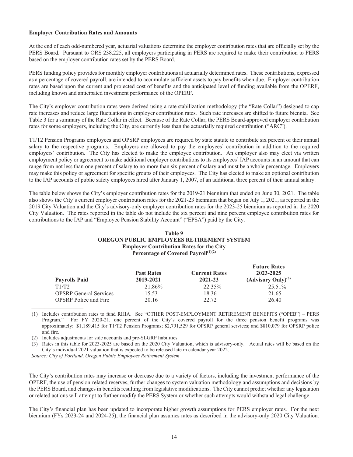#### **Employer Contribution Rates and Amounts**

At the end of each odd-numbered year, actuarial valuations determine the employer contribution rates that are officially set by the PERS Board. Pursuant to ORS 238.225, all employers participating in PERS are required to make their contribution to PERS based on the employer contribution rates set by the PERS Board.

PERS funding policy provides for monthly employer contributions at actuarially determined rates. These contributions, expressed as a percentage of covered payroll, are intended to accumulate sufficient assets to pay benefits when due. Employer contribution rates are based upon the current and projected cost of benefits and the anticipated level of funding available from the OPERF, including known and anticipated investment performance of the OPERF.

The City's employer contribution rates were derived using a rate stabilization methodology (the "Rate Collar") designed to cap rate increases and reduce large fluctuations in employer contribution rates. Such rate increases are shifted to future biennia. See Table 3 for a summary of the Rate Collar in effect. Because of the Rate Collar, the PERS Board-approved employer contribution rates for some employers, including the City, are currently less than the actuarially required contribution ("ARC").

T1/T2 Pension Programs employees and OPSRP employees are required by state statute to contribute six percent of their annual salary to the respective programs. Employers are allowed to pay the employees' contribution in addition to the required employers' contribution. The City has elected to make the employee contribution. An employer also may elect via written employment policy or agreement to make additional employer contributions to its employees' IAP accounts in an amount that can range from not less than one percent of salary to no more than six percent of salary and must be a whole percentage. Employers may make this policy or agreement for specific groups of their employees. The City has elected to make an optional contribution to the IAP accounts of public safety employees hired after January 1, 2007, of an additional three percent of their annual salary.

The table below shows the City's employer contribution rates for the 2019-21 biennium that ended on June 30, 2021. The table also shows the City's current employer contribution rates for the 2021-23 biennium that began on July 1, 2021, as reported in the 2019 City Valuation and the City's advisory-only employer contribution rates for the 2023-25 biennium as reported in the 2020 City Valuation. The rates reported in the table do not include the six percent and nine percent employee contribution rates for contributions to the IAP and "Employee Pension Stability Account" ("EPSA") paid by the City.

#### **Table 9 OREGON PUBLIC EMPLOYEES RETIREMENT SYSTEM Employer Contribution Rates for the City**  Percentage of Covered Payroll<sup>(1)(2)</sup>

| <b>Payrolls Paid</b>          | <b>Past Rates</b><br>2019-2021 | <b>Current Rates</b><br>$2021 - 23$ | <b>Future Rates</b><br>2023-2025<br>$(Advisory Only)^{(3)}$ |
|-------------------------------|--------------------------------|-------------------------------------|-------------------------------------------------------------|
| T1/T2                         | 21.86%                         | 22.35%                              | 25.51%                                                      |
| <b>OPSRP</b> General Services | 15.53                          | 18.36                               | 21.65                                                       |
| <b>OPSRP</b> Police and Fire  | 20.16                          | 22.72                               | 26.40                                                       |

(1) Includes contribution rates to fund RHIA. See "OTHER POST-EMPLOYMENT RETIREMENT BENEFITS ("OPEB") – PERS Program." For FY 2020-21, one percent of the City's covered payroll for the three pension benefit programs was approximately: \$1,189,415 for T1/T2 Pension Programs; \$2,791,529 for OPSRP general services; and \$810,079 for OPSRP police and fire.

(2) Includes adjustments for side accounts and pre-SLGRP liabilities.

(3) Rates in this table for 2023-2025 are based on the 2020 City Valuation, which is advisory-only. Actual rates will be based on the City's individual 2021 valuation that is expected to be released late in calendar year 2022.

*Source: City of Portland, Oregon Public Employees Retirement System* 

The City's contribution rates may increase or decrease due to a variety of factors, including the investment performance of the OPERF, the use of pension-related reserves, further changes to system valuation methodology and assumptions and decisions by the PERS Board, and changes in benefits resulting from legislative modifications. The City cannot predict whether any legislation or related actions will attempt to further modify the PERS System or whether such attempts would withstand legal challenge.

The City's financial plan has been updated to incorporate higher growth assumptions for PERS employer rates. For the next biennium (FYs 2023-24 and 2024-25), the financial plan assumes rates as described in the advisory-only 2020 City Valuation.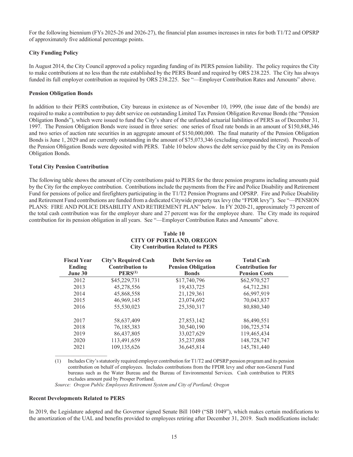For the following biennium (FYs 2025-26 and 2026-27), the financial plan assumes increases in rates for both T1/T2 and OPSRP of approximately five additional percentage points.

#### **City Funding Policy**

In August 2014, the City Council approved a policy regarding funding of its PERS pension liability. The policy requires the City to make contributions at no less than the rate established by the PERS Board and required by ORS 238.225. The City has always funded its full employer contribution as required by ORS 238.225. See "—Employer Contribution Rates and Amounts" above.

#### **Pension Obligation Bonds**

In addition to their PERS contribution, City bureaus in existence as of November 10, 1999, (the issue date of the bonds) are required to make a contribution to pay debt service on outstanding Limited Tax Pension Obligation Revenue Bonds (the "Pension Obligation Bonds"), which were issued to fund the City's share of the unfunded actuarial liabilities of PERS as of December 31, 1997. The Pension Obligation Bonds were issued in three series: one series of fixed rate bonds in an amount of \$150,848,346 and two series of auction rate securities in an aggregate amount of \$150,000,000. The final maturity of the Pension Obligation Bonds is June 1, 2029 and are currently outstanding in the amount of \$75,073,346 (excluding compounded interest). Proceeds of the Pension Obligation Bonds were deposited with PERS. Table 10 below shows the debt service paid by the City on its Pension Obligation Bonds.

#### **Total City Pension Contribution**

The following table shows the amount of City contributions paid to PERS for the three pension programs including amounts paid by the City for the employee contribution. Contributions include the payments from the Fire and Police Disability and Retirement Fund for pensions of police and firefighters participating in the T1/T2 Pension Programs and OPSRP. Fire and Police Disability and Retirement Fund contributions are funded from a dedicated Citywide property tax levy (the "FPDR levy"). See "—PENSION PLANS: FIRE AND POLICE DISABILITY AND RETIREMENT PLAN" below. In FY 2020-21, approximately 73 percent of the total cash contribution was for the employer share and 27 percent was for the employee share. The City made its required contribution for its pension obligation in all years. See "—Employer Contribution Rates and Amounts" above.

| <b>Fiscal Year</b><br>Ending<br>June 30 | <b>City's Required Cash</b><br><b>Contribution to</b><br>PERS <sup>(1)</sup> | <b>Debt Service on</b><br><b>Pension Obligation</b><br><b>Bonds</b> | <b>Total Cash</b><br><b>Contribution for</b><br><b>Pension Costs</b> |
|-----------------------------------------|------------------------------------------------------------------------------|---------------------------------------------------------------------|----------------------------------------------------------------------|
| 2012                                    | \$45,229,731                                                                 | \$17,740,796                                                        | \$62,970,527                                                         |
| 2013                                    | 45,278,556                                                                   | 19,433,725                                                          | 64,712,281                                                           |
| 2014                                    | 45,868,558                                                                   | 21,129,361                                                          | 66,997,919                                                           |
| 2015                                    | 46,969,145                                                                   | 23,074,692                                                          | 70,043,837                                                           |
| 2016                                    | 55,530,023                                                                   | 25,350,317                                                          | 80,880,340                                                           |
| 2017                                    | 58,637,409                                                                   | 27,853,142                                                          | 86,490,551                                                           |
| 2018                                    | 76.185.383                                                                   | 30,540,190                                                          | 106,725,574                                                          |
| 2019                                    | 86,437,805                                                                   | 33,027,629                                                          | 119,465,434                                                          |
| 2020                                    | 113,491,659                                                                  | 35,237,088                                                          | 148,728,747                                                          |
| 2021                                    | 109.135.626                                                                  | 36,645,814                                                          | 145,781,440                                                          |

#### **Table 10 CITY OF PORTLAND, OREGON City Contribution Related to PERS**

(1) Includes City's statutorily required employer contribution for T1/T2 and OPSRP pension program and its pension contribution on behalf of employees. Includes contributions from the FPDR levy and other non-General Fund bureaus such as the Water Bureau and the Bureau of Environmental Services. Cash contribution to PERS excludes amount paid by Prosper Portland.

*Source: Oregon Public Employees Retirement System and City of Portland; Oregon* 

#### **Recent Developments Related to PERS**

 $\mathcal{L}_\text{max}$ 

In 2019, the Legislature adopted and the Governor signed Senate Bill 1049 ("SB 1049"), which makes certain modifications to the amortization of the UAL and benefits provided to employees retiring after December 31, 2019. Such modifications include: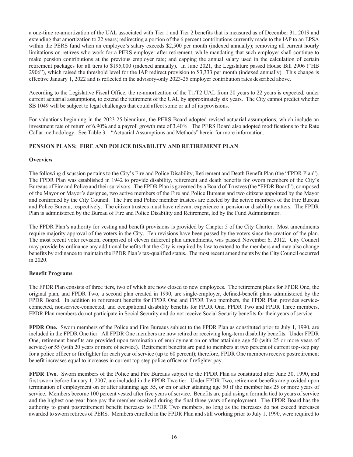a one-time re-amortization of the UAL associated with Tier 1 and Tier 2 benefits that is measured as of December 31, 2019 and extending that amortization to 22 years; redirecting a portion of the 6 percent contributions currently made to the IAP to an EPSA within the PERS fund when an employee's salary exceeds \$2,500 per month (indexed annually); removing all current hourly limitations on retirees who work for a PERS employer after retirement, while mandating that such employer shall continue to make pension contributions at the previous employer rate; and capping the annual salary used in the calculation of certain retirement packages for all tiers to \$195,000 (indexed annually). In June 2021, the Legislature passed House Bill 2906 ("HB 2906"), which raised the threshold level for the IAP redirect provision to \$3,333 per month (indexed annually). This change is effective January 1, 2022 and is reflected in the advisory-only 2023-25 employer contribution rates described above.

According to the Legislative Fiscal Office, the re-amortization of the T1/T2 UAL from 20 years to 22 years is expected, under current actuarial assumptions, to extend the retirement of the UAL by approximately six years. The City cannot predict whether SB 1049 will be subject to legal challenges that could affect some or all of its provisions.

For valuations beginning in the 2023-25 biennium, the PERS Board adopted revised actuarial assumptions, which include an investment rate of return of 6.90% and a payroll growth rate of 3.40%. The PERS Board also adopted modifications to the Rate Collar methodology. See Table 3 – "Actuarial Assumptions and Methods" herein for more information.

#### **PENSION PLANS: FIRE AND POLICE DISABILITY AND RETIREMENT PLAN**

#### **Overview**

The following discussion pertains to the City's Fire and Police Disability, Retirement and Death Benefit Plan (the "FPDR Plan"). The FPDR Plan was established in 1942 to provide disability, retirement and death benefits for sworn members of the City's Bureaus of Fire and Police and their survivors. The FPDR Plan is governed by a Board of Trustees (the "FPDR Board"), composed of the Mayor or Mayor's designee, two active members of the Fire and Police Bureaus and two citizens appointed by the Mayor and confirmed by the City Council. The Fire and Police member trustees are elected by the active members of the Fire Bureau and Police Bureau, respectively. The citizen trustees must have relevant experience in pension or disability matters. The FPDR Plan is administered by the Bureau of Fire and Police Disability and Retirement, led by the Fund Administrator.

The FPDR Plan's authority for vesting and benefit provisions is provided by Chapter 5 of the City Charter. Most amendments require majority approval of the voters in the City. Ten revisions have been passed by the voters since the creation of the plan. The most recent voter revision, comprised of eleven different plan amendments, was passed November 6, 2012. City Council may provide by ordinance any additional benefits that the City is required by law to extend to the members and may also change benefits by ordinance to maintain the FPDR Plan's tax-qualified status. The most recent amendments by the City Council occurred in 2020.

#### **Benefit Programs**

The FPDR Plan consists of three tiers, two of which are now closed to new employees. The retirement plans for FPDR One, the original plan, and FPDR Two, a second plan created in 1990, are single-employer, defined-benefit plans administered by the FPDR Board. In addition to retirement benefits for FPDR One and FPDR Two members, the FPDR Plan provides serviceconnected, nonservice-connected, and occupational disability benefits for FPDR One, FPDR Two and FPDR Three members. FPDR Plan members do not participate in Social Security and do not receive Social Security benefits for their years of service.

**FPDR One.** Sworn members of the Police and Fire Bureaus subject to the FPDR Plan as constituted prior to July 1, 1990, are included in the FPDR One tier. All FPDR One members are now retired or receiving long-term disability benefits. Under FPDR One, retirement benefits are provided upon termination of employment on or after attaining age 50 (with 25 or more years of service) or 55 (with 20 years or more of service). Retirement benefits are paid to members at two percent of current top-step pay for a police officer or firefighter for each year of service (up to 60 percent); therefore, FPDR One members receive postretirement benefit increases equal to increases in current top-step police officer or firefighter pay.

**FPDR Two.** Sworn members of the Police and Fire Bureaus subject to the FPDR Plan as constituted after June 30, 1990, and first sworn before January 1, 2007, are included in the FPDR Two tier. Under FPDR Two, retirement benefits are provided upon termination of employment on or after attaining age 55, or on or after attaining age 50 if the member has 25 or more years of service. Members become 100 percent vested after five years of service. Benefits are paid using a formula tied to years of service and the highest one-year base pay the member received during the final three years of employment. The FPDR Board has the authority to grant postretirement benefit increases to FPDR Two members, so long as the increases do not exceed increases awarded to sworn retirees of PERS. Members enrolled in the FPDR Plan and still working prior to July 1, 1990, were required to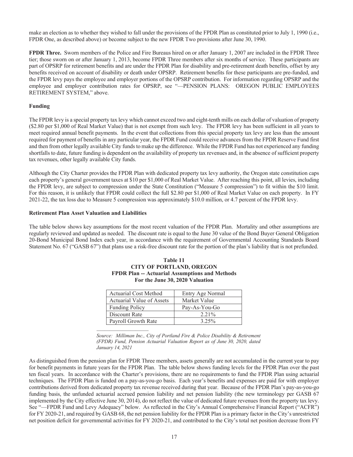make an election as to whether they wished to fall under the provisions of the FPDR Plan as constituted prior to July 1, 1990 (i.e., FPDR One, as described above) or become subject to the new FPDR Two provisions after June 30, 1990.

**FPDR Three.** Sworn members of the Police and Fire Bureaus hired on or after January 1, 2007 are included in the FPDR Three tier; those sworn on or after January 1, 2013, become FPDR Three members after six months of service. These participants are part of OPSRP for retirement benefits and are under the FPDR Plan for disability and pre-retirement death benefits, offset by any benefits received on account of disability or death under OPSRP. Retirement benefits for these participants are pre-funded, and the FPDR levy pays the employee and employer portions of the OPSRP contribution. For information regarding OPSRP and the employee and employer contribution rates for OPSRP, see "—PENSION PLANS: OREGON PUBLIC EMPLOYEES RETIREMENT SYSTEM," above.

#### **Funding**

The FPDR levy is a special property tax levy which cannot exceed two and eight-tenth mills on each dollar of valuation of property (\$2.80 per \$1,000 of Real Market Value) that is not exempt from such levy. The FPDR levy has been sufficient in all years to meet required annual benefit payments. In the event that collections from this special property tax levy are less than the amount required for payment of benefits in any particular year, the FPDR Fund could receive advances from the FPDR Reserve Fund first and then from other legally available City funds to make up the difference. While the FPDR Fund has not experienced any funding shortfalls to date, future funding is dependent on the availability of property tax revenues and, in the absence of sufficient property tax revenues, other legally available City funds.

Although the City Charter provides the FPDR Plan with dedicated property tax levy authority, the Oregon state constitution caps each property's general government taxes at \$10 per \$1,000 of Real Market Value. After reaching this point, all levies, including the FPDR levy, are subject to compression under the State Constitution ("Measure 5 compression") to fit within the \$10 limit. For this reason, it is unlikely that FPDR could collect the full \$2.80 per \$1,000 of Real Market Value on each property. In FY 2021-22, the tax loss due to Measure 5 compression was approximately \$10.0 million, or 4.7 percent of the FPDR levy.

#### **Retirement Plan Asset Valuation and Liabilities**

The table below shows key assumptions for the most recent valuation of the FPDR Plan. Mortality and other assumptions are regularly reviewed and updated as needed. The discount rate is equal to the June 30 value of the Bond Buyer General Obligation 20-Bond Municipal Bond Index each year, in accordance with the requirement of Governmental Accounting Standards Board Statement No. 67 ("GASB 67") that plans use a risk-free discount rate for the portion of the plan's liability that is not prefunded.

| Actuarial Cost Method     | Entry Age Normal |
|---------------------------|------------------|
| Actuarial Value of Assets | Market Value     |
| <b>Funding Policy</b>     | Pay-As-You-Go    |
| Discount Rate             | $2.21\%$         |
| Payroll Growth Rate       | 3.25%            |

| Table 11                                              |
|-------------------------------------------------------|
| <b>CITY OF PORTLAND, OREGON</b>                       |
| <b>FPDR Plan -- Actuarial Assumptions and Methods</b> |
| For the June 30, 2020 Valuation                       |

*Source: Milliman Inc., City of Portland Fire & Police Disability & Retirement (FPDR) Fund, Pension Actuarial Valuation Report as of June 30, 2020, dated January 14, 2021*

As distinguished from the pension plan for FPDR Three members, assets generally are not accumulated in the current year to pay for benefit payments in future years for the FPDR Plan. The table below shows funding levels for the FPDR Plan over the past ten fiscal years. In accordance with the Charter's provisions, there are no requirements to fund the FPDR Plan using actuarial techniques. The FPDR Plan is funded on a pay-as-you-go basis. Each year's benefits and expenses are paid for with employer contributions derived from dedicated property tax revenue received during that year. Because of the FPDR Plan's pay-as-you-go funding basis, the unfunded actuarial accrued pension liability and net pension liability (the new terminology per GASB 67 implemented by the City effective June 30, 2014), do not reflect the value of dedicated future revenues from the property tax levy. See "—FPDR Fund and Levy Adequacy" below. As reflected in the City's Annual Comprehensive Financial Report ("ACFR") for FY 2020-21, and required by GASB 68, the net pension liability for the FPDR Plan is a primary factor in the City's unrestricted net position deficit for governmental activities for FY 2020-21, and contributed to the City's total net position decrease from FY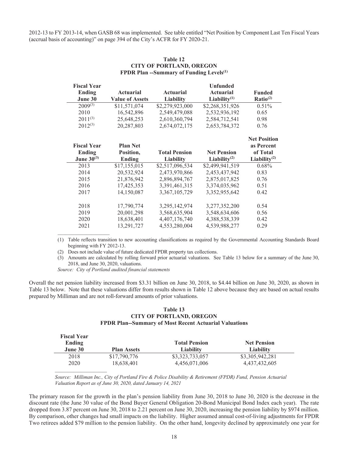2012-13 to FY 2013-14, when GASB 68 was implemented. See table entitled "Net Position by Component Last Ten Fiscal Years (accrual basis of accounting)" on page 394 of the City's ACFR for FY 2020-21.

| <b>Fiscal Year</b><br>Ending | <b>Actuarial</b>       | <b>Actuarial</b>     | <b>Unfunded</b><br><b>Actuarial</b> | <b>Funded</b>            |
|------------------------------|------------------------|----------------------|-------------------------------------|--------------------------|
| June 30                      | <b>Value of Assets</b> | Liability            | Liability $(1)$                     | Ratio <sup>(2)</sup>     |
| $2009^{(3)}$                 | \$11,571,074           | \$2,279,923,000      | \$2,268,351,926                     | 0.51%                    |
| 2010                         | 16,542,896             | 2,549,479,088        | 2,532,936,192                       | 0.65                     |
| $2011^{(3)}$                 | 25,648,253             | 2,610,360,794        | 2,584,712,541                       | 0.98                     |
| $2012^{(3)}$                 | 20,287,803             | 2,674,072,175        | 2,653,784,372                       | 0.76                     |
|                              |                        |                      |                                     | <b>Net Position</b>      |
| <b>Fiscal Year</b>           | <b>Plan Net</b>        |                      |                                     | as Percent               |
| Ending                       | Position,              | <b>Total Pension</b> | <b>Net Pension</b>                  | of Total                 |
| June $30^{(3)}$              | Ending                 | <b>Liability</b>     | Liability <sup>(2)</sup>            | Liability <sup>(2)</sup> |
| 2013                         | \$17,155,015           | \$2,517,096,534      | \$2,499,941,519                     | 0.68%                    |
| 2014                         | 20,532,924             | 2,473,970,866        | 2,453,437,942                       | 0.83                     |
| 2015                         | 21,876,942             | 2,896,894,767        | 2,875,017,825                       | 0.76                     |
| 2016                         | 17,425,353             | 3,391,461,315        | 3,374,035,962                       | 0.51                     |
| 2017                         | 14,150,087             | 3,367,105,729        | 3,352,955,642                       | 0.42                     |
| 2018                         | 17,790,774             | 3,295,142,974        | 3,277,352,200                       | 0.54                     |
| 2019                         | 20,001,298             | 3,568,635,904        | 3,548,634,606                       | 0.56                     |
| 2020                         | 18,638,401             | 4,407,176,740        | 4,388,538,339                       | 0.42                     |
| 2021                         | 13,291,727             | 4,553,280,004        | 4,539,988,277                       | 0.29                     |

#### **Table 12 CITY OF PORTLAND, OREGON FPDR Plan --Summary of Funding Levels(1)**

(1) Table reflects transition to new accounting classifications as required by the Governmental Accounting Standards Board beginning with FY 2012-13.

(2) Does not include value of future dedicated FPDR property tax collections.

(3) Amounts are calculated by rolling forward prior actuarial valuations. See Table 13 below for a summary of the June 30, 2018, and June 30, 2020, valuations.

*Source: City of Portland audited financial statements*

Overall the net pension liability increased from \$3.31 billion on June 30, 2018, to \$4.44 billion on June 30, 2020, as shown in Table 13 below. Note that these valuations differ from results shown in Table 12 above because they are based on actual results prepared by Milliman and are not roll-forward amounts of prior valuations.

#### **Table 13 CITY OF PORTLAND, OREGON FPDR Plan--Summary of Most Recent Actuarial Valuations**

| <b>Fiscal Year</b> |                    |                      |                    |
|--------------------|--------------------|----------------------|--------------------|
| Ending             |                    | <b>Total Pension</b> | <b>Net Pension</b> |
| June 30            | <b>Plan Assets</b> | Liability            | Liability          |
| 2018               | \$17,790,776       | \$3,323,733,057      | \$3,305,942,281    |
| 2020               | 18,638,401         | 4,456,071,006        | 4,437,432,605      |

*Source: Milliman Inc., City of Portland Fire & Police Disability & Retirement (FPDR) Fund, Pension Actuarial Valuation Report as of June 30, 2020, dated January 14, 2021*

The primary reason for the growth in the plan's pension liability from June 30, 2018 to June 30, 2020 is the decrease in the discount rate (the June 30 value of the Bond Buyer General Obligation 20-Bond Municipal Bond Index each year). The rate dropped from 3.87 percent on June 30, 2018 to 2.21 percent on June 30, 2020, increasing the pension liability by \$974 million. By comparison, other changes had small impacts on the liability. Higher assumed annual cost-of-living adjustments for FPDR Two retirees added \$79 million to the pension liability. On the other hand, longevity declined by approximately one year for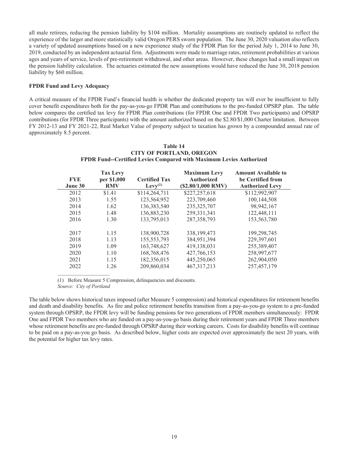all male retirees, reducing the pension liability by \$104 million. Mortality assumptions are routinely updated to reflect the experience of the larger and more statistically valid Oregon PERS sworn population. The June 30, 2020 valuation also reflects a variety of updated assumptions based on a new experience study of the FPDR Plan for the period July 1, 2014 to June 30, 2019, conducted by an independent actuarial firm. Adjustments were made to marriage rates, retirement probabilities at various ages and years of service, levels of pre-retirement withdrawal, and other areas. However, these changes had a small impact on the pension liability calculation. The actuaries estimated the new assumptions would have reduced the June 30, 2018 pension liability by \$60 million.

#### **FPDR Fund and Levy Adequacy**

A critical measure of the FPDR Fund's financial health is whether the dedicated property tax will ever be insufficient to fully cover benefit expenditures both for the pay-as-you-go FPDR Plan and contributions to the pre-funded OPSRP plan. The table below compares the certified tax levy for FPDR Plan contributions (for FPDR One and FPDR Two participants) and OPSRP contributions (for FPDR Three participants) with the amount authorized based on the \$2.80/\$1,000 Charter limitation. Between FY 2012-13 and FY 2021-22, Real Market Value of property subject to taxation has grown by a compounded annual rate of approximately 8.5 percent.

| <b>FYE</b><br>June 30 | <b>Tax Levy</b><br>per \$1,000<br><b>RMV</b> | <b>Certified Tax</b><br>Levy <sup>(1)</sup> | <b>Maximum Levy</b><br><b>Authorized</b><br>$(S2.80/1,000$ RMV) | <b>Amount Available to</b><br>be Certified from<br><b>Authorized Levy</b> |
|-----------------------|----------------------------------------------|---------------------------------------------|-----------------------------------------------------------------|---------------------------------------------------------------------------|
| 2012                  | \$1.41                                       | \$114,264,711                               | \$227,257,618                                                   | \$112,992,907                                                             |
| 2013                  | 1.55                                         | 123,564,952                                 | 223,709,460                                                     | 100,144,508                                                               |
| 2014                  | 1.62                                         | 136, 383, 540                               | 235, 325, 707                                                   | 98,942,167                                                                |
| 2015                  | 1.48                                         | 136,883,230                                 | 259,331,341                                                     | 122,448,111                                                               |
| 2016                  | 1.30                                         | 133,795,013                                 | 287, 358, 793                                                   | 153,563,780                                                               |
| 2017                  | 1.15                                         | 138,900,728                                 | 338, 199, 473                                                   | 199,298,745                                                               |
| 2018                  | 1.13                                         | 155, 553, 793                               | 384,951,394                                                     | 229,397,601                                                               |
| 2019                  | 1.09                                         | 163,748,627                                 | 419,138,031                                                     | 255,389,407                                                               |
| 2020                  | 1.10                                         | 168,768,476                                 | 427,766,153                                                     | 258,997,677                                                               |
| 2021                  | 1.15                                         | 182,356,015                                 | 445,250,065                                                     | 262,904,050                                                               |
| 2022                  | 1.26                                         | 209,860,034                                 | 467, 317, 213                                                   | 257, 457, 179                                                             |

**Table 14 CITY OF PORTLAND, OREGON FPDR Fund--Certified Levies Compared with Maximum Levies Authorized** 

(1) Before Measure 5 Compression, delinquencies and discounts.

*Source: City of Portland* 

The table below shows historical taxes imposed (after Measure 5 compression) and historical expenditures for retirement benefits and death and disability benefits. As fire and police retirement benefits transition from a pay-as-you-go system to a pre-funded system through OPSRP, the FPDR levy will be funding pensions for two generations of FPDR members simultaneously: FPDR One and FPDR Two members who are funded on a pay-as-you-go basis during their retirement years and FPDR Three members whose retirement benefits are pre-funded through OPSRP during their working careers. Costs for disability benefits will continue to be paid on a pay-as-you go basis. As described below, higher costs are expected over approximately the next 20 years, with the potential for higher tax levy rates.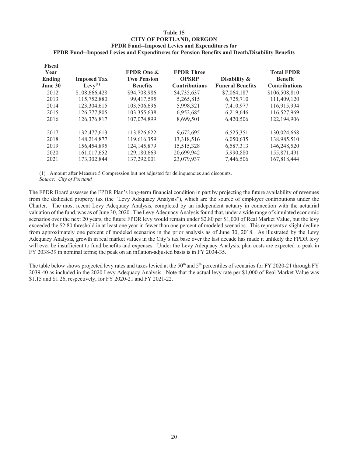#### **Table 15 CITY OF PORTLAND, OREGON FPDR Fund--Imposed Levies and Expenditures for FPDR Fund--Imposed Levies and Expenditures for Pension Benefits and Death/Disability Benefits**

| <b>Fiscal</b><br>Year |                                    | <b>FPDR</b> One &                     | <b>FPDR</b> Three                    |                                            | <b>Total FPDR</b>                      |
|-----------------------|------------------------------------|---------------------------------------|--------------------------------------|--------------------------------------------|----------------------------------------|
| Ending<br>June 30     | <b>Imposed Tax</b><br>$Levv^{(1)}$ | <b>Two Pension</b><br><b>Benefits</b> | <b>OPSRP</b><br><b>Contributions</b> | Disability $\&$<br><b>Funeral Benefits</b> | <b>Benefit</b><br><b>Contributions</b> |
| 2012                  | \$108,666,428                      | \$94,708,986                          | \$4,735,637                          | \$7,064,187                                | \$106,508,810                          |
| 2013                  | 115,752,880                        | 99,417,595                            | 5,265,815                            | 6.725.710                                  | 111,409,120                            |
| 2014                  | 123,304,615                        | 103,506,696                           | 5,998,321                            | 7.410.977                                  | 116,915,994                            |
| 2015                  | 126,777,805                        | 103.355.638                           | 6,952,685                            | 6,219,646                                  | 116,527,969                            |
| 2016                  | 126,376,817                        | 107,074,899                           | 8.699.501                            | 6.420.506                                  | 122,194,906                            |
| 2017                  | 132,477,613                        | 113,826,622                           | 9,672,695                            | 6,525,351                                  | 130,024,668                            |
| 2018                  | 148,214,877                        | 119,616,359                           | 13,318,516                           | 6,050,635                                  | 138,985,510                            |
| 2019                  | 156,454,895                        | 124, 145, 879                         | 15,515,328                           | 6,587,313                                  | 146,248,520                            |
| 2020                  | 161,017,652                        | 129,180,669                           | 20,699,942                           | 5,990,880                                  | 155,871,491                            |
| 2021                  | 173,302,844                        | 137,292,001                           | 23,079,937                           | 7,446,506                                  | 167,818,444                            |
|                       |                                    |                                       |                                      |                                            |                                        |

(1) Amount after Measure 5 Compression but not adjusted for delinquencies and discounts. *Source: City of Portland* 

The FPDR Board assesses the FPDR Plan's long-term financial condition in part by projecting the future availability of revenues from the dedicated property tax (the "Levy Adequacy Analysis"), which are the source of employer contributions under the Charter. The most recent Levy Adequacy Analysis, completed by an independent actuary in connection with the actuarial valuation of the fund, was as of June 30, 2020. The Levy Adequacy Analysis found that, under a wide range of simulated economic scenarios over the next 20 years, the future FPDR levy would remain under \$2.80 per \$1,000 of Real Market Value, but the levy exceeded the \$2.80 threshold in at least one year in fewer than one percent of modeled scenarios. This represents a slight decline from approximately one percent of modeled scenarios in the prior analysis as of June 30, 2018. As illustrated by the Levy Adequacy Analysis, growth in real market values in the City's tax base over the last decade has made it unlikely the FPDR levy will ever be insufficient to fund benefits and expenses. Under the Levy Adequacy Analysis, plan costs are expected to peak in FY 2038-39 in nominal terms; the peak on an inflation-adjusted basis is in FY 2034-35.

The table below shows projected levy rates and taxes levied at the 50<sup>th</sup> and 5<sup>th</sup> percentiles of scenarios for FY 2020-21 through FY 2039-40 as included in the 2020 Levy Adequacy Analysis. Note that the actual levy rate per \$1,000 of Real Market Value was \$1.15 and \$1.26, respectively, for FY 2020-21 and FY 2021-22.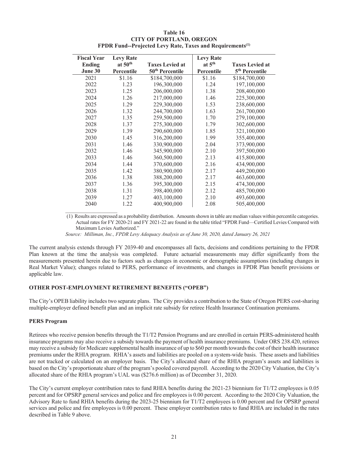| <b>Fiscal Year</b> | <b>Levy Rate</b>    |                             | <b>Levy Rate</b>   |                            |
|--------------------|---------------------|-----------------------------|--------------------|----------------------------|
| <b>Ending</b>      | at 50 <sup>th</sup> | <b>Taxes Levied at</b>      | at 5 <sup>th</sup> | <b>Taxes Levied at</b>     |
| June 30            | Percentile          | 50 <sup>th</sup> Percentile | Percentile         | 5 <sup>th</sup> Percentile |
| 2021               | \$1.16              | \$184,700,000               | \$1.16             | \$184,700,000              |
| 2022               | 1.23                | 196,300,000                 | 1.24               | 197,100,000                |
| 2023               | 1.25                | 206,000,000                 | 1.38               | 208,400,000                |
| 2024               | 1.26                | 217,000,000                 | 1.46               | 225,300,000                |
| 2025               | 1.29                | 229,300,000                 | 1.53               | 238,600,000                |
| 2026               | 1.32                | 244,700,000                 | 1.63               | 261,700,000                |
| 2027               | 1.35                | 259,500,000                 | 1.70               | 279,100,000                |
| 2028               | 1.37                | 275,300,000                 | 1.79               | 302,600,000                |
| 2029               | 1.39                | 290,600,000                 | 1.85               | 321,100,000                |
| 2030               | 1.45                | 316,200,000                 | 1.99               | 355,400,000                |
| 2031               | 1.46                | 330,900,000                 | 2.04               | 373,900,000                |
| 2032               | 1.46                | 345,900,000                 | 2.10               | 397,500,000                |
| 2033               | 1.46                | 360,500,000                 | 2.13               | 415,800,000                |
| 2034               | 1.44                | 370,600,000                 | 2.16               | 434,900,000                |
| 2035               | 1.42                | 380,900,000                 | 2.17               | 449,200,000                |
| 2036               | 1.38                | 388,200,000                 | 2.17               | 463,600,000                |
| 2037               | 1.36                | 395,300,000                 | 2.15               | 474,300,000                |
| 2038               | 1.31                | 398,400,000                 | 2.12               | 485,700,000                |
| 2039               | 1.27                | 403,100,000                 | 2.10               | 493,600,000                |
| 2040               | 1.22                | 400,900,000                 | 2.08               | 505,400,000                |

#### **Table 16 CITY OF PORTLAND, OREGON FPDR Fund--Projected Levy Rate, Taxes and Requirements(1)**

 (1) Results are expressed as a probability distribution. Amounts shown in table are median values within percentile categories. Actual rates for FY 2020-21 and FY 2021-22 are found in the table titled "FPDR Fund—Certified Levies Compared with Maximum Levies Authorized."

*Source: Milliman, Inc., FPDR Levy Adequacy Analysis as of June 30, 2020, dated January 26, 2021*

The current analysis extends through FY 2039-40 and encompasses all facts, decisions and conditions pertaining to the FPDR Plan known at the time the analysis was completed. Future actuarial measurements may differ significantly from the measurements presented herein due to factors such as changes in economic or demographic assumptions (including changes in Real Market Value); changes related to PERS, performance of investments, and changes in FPDR Plan benefit provisions or applicable law.

#### **OTHER POST-EMPLOYMENT RETIREMENT BENEFITS ("OPEB")**

The City's OPEB liability includes two separate plans. The City provides a contribution to the State of Oregon PERS cost-sharing multiple-employer defined benefit plan and an implicit rate subsidy for retiree Health Insurance Continuation premiums.

#### **PERS Program**

Retirees who receive pension benefits through the T1/T2 Pension Programs and are enrolled in certain PERS-administered health insurance programs may also receive a subsidy towards the payment of health insurance premiums. Under ORS 238.420, retirees may receive a subsidy for Medicare supplemental health insurance of up to \$60 per month towards the cost of their health insurance premiums under the RHIA program. RHIA's assets and liabilities are pooled on a system-wide basis. These assets and liabilities are not tracked or calculated on an employer basis. The City's allocated share of the RHIA program's assets and liabilities is based on the City's proportionate share of the program's pooled covered payroll. According to the 2020 City Valuation, the City's allocated share of the RHIA program's UAL was (\$276.6 million) as of December 31, 2020.

The City's current employer contribution rates to fund RHIA benefits during the 2021-23 biennium for T1/T2 employees is 0.05 percent and for OPSRP general services and police and fire employees is 0.00 percent. According to the 2020 City Valuation, the Advisory Rate to fund RHIA benefits during the 2023-25 biennium for T1/T2 employees is 0.00 percent and for OPSRP general services and police and fire employees is 0.00 percent. These employer contribution rates to fund RHIA are included in the rates described in Table 9 above.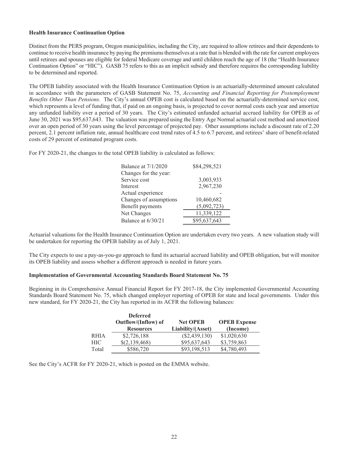#### **Health Insurance Continuation Option**

Distinct from the PERS program, Oregon municipalities, including the City, are required to allow retirees and their dependents to continue to receive health insurance by paying the premiums themselves at a rate that is blended with the rate for current employees until retirees and spouses are eligible for federal Medicare coverage and until children reach the age of 18 (the "Health Insurance Continuation Option" or "HIC"). GASB 75 refers to this as an implicit subsidy and therefore requires the corresponding liability to be determined and reported.

The OPEB liability associated with the Health Insurance Continuation Option is an actuarially-determined amount calculated in accordance with the parameters of GASB Statement No. 75, *Accounting and Financial Reporting for Postemployment Benefits Other Than Pensions*. The City's annual OPEB cost is calculated based on the actuarially-determined service cost, which represents a level of funding that, if paid on an ongoing basis, is projected to cover normal costs each year and amortize any unfunded liability over a period of 30 years. The City's estimated unfunded actuarial accrued liability for OPEB as of June 30, 2021 was \$95,637,643. The valuation was prepared using the Entry Age Normal actuarial cost method and amortized over an open period of 30 years using the level percentage of projected pay. Other assumptions include a discount rate of 2.20 percent, 2.1 percent inflation rate, annual healthcare cost trend rates of 4.5 to 6.7 percent, and retirees' share of benefit-related costs of 29 percent of estimated program costs.

For FY 2020-21, the changes to the total OPEB liability is calculated as follows:

| <b>Balance at 7/1/2020</b> | \$84,298,521 |
|----------------------------|--------------|
| Changes for the year:      |              |
| Service cost               | 3,003,933    |
| Interest                   | 2,967,230    |
| Actual experience          |              |
| Changes of assumptions     | 10,460,682   |
| Benefit payments           | (5,092,723)  |
| Net Changes                | 11,339,122   |
| Balance at 6/30/21         | \$95,637,643 |

Actuarial valuations for the Health Insurance Continuation Option are undertaken every two years. A new valuation study will be undertaken for reporting the OPEB liability as of July 1, 2021.

The City expects to use a pay-as-you-go approach to fund its actuarial accrued liability and OPEB obligation, but will monitor its OPEB liability and assess whether a different approach is needed in future years.

#### **Implementation of Governmental Accounting Standards Board Statement No. 75**

Beginning in its Comprehensive Annual Financial Report for FY 2017-18, the City implemented Governmental Accounting Standards Board Statement No. 75, which changed employer reporting of OPEB for state and local governments. Under this new standard, for FY 2020-21, the City has reported in its ACFR the following balances:

|       | <b>Deferred</b><br>Outflow/(Inflow) of<br><b>Resources</b> | <b>Net OPEB</b><br>Liability/(Asset) | <b>OPEB</b> Expense<br>(Income) |
|-------|------------------------------------------------------------|--------------------------------------|---------------------------------|
| RHIA  | \$2,726,188                                                | $(\$2,439,130)$                      | \$1,020,630                     |
| HІC   | \$(2,139,468)                                              | \$95,637,643                         | \$3,759,863                     |
| Total | \$586,720                                                  | \$93,198,513                         | \$4,780,493                     |

See the City's ACFR for FY 2020-21, which is posted on the EMMA website.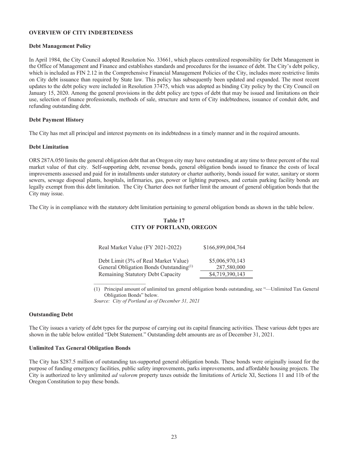#### **OVERVIEW OF CITY INDEBTEDNESS**

#### **Debt Management Policy**

In April 1984, the City Council adopted Resolution No. 33661, which places centralized responsibility for Debt Management in the Office of Management and Finance and establishes standards and procedures for the issuance of debt. The City's debt policy, which is included as FIN 2.12 in the Comprehensive Financial Management Policies of the City, includes more restrictive limits on City debt issuance than required by State law. This policy has subsequently been updated and expanded. The most recent updates to the debt policy were included in Resolution 37475, which was adopted as binding City policy by the City Council on January 15, 2020. Among the general provisions in the debt policy are types of debt that may be issued and limitations on their use, selection of finance professionals, methods of sale, structure and term of City indebtedness, issuance of conduit debt, and refunding outstanding debt.

#### **Debt Payment History**

The City has met all principal and interest payments on its indebtedness in a timely manner and in the required amounts.

#### **Debt Limitation**

ORS 287A.050 limits the general obligation debt that an Oregon city may have outstanding at any time to three percent of the real market value of that city. Self-supporting debt, revenue bonds, general obligation bonds issued to finance the costs of local improvements assessed and paid for in installments under statutory or charter authority, bonds issued for water, sanitary or storm sewers, sewage disposal plants, hospitals, infirmaries, gas, power or lighting purposes, and certain parking facility bonds are legally exempt from this debt limitation. The City Charter does not further limit the amount of general obligation bonds that the City may issue.

The City is in compliance with the statutory debt limitation pertaining to general obligation bonds as shown in the table below.

#### **Table 17 CITY OF PORTLAND, OREGON**

| Real Market Value (FY 2021-2022)                                                            | \$166,899,004,764              |
|---------------------------------------------------------------------------------------------|--------------------------------|
| Debt Limit (3% of Real Market Value)<br>General Obligation Bonds Outstanding <sup>(1)</sup> | \$5,006,970,143<br>287,580,000 |
| Remaining Statutory Debt Capacity                                                           | \$4,719,390,143                |

(1) Principal amount of unlimited tax general obligation bonds outstanding, see "—Unlimited Tax General Obligation Bonds" below.

*Source: City of Portland as of December 31, 2021* 

 $\mathcal{L}_\text{max}$ 

#### **Outstanding Debt**

The City issues a variety of debt types for the purpose of carrying out its capital financing activities. These various debt types are shown in the table below entitled "Debt Statement." Outstanding debt amounts are as of December 31, 2021.

#### **Unlimited Tax General Obligation Bonds**

The City has \$287.5 million of outstanding tax-supported general obligation bonds. These bonds were originally issued for the purpose of funding emergency facilities, public safety improvements, parks improvements, and affordable housing projects. The City is authorized to levy unlimited *ad valorem* property taxes outside the limitations of Article XI, Sections 11 and 11b of the Oregon Constitution to pay these bonds.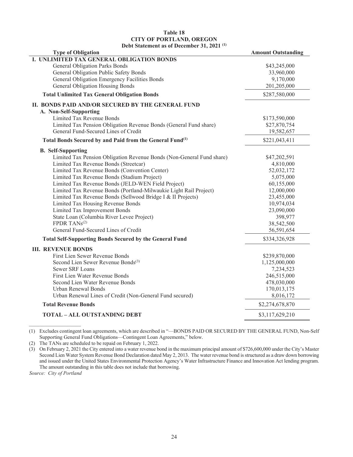#### **Table 18 CITY OF PORTLAND, OREGON Debt Statement as of December 31, 2021 (1)**

| General Obligation Parks Bonds<br>\$43,245,000<br>General Obligation Public Safety Bonds<br>33,960,000<br>General Obligation Emergency Facilities Bonds<br>9,170,000<br>General Obligation Housing Bonds<br>201,205,000<br>\$287,580,000<br><b>Total Unlimited Tax General Obligation Bonds</b><br>II. BONDS PAID AND/OR SECURED BY THE GENERAL FUND<br>A. Non-Self-Supporting<br>Limited Tax Revenue Bonds<br>\$173,590,000<br>Limited Tax Pension Obligation Revenue Bonds (General Fund share)<br>\$27,870,754<br>General Fund-Secured Lines of Credit<br>19,582,657<br>Total Bonds Secured by and Paid from the General Fund <sup>(1)</sup><br>\$221,043,411<br><b>B.</b> Self-Supporting<br>Limited Tax Pension Obligation Revenue Bonds (Non-General Fund share)<br>\$47,202,591<br>Limited Tax Revenue Bonds (Streetcar)<br>4,810,000<br>Limited Tax Revenue Bonds (Convention Center)<br>52,032,172<br>Limited Tax Revenue Bonds (Stadium Project)<br>5,075,000<br>Limited Tax Revenue Bonds (JELD-WEN Field Project)<br>60,155,000<br>12,000,000<br>Limited Tax Revenue Bonds (Portland-Milwaukie Light Rail Project)<br>Limited Tax Revenue Bonds (Sellwood Bridge I & II Projects)<br>23,455,000<br>10,974,034<br>Limited Tax Housing Revenue Bonds<br>23,090,000<br>Limited Tax Improvement Bonds<br>398,977<br>State Loan (Columbia River Levee Project)<br>FPDR TANs <sup>(2)</sup><br>38,542,500<br>General Fund-Secured Lines of Credit<br>56,591,654<br>\$334,326,928<br><b>Total Self-Supporting Bonds Secured by the General Fund</b><br><b>III. REVENUE BONDS</b><br>First Lien Sewer Revenue Bonds<br>\$239,870,000<br>Second Lien Sewer Revenue Bonds <sup>(3)</sup><br>1,125,000,000<br><b>Sewer SRF Loans</b><br>7,234,523<br>First Lien Water Revenue Bonds<br>246,515,000<br>Second Lien Water Revenue Bonds<br>478,030,000<br>Urban Renewal Bonds<br>170,013,175<br>Urban Renewal Lines of Credit (Non-General Fund secured)<br>8,016,172<br>\$2,274,678,870<br><b>Total Revenue Bonds</b><br><b>TOTAL - ALL OUTSTANDING DEBT</b><br>\$3,117,629,210 | <b>Type of Obligation</b>                 | <b>Amount Outstanding</b> |
|---------------------------------------------------------------------------------------------------------------------------------------------------------------------------------------------------------------------------------------------------------------------------------------------------------------------------------------------------------------------------------------------------------------------------------------------------------------------------------------------------------------------------------------------------------------------------------------------------------------------------------------------------------------------------------------------------------------------------------------------------------------------------------------------------------------------------------------------------------------------------------------------------------------------------------------------------------------------------------------------------------------------------------------------------------------------------------------------------------------------------------------------------------------------------------------------------------------------------------------------------------------------------------------------------------------------------------------------------------------------------------------------------------------------------------------------------------------------------------------------------------------------------------------------------------------------------------------------------------------------------------------------------------------------------------------------------------------------------------------------------------------------------------------------------------------------------------------------------------------------------------------------------------------------------------------------------------------------------------------------------------------------------------------------------------------------------------|-------------------------------------------|---------------------------|
|                                                                                                                                                                                                                                                                                                                                                                                                                                                                                                                                                                                                                                                                                                                                                                                                                                                                                                                                                                                                                                                                                                                                                                                                                                                                                                                                                                                                                                                                                                                                                                                                                                                                                                                                                                                                                                                                                                                                                                                                                                                                                 | I. UNLIMITED TAX GENERAL OBLIGATION BONDS |                           |
|                                                                                                                                                                                                                                                                                                                                                                                                                                                                                                                                                                                                                                                                                                                                                                                                                                                                                                                                                                                                                                                                                                                                                                                                                                                                                                                                                                                                                                                                                                                                                                                                                                                                                                                                                                                                                                                                                                                                                                                                                                                                                 |                                           |                           |
|                                                                                                                                                                                                                                                                                                                                                                                                                                                                                                                                                                                                                                                                                                                                                                                                                                                                                                                                                                                                                                                                                                                                                                                                                                                                                                                                                                                                                                                                                                                                                                                                                                                                                                                                                                                                                                                                                                                                                                                                                                                                                 |                                           |                           |
|                                                                                                                                                                                                                                                                                                                                                                                                                                                                                                                                                                                                                                                                                                                                                                                                                                                                                                                                                                                                                                                                                                                                                                                                                                                                                                                                                                                                                                                                                                                                                                                                                                                                                                                                                                                                                                                                                                                                                                                                                                                                                 |                                           |                           |
|                                                                                                                                                                                                                                                                                                                                                                                                                                                                                                                                                                                                                                                                                                                                                                                                                                                                                                                                                                                                                                                                                                                                                                                                                                                                                                                                                                                                                                                                                                                                                                                                                                                                                                                                                                                                                                                                                                                                                                                                                                                                                 |                                           |                           |
|                                                                                                                                                                                                                                                                                                                                                                                                                                                                                                                                                                                                                                                                                                                                                                                                                                                                                                                                                                                                                                                                                                                                                                                                                                                                                                                                                                                                                                                                                                                                                                                                                                                                                                                                                                                                                                                                                                                                                                                                                                                                                 |                                           |                           |
|                                                                                                                                                                                                                                                                                                                                                                                                                                                                                                                                                                                                                                                                                                                                                                                                                                                                                                                                                                                                                                                                                                                                                                                                                                                                                                                                                                                                                                                                                                                                                                                                                                                                                                                                                                                                                                                                                                                                                                                                                                                                                 |                                           |                           |
|                                                                                                                                                                                                                                                                                                                                                                                                                                                                                                                                                                                                                                                                                                                                                                                                                                                                                                                                                                                                                                                                                                                                                                                                                                                                                                                                                                                                                                                                                                                                                                                                                                                                                                                                                                                                                                                                                                                                                                                                                                                                                 |                                           |                           |
|                                                                                                                                                                                                                                                                                                                                                                                                                                                                                                                                                                                                                                                                                                                                                                                                                                                                                                                                                                                                                                                                                                                                                                                                                                                                                                                                                                                                                                                                                                                                                                                                                                                                                                                                                                                                                                                                                                                                                                                                                                                                                 |                                           |                           |
|                                                                                                                                                                                                                                                                                                                                                                                                                                                                                                                                                                                                                                                                                                                                                                                                                                                                                                                                                                                                                                                                                                                                                                                                                                                                                                                                                                                                                                                                                                                                                                                                                                                                                                                                                                                                                                                                                                                                                                                                                                                                                 |                                           |                           |
|                                                                                                                                                                                                                                                                                                                                                                                                                                                                                                                                                                                                                                                                                                                                                                                                                                                                                                                                                                                                                                                                                                                                                                                                                                                                                                                                                                                                                                                                                                                                                                                                                                                                                                                                                                                                                                                                                                                                                                                                                                                                                 |                                           |                           |
|                                                                                                                                                                                                                                                                                                                                                                                                                                                                                                                                                                                                                                                                                                                                                                                                                                                                                                                                                                                                                                                                                                                                                                                                                                                                                                                                                                                                                                                                                                                                                                                                                                                                                                                                                                                                                                                                                                                                                                                                                                                                                 |                                           |                           |
|                                                                                                                                                                                                                                                                                                                                                                                                                                                                                                                                                                                                                                                                                                                                                                                                                                                                                                                                                                                                                                                                                                                                                                                                                                                                                                                                                                                                                                                                                                                                                                                                                                                                                                                                                                                                                                                                                                                                                                                                                                                                                 |                                           |                           |
|                                                                                                                                                                                                                                                                                                                                                                                                                                                                                                                                                                                                                                                                                                                                                                                                                                                                                                                                                                                                                                                                                                                                                                                                                                                                                                                                                                                                                                                                                                                                                                                                                                                                                                                                                                                                                                                                                                                                                                                                                                                                                 |                                           |                           |
|                                                                                                                                                                                                                                                                                                                                                                                                                                                                                                                                                                                                                                                                                                                                                                                                                                                                                                                                                                                                                                                                                                                                                                                                                                                                                                                                                                                                                                                                                                                                                                                                                                                                                                                                                                                                                                                                                                                                                                                                                                                                                 |                                           |                           |
|                                                                                                                                                                                                                                                                                                                                                                                                                                                                                                                                                                                                                                                                                                                                                                                                                                                                                                                                                                                                                                                                                                                                                                                                                                                                                                                                                                                                                                                                                                                                                                                                                                                                                                                                                                                                                                                                                                                                                                                                                                                                                 |                                           |                           |
|                                                                                                                                                                                                                                                                                                                                                                                                                                                                                                                                                                                                                                                                                                                                                                                                                                                                                                                                                                                                                                                                                                                                                                                                                                                                                                                                                                                                                                                                                                                                                                                                                                                                                                                                                                                                                                                                                                                                                                                                                                                                                 |                                           |                           |
|                                                                                                                                                                                                                                                                                                                                                                                                                                                                                                                                                                                                                                                                                                                                                                                                                                                                                                                                                                                                                                                                                                                                                                                                                                                                                                                                                                                                                                                                                                                                                                                                                                                                                                                                                                                                                                                                                                                                                                                                                                                                                 |                                           |                           |
|                                                                                                                                                                                                                                                                                                                                                                                                                                                                                                                                                                                                                                                                                                                                                                                                                                                                                                                                                                                                                                                                                                                                                                                                                                                                                                                                                                                                                                                                                                                                                                                                                                                                                                                                                                                                                                                                                                                                                                                                                                                                                 |                                           |                           |
|                                                                                                                                                                                                                                                                                                                                                                                                                                                                                                                                                                                                                                                                                                                                                                                                                                                                                                                                                                                                                                                                                                                                                                                                                                                                                                                                                                                                                                                                                                                                                                                                                                                                                                                                                                                                                                                                                                                                                                                                                                                                                 |                                           |                           |
|                                                                                                                                                                                                                                                                                                                                                                                                                                                                                                                                                                                                                                                                                                                                                                                                                                                                                                                                                                                                                                                                                                                                                                                                                                                                                                                                                                                                                                                                                                                                                                                                                                                                                                                                                                                                                                                                                                                                                                                                                                                                                 |                                           |                           |
|                                                                                                                                                                                                                                                                                                                                                                                                                                                                                                                                                                                                                                                                                                                                                                                                                                                                                                                                                                                                                                                                                                                                                                                                                                                                                                                                                                                                                                                                                                                                                                                                                                                                                                                                                                                                                                                                                                                                                                                                                                                                                 |                                           |                           |
|                                                                                                                                                                                                                                                                                                                                                                                                                                                                                                                                                                                                                                                                                                                                                                                                                                                                                                                                                                                                                                                                                                                                                                                                                                                                                                                                                                                                                                                                                                                                                                                                                                                                                                                                                                                                                                                                                                                                                                                                                                                                                 |                                           |                           |
|                                                                                                                                                                                                                                                                                                                                                                                                                                                                                                                                                                                                                                                                                                                                                                                                                                                                                                                                                                                                                                                                                                                                                                                                                                                                                                                                                                                                                                                                                                                                                                                                                                                                                                                                                                                                                                                                                                                                                                                                                                                                                 |                                           |                           |
|                                                                                                                                                                                                                                                                                                                                                                                                                                                                                                                                                                                                                                                                                                                                                                                                                                                                                                                                                                                                                                                                                                                                                                                                                                                                                                                                                                                                                                                                                                                                                                                                                                                                                                                                                                                                                                                                                                                                                                                                                                                                                 |                                           |                           |
|                                                                                                                                                                                                                                                                                                                                                                                                                                                                                                                                                                                                                                                                                                                                                                                                                                                                                                                                                                                                                                                                                                                                                                                                                                                                                                                                                                                                                                                                                                                                                                                                                                                                                                                                                                                                                                                                                                                                                                                                                                                                                 |                                           |                           |
|                                                                                                                                                                                                                                                                                                                                                                                                                                                                                                                                                                                                                                                                                                                                                                                                                                                                                                                                                                                                                                                                                                                                                                                                                                                                                                                                                                                                                                                                                                                                                                                                                                                                                                                                                                                                                                                                                                                                                                                                                                                                                 |                                           |                           |
|                                                                                                                                                                                                                                                                                                                                                                                                                                                                                                                                                                                                                                                                                                                                                                                                                                                                                                                                                                                                                                                                                                                                                                                                                                                                                                                                                                                                                                                                                                                                                                                                                                                                                                                                                                                                                                                                                                                                                                                                                                                                                 |                                           |                           |
|                                                                                                                                                                                                                                                                                                                                                                                                                                                                                                                                                                                                                                                                                                                                                                                                                                                                                                                                                                                                                                                                                                                                                                                                                                                                                                                                                                                                                                                                                                                                                                                                                                                                                                                                                                                                                                                                                                                                                                                                                                                                                 |                                           |                           |
|                                                                                                                                                                                                                                                                                                                                                                                                                                                                                                                                                                                                                                                                                                                                                                                                                                                                                                                                                                                                                                                                                                                                                                                                                                                                                                                                                                                                                                                                                                                                                                                                                                                                                                                                                                                                                                                                                                                                                                                                                                                                                 |                                           |                           |
|                                                                                                                                                                                                                                                                                                                                                                                                                                                                                                                                                                                                                                                                                                                                                                                                                                                                                                                                                                                                                                                                                                                                                                                                                                                                                                                                                                                                                                                                                                                                                                                                                                                                                                                                                                                                                                                                                                                                                                                                                                                                                 |                                           |                           |
|                                                                                                                                                                                                                                                                                                                                                                                                                                                                                                                                                                                                                                                                                                                                                                                                                                                                                                                                                                                                                                                                                                                                                                                                                                                                                                                                                                                                                                                                                                                                                                                                                                                                                                                                                                                                                                                                                                                                                                                                                                                                                 |                                           |                           |
|                                                                                                                                                                                                                                                                                                                                                                                                                                                                                                                                                                                                                                                                                                                                                                                                                                                                                                                                                                                                                                                                                                                                                                                                                                                                                                                                                                                                                                                                                                                                                                                                                                                                                                                                                                                                                                                                                                                                                                                                                                                                                 |                                           |                           |
|                                                                                                                                                                                                                                                                                                                                                                                                                                                                                                                                                                                                                                                                                                                                                                                                                                                                                                                                                                                                                                                                                                                                                                                                                                                                                                                                                                                                                                                                                                                                                                                                                                                                                                                                                                                                                                                                                                                                                                                                                                                                                 |                                           |                           |
|                                                                                                                                                                                                                                                                                                                                                                                                                                                                                                                                                                                                                                                                                                                                                                                                                                                                                                                                                                                                                                                                                                                                                                                                                                                                                                                                                                                                                                                                                                                                                                                                                                                                                                                                                                                                                                                                                                                                                                                                                                                                                 |                                           |                           |
|                                                                                                                                                                                                                                                                                                                                                                                                                                                                                                                                                                                                                                                                                                                                                                                                                                                                                                                                                                                                                                                                                                                                                                                                                                                                                                                                                                                                                                                                                                                                                                                                                                                                                                                                                                                                                                                                                                                                                                                                                                                                                 |                                           |                           |

(1) Excludes contingent loan agreements, which are described in "—BONDS PAID OR SECURED BY THE GENERAL FUND, Non-Self Supporting General Fund Obligations—Contingent Loan Agreements," below.

(2) The TANs are scheduled to be repaid on February 1, 2022.

(3) On February 2, 2021 the City entered into a water revenue bond in the maximum principal amount of \$726,600,000 under the City's Master Second Lien Water System Revenue Bond Declaration dated May 2, 2013. The water revenue bond is structured as a draw down borrowing and issued under the United States Environmental Protection Agency's Water Infrastructure Finance and Innovation Act lending program. The amount outstanding in this table does not include that borrowing.

*Source: City of Portland*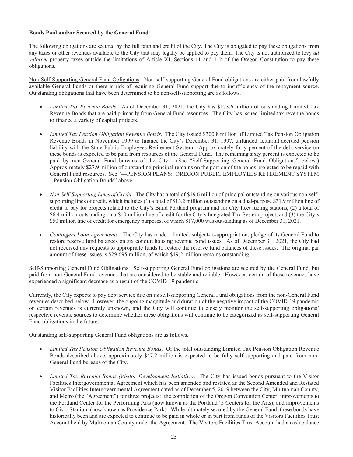#### **Bonds Paid and/or Secured by the General Fund**

The following obligations are secured by the full faith and credit of the City. The City is obligated to pay these obligations from any taxes or other revenues available to the City that may legally be applied to pay them. The City is not authorized to levy *ad valorem* property taxes outside the limitations of Article XI, Sections 11 and 11b of the Oregon Constitution to pay these obligations.

Non-Self-Supporting General Fund Obligations: Non-self-supporting General Fund obligations are either paid from lawfully available General Funds or there is risk of requiring General Fund support due to insufficiency of the repayment source. Outstanding obligations that have been determined to be non-self-supporting are as follows.

- *Limited Tax Revenue Bonds.* As of December 31, 2021, the City has \$173.6 million of outstanding Limited Tax Revenue Bonds that are paid primarily from General Fund resources. The City has issued limited tax revenue bonds to finance a variety of capital projects.
- x *Limited Tax Pension Obligation Revenue Bonds*. The City issued \$300.8 million of Limited Tax Pension Obligation Revenue Bonds in November 1999 to finance the City's December 31, 1997, unfunded actuarial accrued pension liability with the State Public Employees Retirement System. Approximately forty percent of the debt service on these bonds is expected to be paid from resources of the General Fund. The remaining sixty percent is expected to be paid by non-General Fund bureaus of the City. (See "Self-Supporting General Fund Obligations" below.) Approximately \$27.9 million of outstanding principal remains on the portion of the bonds projected to be repaid with General Fund resources. See "—PENSION PLANS: OREGON PUBLIC EMPLOYEES RETIREMENT SYSTEM – Pension Obligation Bonds" above.
- x *Non-Self-Supporting Lines of Credit.* The City has a total of \$19.6 million of principal outstanding on various non-selfsupporting lines of credit, which includes (1) a total of \$13.2 million outstanding on a dual-purpose \$31.9 million line of credit to pay for projects related to the City's Build Portland program and for City fleet fueling stations; (2) a total of \$6.4 million outstanding on a \$10 million line of credit for the City's Integrated Tax System project; and (3) the City's \$50 million line of credit for emergency purposes, of which \$17,000 was outstanding as of December 31, 2021.
- x *Contingent Loan Agreements.* The City has made a limited, subject-to-appropriation, pledge of its General Fund to restore reserve fund balances on six conduit housing revenue bond issues. As of December 31, 2021, the City had not received any requests to appropriate funds to restore the reserve fund balances of these issues. The original par amount of these issues is \$29.695 million, of which \$19.2 million remains outstanding.

Self-Supporting General Fund Obligations: Self-supporting General Fund obligations are secured by the General Fund, but paid from non-General Fund revenues that are considered to be stable and reliable. However, certain of these revenues have experienced a significant decrease as a result of the COVID-19 pandemic.

Currently, the City expects to pay debt service due on its self-supporting General Fund obligations from the non-General Fund revenues described below. However, the ongoing magnitude and duration of the negative impact of the COVID-19 pandemic on certain revenues is currently unknown, and the City will continue to closely monitor the self-supporting obligations' respective revenue sources to determine whether these obligations will continue to be categorized as self-supporting General Fund obligations in the future.

Outstanding self-supporting General Fund obligations are as follows.

- x *Limited Tax Pension Obligation Revenue Bonds*. Of the total outstanding Limited Tax Pension Obligation Revenue Bonds described above, approximately \$47.2 million is expected to be fully self-supporting and paid from non-General Fund bureaus of the City.
- x *Limited Tax Revenue Bonds (Visitor Development Initiative)*. The City has issued bonds pursuant to the Visitor Facilities Intergovernmental Agreement which has been amended and restated as the Second Amended and Restated Visitor Facilities Intergovernmental Agreement dated as of December 5, 2019 between the City, Multnomah County, and Metro (the "Agreement") for three projects: the completion of the Oregon Convention Center, improvements to the Portland Center for the Performing Arts (now known as the Portland '5 Centers for the Arts), and improvements to Civic Stadium (now known as Providence Park). While ultimately secured by the General Fund, these bonds have historically been and are expected to continue to be paid in whole or in part from funds of the Visitors Facilities Trust Account held by Multnomah County under the Agreement. The Visitors Facilities Trust Account had a cash balance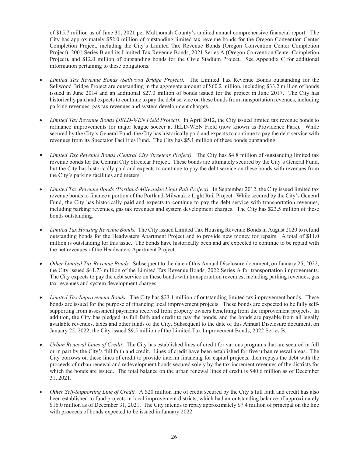of \$15.7 million as of June 30, 2021 per Multnomah County's audited annual comprehensive financial report. The City has approximately \$52.0 million of outstanding limited tax revenue bonds for the Oregon Convention Center Completion Project, including the City's Limited Tax Revenue Bonds (Oregon Convention Center Completion Project), 2001 Series B and its Limited Tax Revenue Bonds, 2021 Series A (Oregon Convention Center Completion Project), and \$12.0 million of outstanding bonds for the Civic Stadium Project. See Appendix C for additional information pertaining to these obligations.

- x *Limited Tax Revenue Bonds (Sellwood Bridge Project).* The Limited Tax Revenue Bonds outstanding for the Sellwood Bridge Project are outstanding in the aggregate amount of \$60.2 million, including \$33.2 million of bonds issued in June 2014 and an additional \$27.0 million of bonds issued for the project in June 2017. The City has historically paid and expects to continue to pay the debt service on these bonds from transportation revenues, including parking revenues, gas tax revenues and system development charges.
- x *Limited Tax Revenue Bonds (JELD-WEN Field Project)*. In April 2012, the City issued limited tax revenue bonds to refinance improvements for major league soccer at JELD-WEN Field (now known as Providence Park). While secured by the City's General Fund, the City has historically paid and expects to continue to pay the debt service with revenues from its Spectator Facilities Fund. The City has \$5.1 million of these bonds outstanding.
- Limited Tax Revenue Bonds (Central City Streetcar Project). The City has \$4.8 million of outstanding limited tax revenue bonds for the Central City Streetcar Project. These bonds are ultimately secured by the City's General Fund, but the City has historically paid and expects to continue to pay the debt service on these bonds with revenues from the City's parking facilities and meters.
- x *Limited Tax Revenue Bonds (Portland-Milwaukie Light Rail Project).* In September 2012, the City issued limited tax revenue bonds to finance a portion of the Portland-Milwaukie Light Rail Project. While secured by the City's General Fund, the City has historically paid and expects to continue to pay the debt service with transportation revenues, including parking revenues, gas tax revenues and system development charges. The City has \$23.5 million of these bonds outstanding.
- x *Limited Tax Housing Revenue Bonds.* The City issued Limited Tax Housing Revenue Bonds in August 2020 to refund outstanding bonds for the Headwaters Apartment Project and to provide new money for repairs. A total of \$11.0 million is outstanding for this issue. The bonds have historically been and are expected to continue to be repaid with the net revenues of the Headwaters Apartment Project.
- x *Other Limited Tax Revenue Bonds.* Subsequent to the date of this Annual Disclosure document, on January 25, 2022, the City issued \$41.73 million of the Limited Tax Revenue Bonds, 2022 Series A for transportation improvements. The City expects to pay the debt service on these bonds with transportation revenues, including parking revenues, gas tax revenues and system development charges.
- x *Limited Tax Improvement Bonds*. The City has \$23.1 million of outstanding limited tax improvement bonds. These bonds are issued for the purpose of financing local improvement projects. These bonds are expected to be fully selfsupporting from assessment payments received from property owners benefiting from the improvement projects. In addition, the City has pledged its full faith and credit to pay the bonds, and the bonds are payable from all legally available revenues, taxes and other funds of the City. Subsequent to the date of this Annual Disclosure document, on January 25, 2022, the City issued \$9.5 million of the Limited Tax Improvement Bonds, 2022 Series B.
- x *Urban Renewal Lines of Credit*. The City has established lines of credit for various programs that are secured in full or in part by the City's full faith and credit. Lines of credit have been established for five urban renewal areas. The City borrows on these lines of credit to provide interim financing for capital projects, then repays the debt with the proceeds of urban renewal and redevelopment bonds secured solely by the tax increment revenues of the districts for which the bonds are issued. The total balance on the urban renewal lines of credit is \$40.6 million as of December 31, 2021.
- x *Other Self-Supporting Line of Credit.* A \$20 million line of credit secured by the City's full faith and credit has also been established to fund projects in local improvement districts, which had an outstanding balance of approximately \$16.0 million as of December 31, 2021. The City intends to repay approximately \$7.4 million of principal on the line with proceeds of bonds expected to be issued in January 2022.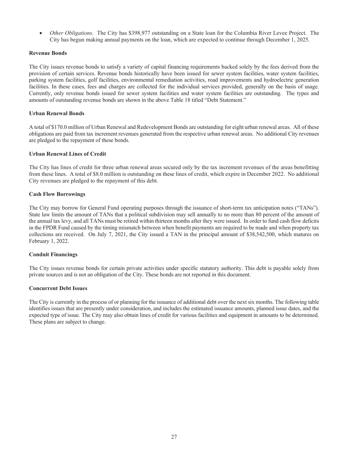x *Other Obligations*. The City has \$398,977 outstanding on a State loan for the Columbia River Levee Project. The City has begun making annual payments on the loan, which are expected to continue through December 1, 2025.

#### **Revenue Bonds**

The City issues revenue bonds to satisfy a variety of capital financing requirements backed solely by the fees derived from the provision of certain services. Revenue bonds historically have been issued for sewer system facilities, water system facilities, parking system facilities, golf facilities, environmental remediation activities, road improvements and hydroelectric generation facilities. In these cases, fees and charges are collected for the individual services provided, generally on the basis of usage. Currently, only revenue bonds issued for sewer system facilities and water system facilities are outstanding. The types and amounts of outstanding revenue bonds are shown in the above Table 18 titled "Debt Statement."

#### **Urban Renewal Bonds**

A total of \$170.0 million of Urban Renewal and Redevelopment Bonds are outstanding for eight urban renewal areas. All of these obligations are paid from tax increment revenues generated from the respective urban renewal areas. No additional City revenues are pledged to the repayment of these bonds.

#### **Urban Renewal Lines of Credit**

The City has lines of credit for three urban renewal areas secured only by the tax increment revenues of the areas benefitting from these lines. A total of \$8.0 million is outstanding on these lines of credit, which expire in December 2022. No additional City revenues are pledged to the repayment of this debt.

#### **Cash Flow Borrowings**

The City may borrow for General Fund operating purposes through the issuance of short-term tax anticipation notes ("TANs"). State law limits the amount of TANs that a political subdivision may sell annually to no more than 80 percent of the amount of the annual tax levy, and all TANs must be retired within thirteen months after they were issued. In order to fund cash flow deficits in the FPDR Fund caused by the timing mismatch between when benefit payments are required to be made and when property tax collections are received. On July 7, 2021, the City issued a TAN in the principal amount of \$38,542,500, which matures on February 1, 2022.

#### **Conduit Financings**

The City issues revenue bonds for certain private activities under specific statutory authority. This debt is payable solely from private sources and is not an obligation of the City. These bonds are not reported in this document.

#### **Concurrent Debt Issues**

The City is currently in the process of or planning for the issuance of additional debt over the next six months. The following table identifies issues that are presently under consideration, and includes the estimated issuance amounts, planned issue dates, and the expected type of issue. The City may also obtain lines of credit for various facilities and equipment in amounts to be determined. These plans are subject to change.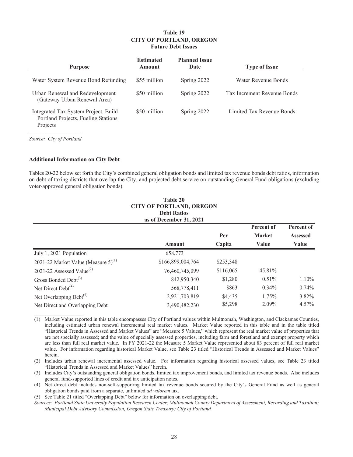#### **Table 19 CITY OF PORTLAND, OREGON Future Debt Issues**

| <b>Purpose</b>                                                                          | <b>Estimated</b><br><b>Amount</b> | <b>Planned Issue</b><br>Date | <b>Type of Issue</b>        |
|-----------------------------------------------------------------------------------------|-----------------------------------|------------------------------|-----------------------------|
|                                                                                         |                                   |                              |                             |
| Water System Revenue Bond Refunding                                                     | \$55 million                      | Spring 2022                  | Water Revenue Bonds         |
| Urban Renewal and Redevelopment<br>(Gateway Urban Renewal Area)                         | \$50 million                      | Spring 2022                  | Tax Increment Revenue Bonds |
| Integrated Tax System Project, Build<br>Portland Projects, Fueling Stations<br>Projects | \$50 million                      | Spring 2022                  | Limited Tax Revenue Bonds   |

*Source: City of Portland* 

#### **Additional Information on City Debt**

Tables 20-22 below set forth the City's combined general obligation bonds and limited tax revenue bonds debt ratios, information on debt of taxing districts that overlap the City, and projected debt service on outstanding General Fund obligations (excluding voter-approved general obligation bonds).

|                                          | Table 20                                      |           |               |                 |
|------------------------------------------|-----------------------------------------------|-----------|---------------|-----------------|
|                                          | <b>CITY OF PORTLAND, OREGON</b>               |           |               |                 |
|                                          | <b>Debt Ratios</b><br>as of December 31, 2021 |           |               |                 |
|                                          |                                               |           | Percent of    | Percent of      |
|                                          |                                               | Per       | <b>Market</b> | <b>Assessed</b> |
|                                          | <b>Amount</b>                                 | Capita    | Value         | Value           |
| July 1, 2021 Population                  | 658,773                                       |           |               |                 |
| 2021-22 Market Value (Measure $5)^{(1)}$ | \$166,899,004,764                             | \$253,348 |               |                 |
| 2021-22 Assessed Value <sup>(2)</sup>    | 76,460,745,099                                | \$116,065 | 45.81%        |                 |
| Gross Bonded Debt <sup>(3)</sup>         | 842,950,340                                   | \$1,280   | 0.51%         | $1.10\%$        |
| Net Direct Debt $(4)$                    | 568,778,411                                   | \$863     | $0.34\%$      | $0.74\%$        |
| Net Overlapping $Debt^{(5)}$             | 2,921,703,819                                 | \$4,435   | 1.75%         | 3.82%           |
| Net Direct and Overlapping Debt          | 3,490,482,230                                 | \$5,298   | 2.09%         | 4.57%           |

(1) Market Value reported in this table encompasses City of Portland values within Multnomah, Washington, and Clackamas Counties, including estimated urban renewal incremental real market values. Market Value reported in this table and in the table titled "Historical Trends in Assessed and Market Values" are "Measure 5 Values," which represent the real market value of properties that are not specially assessed; and the value of specially assessed properties, including farm and forestland and exempt property which are less than full real market value. In FY 2021-22 the Measure 5 Market Value represented about 83 percent of full real market value. For information regarding historical Market Value, see Table 23 titled "Historical Trends in Assessed and Market Values" herein.

(2) Includes urban renewal incremental assessed value. For information regarding historical assessed values, see Table 23 titled "Historical Trends in Assessed and Market Values" herein.

(3) Includes City's outstanding general obligation bonds, limited tax improvement bonds, and limited tax revenue bonds. Also includes general fund-supported lines of credit and tax anticipation notes.

(4) Net direct debt includes non-self-supporting limited tax revenue bonds secured by the City's General Fund as well as general obligation bonds paid from a separate, unlimited *ad valorem* tax.

(5) See Table 21 titled "Overlapping Debt" below for information on overlapping debt.

*Sources: Portland State University Population Research Center; Multnomah County Department of Assessment, Recording and Taxation; Municipal Debt Advisory Commission, Oregon State Treasury; City of Portland*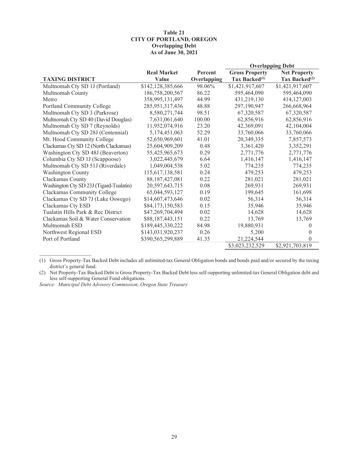#### **Table 21 CITY OF PORTLAND, OREGON Overlapping Debt As of June 30, 2021**

|                                         |                    |             | <b>Overlapping Debt</b>   |                           |
|-----------------------------------------|--------------------|-------------|---------------------------|---------------------------|
|                                         | <b>Real Market</b> | Percent     | <b>Gross Property</b>     | <b>Net Property</b>       |
| <b>TAXING DISTRICT</b>                  | Value              | Overlapping | Tax Backed <sup>(1)</sup> | Tax Backed <sup>(2)</sup> |
| Multnomah Cty SD 1J (Portland)          | \$142,128,385,666  | 98.06%      | \$1,421,917,607           | \$1,421,917,607           |
| Multnomah County                        | 186,758,200,567    | 86.22       | 595,464,090               | 595,464,090               |
| Metro                                   | 358,995,131,497    | 44.99       | 431,219,130               | 414,127,003               |
| Portland Community College              | 285, 951, 317, 436 | 48.88       | 297,190,947               | 266,668,964               |
| Multnomah Cty SD 3 (Parkrose)           | 8,580,271,744      | 98.51       | 67,320,587                | 67,320,587                |
| Multnomah Cty SD 40 (David Douglas)     | 7,631,061,640      | 100.00      | 62,856,916                | 62,856,916                |
| Multnomah Cty SD 7 (Reynolds)           | 11,952,074,916     | 23.20       | 42,369,091                | 42,104,004                |
| Multnomah Cty SD 28J (Centennial)       | 5,174,451,063      | 52.29       | 33,760,066                | 33,760,066                |
| Mt. Hood Community College              | 52,650,969,601     | 41.01       | 20,349,335                | 7,857,573                 |
| Clackamas Cty SD 12 (North Clackamas)   | 25,604,909,209     | 0.48        | 3,361,420                 | 3,352,291                 |
| Washington Cty SD 48J (Beaverton)       | 55,425,965,673     | 0.29        | 2,771,776                 | 2,771,776                 |
| Columbia Cty SD 1J (Scappoose)          | 3,022,445,679      | 6.64        | 1,416,147                 | 1,416,147                 |
| Multnomah Cty SD 51J (Riverdale)        | 1,049,004,538      | 5.02        | 774,235                   | 774,235                   |
| <b>Washington County</b>                | 115,617,138,581    | 0.24        | 479,253                   | 479,253                   |
| Clackamas County                        | 88, 187, 427, 081  | 0.22        | 281,021                   | 281,021                   |
| Washington Cty SD 23J (Tigard-Tualatin) | 20,597,643,715     | 0.08        | 269,931                   | 269,931                   |
| Clackamas Community College             | 65,044,593,127     | 0.19        | 199,645                   | 161,698                   |
| Clackamas Cty SD 7J (Lake Oswego)       | \$14,607,473,646   | 0.02        | 56,314                    | 56,314                    |
| Clackamas Cty ESD                       | \$84,173,150,583   | 0.15        | 35,946                    | 35,946                    |
| Tualatin Hills Park & Rec District      | \$47,269,704,494   | 0.02        | 14,628                    | 14,628                    |
| Clackamas Soil & Water Conservation     | \$88,187,443,151   | 0.22        | 13,769                    | 13,769                    |
| Multnomah ESD                           | \$189,445,330,222  | 84.98       | 19,880,931                | 0                         |
| Northwest Regional ESD                  | \$143,031,920,237  | 0.26        | 5,200                     | $\Omega$                  |
| Port of Portland                        | \$390,565,299,889  | 41.35       | 21,224,544                | $\Omega$                  |
|                                         |                    |             | \$3,023,232,529           | \$2,921,703,819           |

(1) Gross Property-Tax Backed Debt includes all unlimited-tax General Obligation bonds and bonds paid and/or secured by the taxing district's general fund.

(2) Net Property-Tax Backed Debt is Gross Property-Tax Backed Debt less self-supporting unlimited-tax General Obligation debt and less self-supporting General Fund obligations.

*Source: Municipal Debt Advisory Commission, Oregon State Treasury*

 $\mathcal{L}_\text{max}$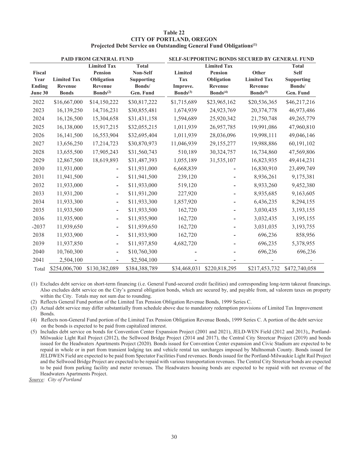#### **Table 22 CITY OF PORTLAND, OREGON Projected Debt Service on Outstanding General Fund Obligations(1)**

|                                     |                                               | <b>PAID FROM GENERAL FUND</b>                                                         |                                                                      | <b>SELF-SUPPORTING BONDS SECURED BY GENERAL FUND</b>      |                                                                                       |                                                                |                                                                         |
|-------------------------------------|-----------------------------------------------|---------------------------------------------------------------------------------------|----------------------------------------------------------------------|-----------------------------------------------------------|---------------------------------------------------------------------------------------|----------------------------------------------------------------|-------------------------------------------------------------------------|
| Fiscal<br>Year<br>Ending<br>June 30 | <b>Limited Tax</b><br>Revenue<br><b>Bonds</b> | <b>Limited Tax</b><br><b>Pension</b><br>Obligation<br>Revenue<br>Bonds <sup>(2)</sup> | <b>Total</b><br>Non-Self<br><b>Supporting</b><br>Bonds/<br>Gen. Fund | Limited<br><b>Tax</b><br>Improve.<br>Bonds <sup>(3)</sup> | <b>Limited Tax</b><br><b>Pension</b><br>Obligation<br>Revenue<br>Bonds <sup>(4)</sup> | Other<br><b>Limited Tax</b><br>Revenue<br>Bonds <sup>(5)</sup> | <b>Total</b><br><b>Self</b><br><b>Supporting</b><br>Bonds/<br>Gen. Fund |
| 2022                                | \$16,667,000                                  | \$14,150,222                                                                          | \$30,817,222                                                         | \$1,715,689                                               | \$23,965,162                                                                          | \$20,536,365                                                   | \$46,217,216                                                            |
| 2023                                | 16,139,250                                    | 14,716,231                                                                            | \$30,855,481                                                         | 1,674,939                                                 | 24,923,769                                                                            | 20,374,778                                                     | 46,973,486                                                              |
| 2024                                | 16,126,500                                    | 15,304,658                                                                            | \$31,431,158                                                         | 1,594,689                                                 | 25,920,342                                                                            | 21,750,748                                                     | 49,265,779                                                              |
| 2025                                | 16,138,000                                    | 15,917,215                                                                            | \$32,055,215                                                         | 1,011,939                                                 | 26,957,785                                                                            | 19,991,086                                                     | 47,960,810                                                              |
| 2026                                | 16,141,500                                    | 16,553,904                                                                            | \$32,695,404                                                         | 1,011,939                                                 | 28,036,096                                                                            | 19,998,111                                                     | 49,046,146                                                              |
| 2027                                | 13,656,250                                    | 17,214,723                                                                            | \$30,870,973                                                         | 11,046,939                                                | 29,155,277                                                                            | 19,988,886                                                     | 60,191,102                                                              |
| 2028                                | 13,655,500                                    | 17,905,243                                                                            | \$31,560,743                                                         | 510,189                                                   | 30,324,757                                                                            | 16,734,860                                                     | 47,569,806                                                              |
| 2029                                | 12,867,500                                    | 18,619,893                                                                            | \$31,487,393                                                         | 1,055,189                                                 | 31,535,107                                                                            | 16,823,935                                                     | 49,414,231                                                              |
| 2030                                | 11,931,000                                    |                                                                                       | \$11,931,000                                                         | 6,668,839                                                 |                                                                                       | 16,830,910                                                     | 23,499,749                                                              |
| 2031                                | 11,941,500                                    |                                                                                       | \$11,941,500                                                         | 239,120                                                   |                                                                                       | 8,936,261                                                      | 9,175,381                                                               |
| 2032                                | 11,933,000                                    |                                                                                       | \$11,933,000                                                         | 519,120                                                   |                                                                                       | 8,933,260                                                      | 9,452,380                                                               |
| 2033                                | 11,931,200                                    |                                                                                       | \$11,931,200                                                         | 227,920                                                   |                                                                                       | 8,935,685                                                      | 9,163,605                                                               |
| 2034                                | 11,933,300                                    | $\qquad \qquad \blacksquare$                                                          | \$11,933,300                                                         | 1,857,920                                                 |                                                                                       | 6,436,235                                                      | 8,294,155                                                               |
| 2035                                | 11,933,500                                    |                                                                                       | \$11,933,500                                                         | 162,720                                                   |                                                                                       | 3,030,435                                                      | 3,193,155                                                               |
| 2036                                | 11,935,900                                    | -                                                                                     | \$11,935,900                                                         | 162,720                                                   |                                                                                       | 3,032,435                                                      | 3,195,155                                                               |
| $-2037$                             | 11,939,650                                    |                                                                                       | \$11,939,650                                                         | 162,720                                                   |                                                                                       | 3,031,035                                                      | 3,193,755                                                               |
| 2038                                | 11,933,900                                    |                                                                                       | \$11,933,900                                                         | 162,720                                                   |                                                                                       | 696,236                                                        | 858,956                                                                 |
| 2039                                | 11,937,850                                    |                                                                                       | \$11,937,850                                                         | 4,682,720                                                 |                                                                                       | 696,235                                                        | 5,378,955                                                               |
| 2040                                | 10,760,300                                    |                                                                                       | \$10,760,300                                                         |                                                           |                                                                                       | 696,236                                                        | 696,236                                                                 |
| 2041                                | 2,504,100                                     |                                                                                       | \$2,504,100                                                          |                                                           |                                                                                       |                                                                |                                                                         |
| Total                               | \$254,006,700                                 | \$130,382,089                                                                         | \$384,388,789                                                        | \$34,468,031                                              | \$220,818,295                                                                         | \$217,453,732                                                  | \$472,740,058                                                           |

 (1) Excludes debt service on short-term financing (i.e. General Fund-secured credit facilities) and corresponding long-term takeout financings. Also excludes debt service on the City's general obligation bonds, which are secured by, and payable from, ad valorem taxes on property within the City. Totals may not sum due to rounding.

(2) Reflects General Fund portion of the Limited Tax Pension Obligation Revenue Bonds, 1999 Series C.

(3) Actual debt service may differ substantially from schedule above due to mandatory redemption provisions of Limited Tax Improvement Bonds.

(4) Reflects non-General Fund portion of the Limited Tax Pension Obligation Revenue Bonds, 1999 Series C. A portion of the debt service on the bonds is expected to be paid from capitalized interest.

(5) Includes debt service on bonds for Convention Center Expansion Project (2001 and 2021), JELD-WEN Field (2012 and 2013),, Portland-Milwaukie Light Rail Project (2012), the Sellwood Bridge Project (2014 and 2017), the Central City Streetcar Project (2019) and bonds issued for the Headwaters Apartments Project (2020). Bonds issued for Convention Center expansion and Civic Stadium are expected to be repaid in whole or in part from transient lodging tax and vehicle rental tax surcharges imposed by Multnomah County. Bonds issued for JELDWEN Field are expected to be paid from Spectator Facilities Fund revenues. Bonds issued for the Portland-Milwaukie Light Rail Project and the Sellwood Bridge Project are expected to be repaid with various transportation revenues. The Central City Streetcar bonds are expected to be paid from parking facility and meter revenues. The Headwaters housing bonds are expected to be repaid with net revenue of the Headwaters Apartments Project.

*Source: City of Portland*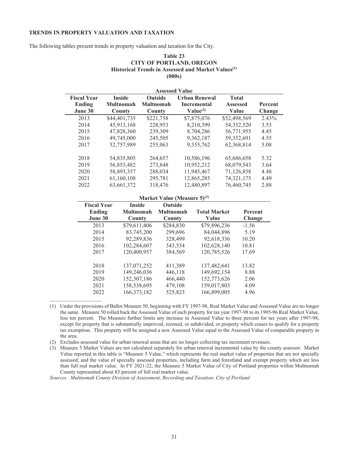#### **TRENDS IN PROPERTY VALUATION AND TAXATION**

The following tables present trends in property valuation and taxation for the City.

| Table 23                                                       |
|----------------------------------------------------------------|
| <b>CITY OF PORTLAND, OREGON</b>                                |
| Historical Trends in Assessed and Market Values <sup>(1)</sup> |
| (000s)                                                         |

| <b>Assessed Value</b> |                  |                  |                      |                 |                |
|-----------------------|------------------|------------------|----------------------|-----------------|----------------|
| <b>Fiscal Year</b>    | <b>Inside</b>    | Outside          | <b>Urban Renewal</b> | <b>Total</b>    |                |
| Ending                | <b>Multnomah</b> | <b>Multnomah</b> | Incremental          | <b>Assessed</b> | <b>Percent</b> |
| June 30               | County           | County           | $Value^{(2)}$        | Value           | Change         |
| 2013                  | \$44,401,735     | \$221,758        | \$7,875,076          | \$52,498,569    | 2.43%          |
| 2014                  | 45,913,168       | 228,953          | 8,210,399            | 54, 352, 520    | 3.53           |
| 2015                  | 47,828,360       | 239,309          | 8.704.286            | 56,771,955      | 4.45           |
| 2016                  | 49,745,000       | 245,505          | 9,362,187            | 59, 352, 691    | 4.55           |
| 2017                  | 52,757,989       | 255,063          | 9.355.762            | 62,368,814      | 5.08           |
|                       |                  |                  |                      |                 |                |
| 2018                  | 54,835,805       | 264,657          | 10,586,196           | 65,686,658      | 5.32           |
| 2019                  | 56,853,482       | 273,848          | 10,952,212           | 68,079,543      | 3.64           |
| 2020                  | 58,893,357       | 288,034          | 11,945,467           | 71,126,858      | 4.48           |
| 2021                  | 61,160,108       | 295,781          | 12,865,285           | 74,321,175      | 4.49           |
| 2022                  | 63.661.372       | 318,476          | 12.480.897           | 76,460,745      | 2.88           |

#### **Market Value (Measure 5)(3)**

| <b>Fiscal Year</b><br><b>Outside</b><br><b>Inside</b>   |                |
|---------------------------------------------------------|----------------|
| <b>Total Market</b><br>Ending<br>Multnomah<br>Multnomah | <b>Percent</b> |
| June 30<br>Value<br>County<br>County                    | Change         |
| \$79,611,406<br>\$284,830<br>\$79,896,236<br>2013       | $-1.56$        |
| 83,745,200<br>299,696<br>84.044.896<br>2014             | 5.19           |
| 92,289,836<br>328,499<br>92,618,336<br>2015             | 10.20          |
| 102,628,140<br>102,284,607<br>343,534<br>2016           | 10.81          |
| 120,785,526<br>120,400,957<br>384,569<br>2017           | 17.69          |
|                                                         |                |
| 137,071,252<br>411,389<br>137,482,641<br>2018           | 13.82          |
| 149,246,036<br>149,692,154<br>2019<br>446,118           | 8.88           |
| 152,773,626<br>152,307,186<br>2020<br>466,440           | 2.06           |
| 159,017,803<br>158,538,695<br>479,108<br>2021           | 4.09           |
| 166, 373, 182<br>166,899,005<br>525,823<br>2022         | 4.96           |

(1) Under the provisions of Ballot Measure 50, beginning with FY 1997-98, Real Market Value and Assessed Value are no longer the same. Measure 50 rolled back the Assessed Value of each property for tax year 1997-98 to its 1995-96 Real Market Value, less ten percent. The Measure further limits any increase in Assessed Value to three percent for tax years after 1997-98, except for property that is substantially improved, rezoned, or subdivided, or property which ceases to qualify for a property tax exemption. This property will be assigned a new Assessed Value equal to the Assessed Value of comparable property in the area.

(2) Excludes assessed value for urban renewal areas that are no longer collecting tax increment revenues.

(3) Measure 5 Market Values are not calculated separately for urban renewal incremental value by the county assessor. Market Value reported in this table is "Measure 5 Value," which represents the real market value of properties that are not specially assessed; and the value of specially assessed properties, including farm and forestland and exempt property which are less than full real market value. In FY 2021-22, the Measure 5 Market Value of City of Portland properties within Multnomah County represented about 83 percent of full real market value.

*Sources: Multnomah County Division of Assessment, Recording and Taxation; City of Portland*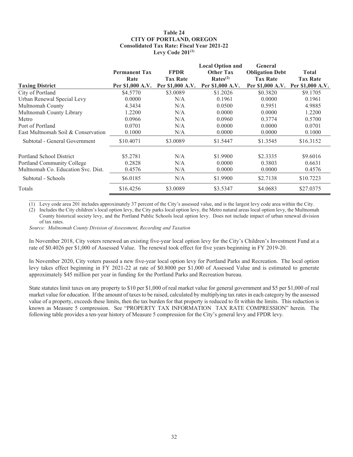#### **Table 24 CITY OF PORTLAND, OREGON Consolidated Tax Rate: Fiscal Year 2021-22 Levy Code 201(1)**

|                                    |                      |                  | <b>Local Option and</b> | <b>General</b>                    |                 |
|------------------------------------|----------------------|------------------|-------------------------|-----------------------------------|-----------------|
|                                    | <b>Permanent Tax</b> | <b>FPDR</b>      | <b>Other Tax</b>        | <b>Obligation Debt</b>            | Total           |
|                                    | Rate                 | <b>Tax Rate</b>  | Rates <sup>(2)</sup>    | <b>Tax Rate</b>                   | <b>Tax Rate</b> |
| <b>Taxing District</b>             | Per \$1,000 A.V.     | Per \$1,000 A.V. | Per \$1,000 A.V.        | Per \$1,000 A.V. Per \$1,000 A.V. |                 |
| City of Portland                   | \$4.5770             | \$3.0089         | \$1.2026                | \$0.3820                          | \$9.1705        |
| Urban Renewal Special Levy         | 0.0000               | N/A              | 0.1961                  | 0.0000                            | 0.1961          |
| Multnomah County                   | 4.3434               | N/A              | 0.0500                  | 0.5951                            | 4.9885          |
| Multnomah County Library           | 1.2200               | N/A              | 0.0000                  | 0.0000                            | 1.2200          |
| Metro                              | 0.0966               | N/A              | 0.0960                  | 0.3774                            | 0.5700          |
| Port of Portland                   | 0.0701               | N/A              | 0.0000                  | 0.0000                            | 0.0701          |
| East Multnomah Soil & Conservation | 0.1000               | N/A              | 0.0000                  | 0.0000                            | 0.1000          |
| Subtotal - General Government      | \$10.4071            | \$3.0089         | \$1.5447                | \$1.3545                          | \$16.3152       |
| Portland School District           | \$5.2781             | N/A              | \$1.9900                | \$2.3335                          | \$9.6016        |
| Portland Community College         | 0.2828               | N/A              | 0.0000                  | 0.3803                            | 0.6631          |
| Multnomah Co. Education Svc. Dist. | 0.4576               | N/A              | 0.0000                  | 0.0000                            | 0.4576          |
| Subtotal - Schools                 | \$6.0185             | N/A              | \$1.9900                | \$2.7138                          | \$10.7223       |
| Totals                             | \$16.4256            | \$3.0089         | \$3.5347                | \$4.0683                          | \$27.0375       |

 $\mathcal{L}_\text{max}$ (1) Levy code area 201 includes approximately 37 percent of the City's assessed value, and is the largest levy code area within the City.

(2) Includes the City children's local option levy, the City parks local option levy, the Metro natural areas local option levy, the Multnomah County historical society levy, and the Portland Public Schools local option levy. Does not include impact of urban renewal division of tax rates.

*Source: Multnomah County Division of Assessment, Recording and Taxation*

In November 2018, City voters renewed an existing five-year local option levy for the City's Children's Investment Fund at a rate of \$0.4026 per \$1,000 of Assessed Value. The renewal took effect for five years beginning in FY 2019-20.

In November 2020, City voters passed a new five-year local option levy for Portland Parks and Recreation. The local option levy takes effect beginning in FY 2021-22 at rate of \$0.8000 per \$1,000 of Assessed Value and is estimated to generate approximately \$45 million per year in funding for the Portland Parks and Recreation bureau.

State statutes limit taxes on any property to \$10 per \$1,000 of real market value for general government and \$5 per \$1,000 of real market value for education. If the amount of taxes to be raised, calculated by multiplying tax rates in each category by the assessed value of a property, exceeds these limits, then the tax burden for that property is reduced to fit within the limits. This reduction is known as Measure 5 compression. See "PROPERTY TAX INFORMATION TAX RATE COMPRESSION" herein. The following table provides a ten-year history of Measure 5 compression for the City's general levy and FPDR levy.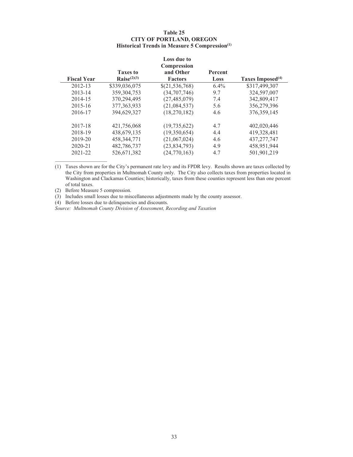#### **Table 25 CITY OF PORTLAND, OREGON Historical Trends in Measure 5 Compression(1)**

| <b>Fiscal Year</b> | <b>Taxes to</b><br>Raise $^{(2)(3)}$ | <b>Loss due to</b><br><b>Compression</b><br>and Other<br><b>Factors</b> | Percent<br>Loss | Taxes Imposed <sup>(4)</sup> |
|--------------------|--------------------------------------|-------------------------------------------------------------------------|-----------------|------------------------------|
| 2012-13            | \$339,036,075                        | \$(21,536,768)                                                          | $6.4\%$         | \$317,499,307                |
| 2013-14            | 359, 304, 753                        | (34, 707, 746)                                                          | 9.7             | 324,597,007                  |
| 2014-15            | 370.294.495                          | (27, 485, 079)                                                          | 7.4             | 342,809,417                  |
| $2015 - 16$        | 377, 363, 933                        | (21,084,537)                                                            | 5.6             | 356,279,396                  |
| 2016-17            | 394,629,327                          | (18,270,182)                                                            | 4.6             | 376, 359, 145                |
| 2017-18            | 421,756,068                          | (19, 735, 622)                                                          | 4.7             | 402,020,446                  |
| 2018-19            | 438,679,135                          | (19,350,654)                                                            | 4.4             | 419,328,481                  |
| 2019-20            | 458, 344, 771                        | (21,067,024)                                                            | 4.6             | 437, 277, 747                |
| 2020-21            | 482,786,737                          | (23, 834, 793)                                                          | 4.9             | 458,951,944                  |
| 2021-22            | 526,671,382                          | (24,770,163)                                                            | 4.7             | 501,901,219                  |

(1) Taxes shown are for the City's permanent rate levy and its FPDR levy. Results shown are taxes collected by the City from properties in Multnomah County only. The City also collects taxes from properties located in Washington and Clackamas Counties; historically, taxes from these counties represent less than one percent of total taxes.

(2) Before Measure 5 compression.

(3) Includes small losses due to miscellaneous adjustments made by the county assessor.

(4) Before losses due to delinquencies and discounts.

*Source: Multnomah County Division of Assessment, Recording and Taxation*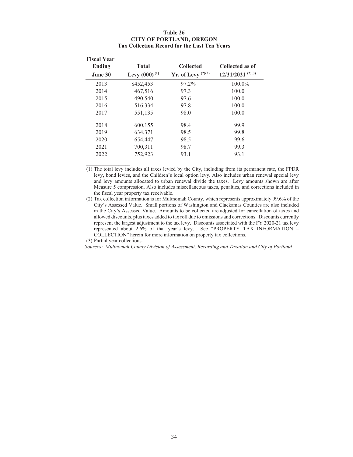#### **Table 26 CITY OF PORTLAND, OREGON Tax Collection Record for the Last Ten Years**

| <b>Fiscal Year</b><br>Ending<br>June 30 | <b>Total</b><br>Levy $(000)^{(1)}$ | <b>Collected</b><br>Yr. of Levy $(2)(3)$ | Collected as of<br>$12/31/2021$ <sup>(2)(3)</sup> |
|-----------------------------------------|------------------------------------|------------------------------------------|---------------------------------------------------|
|                                         |                                    |                                          |                                                   |
| 2013                                    | \$452,453                          | 97.2%                                    | 100.0%                                            |
| 2014                                    | 467,516                            | 97.3                                     | 100.0                                             |
| 2015                                    | 490,540                            | 97.6                                     | 100.0                                             |
| 2016                                    | 516,334                            | 97.8                                     | 100.0                                             |
| 2017                                    | 551,135                            | 98.0                                     | 100.0                                             |
| 2018                                    | 600,155                            | 98.4                                     | 99.9                                              |
| 2019                                    | 634,371                            | 98.5                                     | 99.8                                              |
| 2020                                    | 654,447                            | 98.5                                     | 99.6                                              |
| 2021                                    | 700,311                            | 98.7                                     | 99.3                                              |
| 2022                                    | 752,923                            | 93.1                                     | 93.1                                              |

(1) The total levy includes all taxes levied by the City, including from its permanent rate, the FPDR levy, bond levies, and the Children's local option levy. Also includes urban renewal special levy and levy amounts allocated to urban renewal divide the taxes. Levy amounts shown are after Measure 5 compression. Also includes miscellaneous taxes, penalties, and corrections included in the fiscal year property tax receivable.

(2) Tax collection information is for Multnomah County, which represents approximately 99.6% of the City's Assessed Value. Small portions of Washington and Clackamas Counties are also included in the City's Assessed Value. Amounts to be collected are adjusted for cancellation of taxes and allowed discounts, plus taxes added to tax roll due to omissions and corrections. Discounts currently represent the largest adjustment to the tax levy. Discounts associated with the FY 2020-21 tax levy represented about 2.6% of that year's levy. See "PROPERTY TAX INFORMATION – COLLECTION" herein for more information on property tax collections.

(3) Partial year collections.

*Sources: Multnomah County Division of Assessment, Recording and Taxation and City of Portland*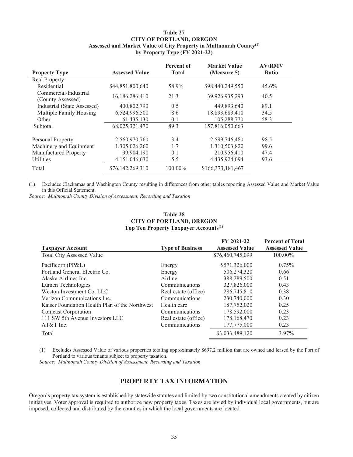### **Table 27 CITY OF PORTLAND, OREGON Assessed and Market Value of City Property in Multnomah County(1) by Property Type (FY 2021-22)**

|                                            |                       | <b>Percent of</b> | <b>Market Value</b> | <b>AV/RMV</b> |
|--------------------------------------------|-----------------------|-------------------|---------------------|---------------|
| <b>Property Type</b>                       | <b>Assessed Value</b> | <b>Total</b>      | (Measure 5)         | <b>Ratio</b>  |
| Real Property                              |                       |                   |                     |               |
| Residential                                | \$44,851,800,640      | 58.9%             | \$98,440,249,550    | 45.6%         |
| Commercial/Industrial<br>(County Assessed) | 16,186,286,410        | 21.3              | 39,926,935,293      | 40.5          |
| Industrial (State Assessed)                | 400,802,790           | 0.5               | 449,893,640         | 89.1          |
| Multiple Family Housing                    | 6,524,996,500         | 8.6               | 18,893,683,410      | 34.5          |
| Other                                      | 61,435,130            | 0.1               | 105,288,770         | 58.3          |
| Subtotal                                   | 68,025,321,470        | 89.3              | 157,816,050,663     |               |
| Personal Property                          | 2,560,970,760         | 3.4               | 2,599,746,480       | 98.5          |
| Machinery and Equipment                    | 1,305,026,260         | 1.7               | 1,310,503,820       | 99.6          |
| Manufactured Property                      | 99,904,190            | 0.1               | 210,956,410         | 47.4          |
| <b>Utilities</b>                           | 4,151,046,630         | 5.5               | 4,435,924,094       | 93.6          |
| Total                                      | \$76,142,269,310      | 100.00%           | \$166,373,181,467   |               |

(1) Excludes Clackamas and Washington County resulting in differences from other tables reporting Assessed Value and Market Value in this Official Statement.

*Source: Multnomah County Division of Assessment, Recording and Taxation*

### **Table 28 CITY OF PORTLAND, OREGON Top Ten Property Taxpayer Accounts(1)**

|                                                |                         | FY 2021-22            | <b>Percent of Total</b> |
|------------------------------------------------|-------------------------|-----------------------|-------------------------|
| <b>Taxpayer Account</b>                        | <b>Type of Business</b> | <b>Assessed Value</b> | <b>Assessed Value</b>   |
| <b>Total City Assessed Value</b>               |                         | \$76,460,745,099      | 100.00%                 |
| Pacificorp (PP&L)                              | Energy                  | \$571,326,000         | $0.75\%$                |
| Portland General Electric Co.                  | Energy                  | 506,274,320           | 0.66                    |
| Alaska Airlines Inc.                           | Airline                 | 388,289,500           | 0.51                    |
| Lumen Technologies                             | Communications          | 327,826,000           | 0.43                    |
| Weston Investment Co. LLC                      | Real estate (office)    | 286,745,810           | 0.38                    |
| Verizon Communications Inc.                    | Communications          | 230,740,000           | 0.30                    |
| Kaiser Foundation Health Plan of the Northwest | Health care             | 187,752,020           | 0.25                    |
| Comcast Corporation                            | Communications          | 178,592,000           | 0.23                    |
| 111 SW 5th Avenue Investors LLC                | Real estate (office)    | 178, 168, 470         | 0.23                    |
| $AT&T$ Inc.                                    | Communications          | 177,775,000           | 0.23                    |
| Total                                          |                         | \$3,033,489,120       | 3.97%                   |

(1) Excludes Assessed Value of various properties totaling approximately \$697.2 million that are owned and leased by the Port of Portland to various tenants subject to property taxation.

*Source: Multnomah County Division of Assessment, Recording and Taxation* 

\_\_\_\_\_\_\_\_\_\_\_\_\_\_\_\_\_\_\_\_

# **PROPERTY TAX INFORMATION**

Oregon's property tax system is established by statewide statutes and limited by two constitutional amendments created by citizen initiatives. Voter approval is required to authorize new property taxes. Taxes are levied by individual local governments, but are imposed, collected and distributed by the counties in which the local governments are located.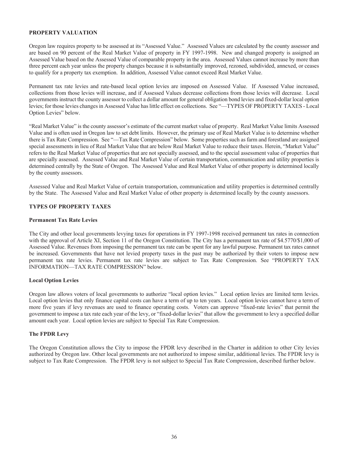### **PROPERTY VALUATION**

Oregon law requires property to be assessed at its "Assessed Value." Assessed Values are calculated by the county assessor and are based on 90 percent of the Real Market Value of property in FY 1997-1998. New and changed property is assigned an Assessed Value based on the Assessed Value of comparable property in the area. Assessed Values cannot increase by more than three percent each year unless the property changes because it is substantially improved, rezoned, subdivided, annexed, or ceases to qualify for a property tax exemption. In addition, Assessed Value cannot exceed Real Market Value.

Permanent tax rate levies and rate-based local option levies are imposed on Assessed Value. If Assessed Value increased, collections from those levies will increase, and if Assessed Values decrease collections from those levies will decrease. Local governments instruct the county assessor to collect a dollar amount for general obligation bond levies and fixed-dollar local option levies; for those levies changes in Assessed Value has little effect on collections. See "—TYPES OF PROPERTY TAXES - Local Option Levies" below.

"Real Market Value" is the county assessor's estimate of the current market value of property. Real Market Value limits Assessed Value and is often used in Oregon law to set debt limits. However, the primary use of Real Market Value is to determine whether there is Tax Rate Compression. See "—Tax Rate Compression" below. Some properties such as farm and forestland are assigned special assessments in lieu of Real Market Value that are below Real Market Value to reduce their taxes. Herein, "Market Value" refers to the Real Market Value of properties that are not specially assessed, and to the special assessment value of properties that are specially assessed. Assessed Value and Real Market Value of certain transportation, communication and utility properties is determined centrally by the State of Oregon. The Assessed Value and Real Market Value of other property is determined locally by the county assessors.

Assessed Value and Real Market Value of certain transportation, communication and utility properties is determined centrally by the State. The Assessed Value and Real Market Value of other property is determined locally by the county assessors.

### **TYPES OF PROPERTY TAXES**

#### **Permanent Tax Rate Levies**

The City and other local governments levying taxes for operations in FY 1997-1998 received permanent tax rates in connection with the approval of Article XI, Section 11 of the Oregon Constitution. The City has a permanent tax rate of \$4.5770/\$1,000 of Assessed Value. Revenues from imposing the permanent tax rate can be spent for any lawful purpose. Permanent tax rates cannot be increased. Governments that have not levied property taxes in the past may be authorized by their voters to impose new permanent tax rate levies. Permanent tax rate levies are subject to Tax Rate Compression. See "PROPERTY TAX INFORMATION—TAX RATE COMPRESSION" below.

#### **Local Option Levies**

Oregon law allows voters of local governments to authorize "local option levies." Local option levies are limited term levies. Local option levies that only finance capital costs can have a term of up to ten years. Local option levies cannot have a term of more five years if levy revenues are used to finance operating costs. Voters can approve "fixed-rate levies" that permit the government to impose a tax rate each year of the levy, or "fixed-dollar levies" that allow the government to levy a specified dollar amount each year. Local option levies are subject to Special Tax Rate Compression.

#### **The FPDR Levy**

The Oregon Constitution allows the City to impose the FPDR levy described in the Charter in addition to other City levies authorized by Oregon law. Other local governments are not authorized to impose similar, additional levies. The FPDR levy is subject to Tax Rate Compression. The FPDR levy is not subject to Special Tax Rate Compression, described further below.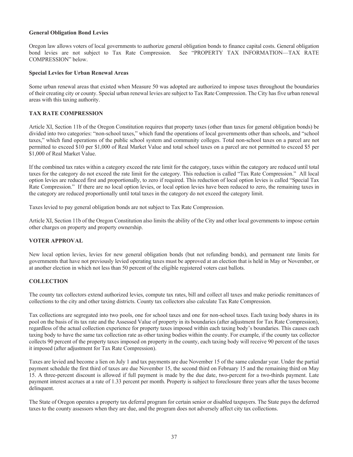#### **General Obligation Bond Levies**

Oregon law allows voters of local governments to authorize general obligation bonds to finance capital costs. General obligation bond levies are not subject to Tax Rate Compression. See "PROPERTY TAX INFORMATION—TAX RATE COMPRESSION" below.

### **Special Levies for Urban Renewal Areas**

Some urban renewal areas that existed when Measure 50 was adopted are authorized to impose taxes throughout the boundaries of their creating city or county. Special urban renewal levies are subject to Tax Rate Compression. The City has five urban renewal areas with this taxing authority.

## **TAX RATE COMPRESSION**

Article XI, Section 11b of the Oregon Constitution requires that property taxes (other than taxes for general obligation bonds) be divided into two categories: "non-school taxes," which fund the operations of local governments other than schools, and "school taxes," which fund operations of the public school system and community colleges. Total non-school taxes on a parcel are not permitted to exceed \$10 per \$1,000 of Real Market Value and total school taxes on a parcel are not permitted to exceed \$5 per \$1,000 of Real Market Value.

If the combined tax rates within a category exceed the rate limit for the category, taxes within the category are reduced until total taxes for the category do not exceed the rate limit for the category. This reduction is called "Tax Rate Compression." All local option levies are reduced first and proportionally, to zero if required. This reduction of local option levies is called "Special Tax Rate Compression." If there are no local option levies, or local option levies have been reduced to zero, the remaining taxes in the category are reduced proportionally until total taxes in the category do not exceed the category limit.

Taxes levied to pay general obligation bonds are not subject to Tax Rate Compression.

Article XI, Section 11b of the Oregon Constitution also limits the ability of the City and other local governments to impose certain other charges on property and property ownership.

#### **VOTER APPROVAL**

New local option levies, levies for new general obligation bonds (but not refunding bonds), and permanent rate limits for governments that have not previously levied operating taxes must be approved at an election that is held in May or November, or at another election in which not less than 50 percent of the eligible registered voters cast ballots.

# **COLLECTION**

The county tax collectors extend authorized levies, compute tax rates, bill and collect all taxes and make periodic remittances of collections to the city and other taxing districts. County tax collectors also calculate Tax Rate Compression.

Tax collections are segregated into two pools, one for school taxes and one for non-school taxes. Each taxing body shares in its pool on the basis of its tax rate and the Assessed Value of property in its boundaries (after adjustment for Tax Rate Compression), regardless of the actual collection experience for property taxes imposed within each taxing body's boundaries. This causes each taxing body to have the same tax collection rate as other taxing bodies within the county. For example, if the county tax collector collects 90 percent of the property taxes imposed on property in the county, each taxing body will receive 90 percent of the taxes it imposed (after adjustment for Tax Rate Compression).

Taxes are levied and become a lien on July 1 and tax payments are due November 15 of the same calendar year. Under the partial payment schedule the first third of taxes are due November 15, the second third on February 15 and the remaining third on May 15. A three-percent discount is allowed if full payment is made by the due date, two-percent for a two-thirds payment. Late payment interest accrues at a rate of 1.33 percent per month. Property is subject to foreclosure three years after the taxes become delinquent.

The State of Oregon operates a property tax deferral program for certain senior or disabled taxpayers. The State pays the deferred taxes to the county assessors when they are due, and the program does not adversely affect city tax collections.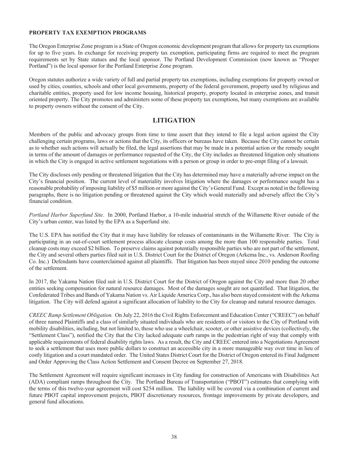### **PROPERTY TAX EXEMPTION PROGRAMS**

The Oregon Enterprise Zone program is a State of Oregon economic development program that allows for property tax exemptions for up to five years. In exchange for receiving property tax exemption, participating firms are required to meet the program requirements set by State statues and the local sponsor. The Portland Development Commission (now known as "Prosper Portland") is the local sponsor for the Portland Enterprise Zone program.

Oregon statutes authorize a wide variety of full and partial property tax exemptions, including exemptions for property owned or used by cities, counties, schools and other local governments, property of the federal government, property used by religious and charitable entities, property used for low income housing, historical property, property located in enterprise zones, and transit oriented property. The City promotes and administers some of these property tax exemptions, but many exemptions are available to property owners without the consent of the City.

# **LITIGATION**

Members of the public and advocacy groups from time to time assert that they intend to file a legal action against the City challenging certain programs, laws or actions that the City, its officers or bureaus have taken. Because the City cannot be certain as to whether such actions will actually be filed, the legal assertions that may be made in a potential action or the remedy sought in terms of the amount of damages or performance requested of the City, the City includes as threatened litigation only situations in which the City is engaged in active settlement negotiations with a person or group in order to pre-empt filing of a lawsuit.

The City discloses only pending or threatened litigation that the City has determined may have a materially adverse impact on the City's financial position. The current level of materiality involves litigation where the damages or performance sought has a reasonable probability of imposing liability of \$5 million or more against the City's General Fund. Except as noted in the following paragraphs, there is no litigation pending or threatened against the City which would materially and adversely affect the City's financial condition.

*Portland Harbor Superfund Site.* In 2000, Portland Harbor, a 10-mile industrial stretch of the Willamette River outside of the City's urban center, was listed by the EPA as a Superfund site.

The U.S. EPA has notified the City that it may have liability for releases of contaminants in the Willamette River. The City is participating in an out-of-court settlement process allocate cleanup costs among the more than 100 responsible parties. Total cleanup costs may exceed \$2 billion. To preserve claims against potentially responsible parties who are not part of the settlement, the City and several others parties filed suit in U.S. District Court for the District of Oregon (Arkema Inc., vs. Anderson Roofing Co. Inc.) Defendants have counterclaimed against all plaintiffs. That litigation has been stayed since 2010 pending the outcome of the settlement.

In 2017, the Yakama Nation filed suit in U.S. District Court for the District of Oregon against the City and more than 20 other entities seeking compensation for natural resource damages. Most of the damages sought are not quantified. That litigation, the Confederated Tribes and Bands of Yakama Nation vs. Air Liquide America Corp., has also been stayed consistent with the Arkema litigation. The City will defend against a significant allocation of liability to the City for cleanup and natural resource damages.

*CREEC Ramp Settlement Obligation.* On July 22, 2016 the Civil Rights Enforcement and Education Center ("CREEC") on behalf of three named Plaintiffs and a class of similarly situated individuals who are residents of or visitors to the City of Portland with mobility disabilities, including, but not limited to, those who use a wheelchair, scooter, or other assistive devices (collectively, the "Settlement Class"), notified the City that the City lacked adequate curb ramps in the pedestrian right of way that comply with applicable requirements of federal disability rights laws. As a result, the City and CREEC entered into a Negotiations Agreement to seek a settlement that uses more public dollars to construct an accessible city in a more manageable way over time in lieu of costly litigation and a court mandated order. The United States District Court for the District of Oregon entered its Final Judgment and Order Approving the Class Action Settlement and Consent Decree on September 27, 2018.

The Settlement Agreement will require significant increases in City funding for construction of Americans with Disabilities Act (ADA) compliant ramps throughout the City. The Portland Bureau of Transportation ("PBOT") estimates that complying with the terms of this twelve-year agreement will cost \$254 million. The liability will be covered via a combination of current and future PBOT capital improvement projects, PBOT discretionary resources, frontage improvements by private developers, and general fund allocations.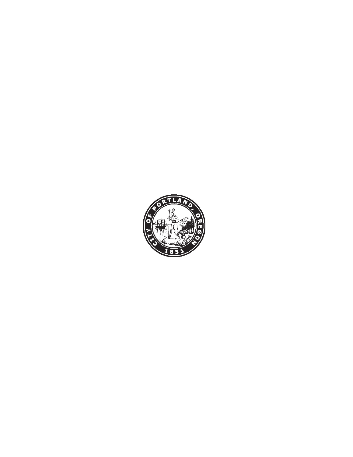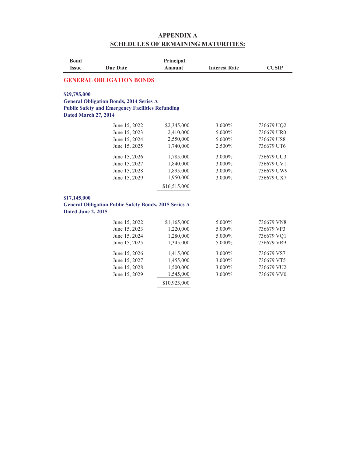| <b>Bond</b>          |                                                              | Principal     |                      |              |
|----------------------|--------------------------------------------------------------|---------------|----------------------|--------------|
| <b>Issue</b>         | <b>Due Date</b>                                              | <b>Amount</b> | <b>Interest Rate</b> | <b>CUSIP</b> |
|                      | <b>GENERAL OBLIGATION BONDS</b>                              |               |                      |              |
|                      |                                                              |               |                      |              |
| \$29,795,000         | <b>General Obligation Bonds, 2014 Series A</b>               |               |                      |              |
|                      | <b>Public Safety and Emergency Facilities Refunding</b>      |               |                      |              |
| Dated March 27, 2014 |                                                              |               |                      |              |
|                      |                                                              |               |                      |              |
|                      | June 15, 2022                                                | \$2,345,000   | 3.000%               | 736679 UQ2   |
|                      | June 15, 2023                                                | 2,410,000     | 5.000%               | 736679 UR0   |
|                      | June 15, 2024                                                | 2,550,000     | 5.000%               | 736679 US8   |
|                      | June 15, 2025                                                | 1,740,000     | 2.500%               | 736679 UT6   |
|                      | June 15, 2026                                                | 1,785,000     | 3.000%               | 736679 UU3   |
|                      | June 15, 2027                                                | 1,840,000     | 3.000%               | 736679 UV1   |
|                      | June 15, 2028                                                | 1,895,000     | 3.000%               | 736679 UW9   |
|                      | June 15, 2029                                                | 1,950,000     | 3.000%               | 736679 UX7   |
|                      |                                                              | \$16,515,000  |                      |              |
|                      |                                                              |               |                      |              |
| \$17,145,000         | <b>General Obligation Public Safety Bonds, 2015 Series A</b> |               |                      |              |
| Dated June 2, 2015   |                                                              |               |                      |              |
|                      |                                                              |               |                      |              |
|                      | June 15, 2022                                                | \$1,165,000   | 5.000%               | 736679 VN8   |
|                      | June 15, 2023                                                | 1,220,000     | 5.000%               | 736679 VP3   |
|                      | June 15, 2024                                                | 1,280,000     | 5.000%               | 736679 VQ1   |
|                      | June 15, 2025                                                | 1,345,000     | 5.000%               | 736679 VR9   |
|                      | June 15, 2026                                                | 1,415,000     | 3.000%               | 736679 VS7   |
|                      | June 15, 2027                                                | 1,455,000     | 3.000%               | 736679 VT5   |
|                      | June 15, 2028                                                | 1,500,000     | 3.000%               | 736679 VU2   |
|                      | June 15, 2029                                                | 1,545,000     | 3.000%               | 736679 VV0   |
|                      |                                                              | \$10,925,000  |                      |              |
|                      |                                                              |               |                      |              |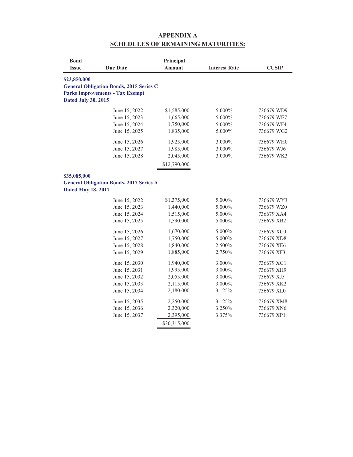| <b>Bond</b><br><b>Issue</b> | <b>Due Date</b>                                | Principal<br><b>Amount</b> | <b>Interest Rate</b> | <b>CUSIP</b> |
|-----------------------------|------------------------------------------------|----------------------------|----------------------|--------------|
| \$23,850,000                |                                                |                            |                      |              |
|                             | <b>General Obligation Bonds, 2015 Series C</b> |                            |                      |              |
|                             | <b>Parks Improvements - Tax Exempt</b>         |                            |                      |              |
| <b>Dated July 30, 2015</b>  |                                                |                            |                      |              |
|                             | June 15, 2022                                  | \$1,585,000                | 5.000%               | 736679 WD9   |
|                             | June 15, 2023                                  | 1,665,000                  | 5.000%               | 736679 WE7   |
|                             | June 15, 2024                                  | 1,750,000                  | 5.000%               | 736679 WF4   |
|                             | June 15, 2025                                  | 1,835,000                  | 5.000\%              | 736679 WG2   |
|                             | June 15, 2026                                  | 1,925,000                  | 3.000%               | 736679 WH0   |
|                             | June 15, 2027                                  | 1,985,000                  | 3.000%               | 736679 WJ6   |
|                             | June 15, 2028                                  | 2,045,000                  | 3.000%               | 736679 WK3   |
|                             |                                                | \$12,790,000               |                      |              |
| \$35,085,000                |                                                |                            |                      |              |
|                             | <b>General Obligation Bonds, 2017 Series A</b> |                            |                      |              |
| <b>Dated May 18, 2017</b>   |                                                |                            |                      |              |
|                             | June 15, 2022                                  | \$1,375,000                | 5.000%               | 736679 WY3   |
|                             | June 15, 2023                                  | 1,440,000                  | 5.000%               | 736679 WZ0   |
|                             | June 15, 2024                                  | 1,515,000                  | 5.000%               | 736679 XA4   |
|                             | June 15, 2025                                  | 1,590,000                  | 5.000%               | 736679 XB2   |
|                             | June 15, 2026                                  | 1,670,000                  | 5.000%               | 736679 XC0   |
|                             | June 15, 2027                                  | 1,750,000                  | 5.000%               | 736679 XD8   |
|                             | June 15, 2028                                  | 1,840,000                  | 2.500%               | 736679 XE6   |
|                             | June 15, 2029                                  | 1,885,000                  | 2.750%               | 736679 XF3   |
|                             | June 15, 2030                                  | 1,940,000                  | 3.000%               | 736679 XG1   |
|                             | June 15, 2031                                  | 1,995,000                  | 3.000%               | 736679 XH9   |
|                             | June 15, 2032                                  | 2,055,000                  | 3.000%               | 736679 XJ5   |
|                             | June 15, 2033                                  | 2,115,000                  | 3.000%               | 736679 XK2   |
|                             | June 15, 2034                                  | 2,180,000                  | 3.125%               | 736679 XL0   |
|                             | June 15, 2035                                  | 2,250,000                  | 3.125%               | 736679 XM8   |
|                             | June 15, 2036                                  | 2,320,000                  | 3.250%               | 736679 XN6   |
|                             | June 15, 2037                                  | 2,395,000                  | 3.375%               | 736679 XP1   |
|                             |                                                | \$30,315,000               |                      |              |
|                             |                                                |                            |                      |              |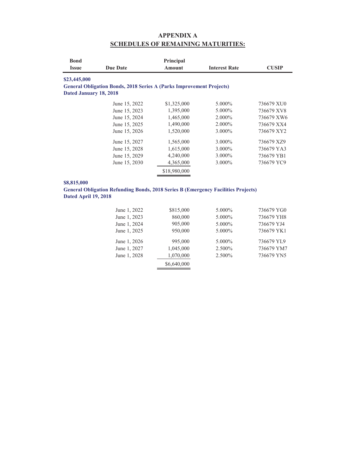| <b>Bond</b>            |                                                                             | Principal    |                      |              |
|------------------------|-----------------------------------------------------------------------------|--------------|----------------------|--------------|
| <b>Issue</b>           | <b>Due Date</b>                                                             | Amount       | <b>Interest Rate</b> | <b>CUSIP</b> |
| \$23,445,000           |                                                                             |              |                      |              |
|                        | <b>General Obligation Bonds, 2018 Series A (Parks Improvement Projects)</b> |              |                      |              |
| Dated January 18, 2018 |                                                                             |              |                      |              |
|                        | June 15, 2022                                                               | \$1,325,000  | 5.000\%              | 736679 XU0   |
|                        | June 15, 2023                                                               | 1,395,000    | 5.000\%              | 736679 XV8   |
|                        | June 15, 2024                                                               | 1,465,000    | 2.000%               | 736679 XW6   |
|                        | June 15, 2025                                                               | 1,490,000    | 2.000\%              | 736679 XX4   |
|                        | June 15, 2026                                                               | 1,520,000    | 3.000\%              | 736679 XY2   |
|                        | June 15, 2027                                                               | 1,565,000    | 3.000\%              | 736679 XZ9   |
|                        | June 15, 2028                                                               | 1,615,000    | 3.000%               | 736679 YA3   |
|                        | June 15, 2029                                                               | 4,240,000    | 3.000\%              | 736679 YB1   |
|                        | June 15, 2030                                                               | 4,365,000    | 3.000%               | 736679 YC9   |
|                        |                                                                             | \$18,980,000 |                      |              |
| \$8,815,000            |                                                                             |              |                      |              |
|                        | $\alpha$ in the that and a non-monthly in the set of $\alpha$               |              |                      |              |

# **General Obligation Refunding Bonds, 2018 Series B (Emergency Facilities Projects) Dated April 19, 2018**

| June 1, 2022 | \$815,000   | 5.000\% | 736679 YG0 |
|--------------|-------------|---------|------------|
| June 1, 2023 | 860,000     | 5.000%  | 736679 YH8 |
| June 1, 2024 | 905,000     | 5.000%  | 736679 YJ4 |
| June 1, 2025 | 950,000     | 5.000\% | 736679 YK1 |
| June 1, 2026 | 995,000     | 5.000\% | 736679 YL9 |
| June 1, 2027 | 1,045,000   | 2.500%  | 736679 YM7 |
| June 1, 2028 | 1,070,000   | 2.500%  | 736679 YN5 |
|              | \$6,640,000 |         |            |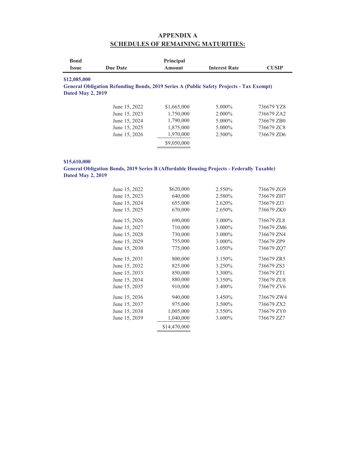| <b>Due Date</b> | <b>Principal</b><br>Amount                | <b>Interest Rate</b> | <b>CUSIP</b>                                                                                         |
|-----------------|-------------------------------------------|----------------------|------------------------------------------------------------------------------------------------------|
|                 |                                           |                      |                                                                                                      |
|                 |                                           |                      |                                                                                                      |
|                 |                                           |                      | 736679 YZ8                                                                                           |
| June 15, 2023   | 1,750,000                                 | $2.000\%$            | 736679 ZA2                                                                                           |
| June 15, 2024   | 1,790,000                                 | 5.000\%              | 736679 ZB0                                                                                           |
| June 15, 2025   | 1,875,000                                 | 5.000\%              | 736679 ZC8                                                                                           |
| June 15, 2026   | 1,970,000                                 | 2.500\%              | 736679 ZD6                                                                                           |
|                 | \$9,050,000                               |                      |                                                                                                      |
|                 | <b>Dated May 2, 2019</b><br>June 15, 2022 | \$1,665,000          | General Obligation Refunding Bonds, 2019 Series A (Public Safety Projects - Tax Exempt)<br>$5.000\%$ |

# **\$15,610,000**

**General Obligation Bonds, 2019 Series B (Affordable Housing Projects - Federally Taxable) Dated May 2, 2019**

| June 15, 2022 | \$620,000    | 2.550% | 736679 ZG9 |
|---------------|--------------|--------|------------|
| June 15, 2023 | 640,000      | 2.580% | 736679 ZH7 |
| June 15, 2024 | 655,000      | 2.620% | 736679 ZJ3 |
| June 15, 2025 | 670,000      | 2.650% | 736679 ZK0 |
| June 15, 2026 | 690,000      | 3.000% | 736679 ZL8 |
| June 15, 2027 | 710,000      | 3.000% | 736679 ZM6 |
| June 15, 2028 | 730,000      | 3.000% | 736679 ZN4 |
| June 15, 2029 | 755,000      | 3.000% | 736679 ZP9 |
| June 15, 2030 | 775,000      | 3.050% | 736679 ZQ7 |
| June 15, 2031 | 800,000      | 3.150% | 736679 ZR5 |
| June 15, 2032 | 825,000      | 3.250% | 736679 ZS3 |
| June 15, 2033 | 850,000      | 3.300% | 736679 ZT1 |
| June 15, 2034 | 880,000      | 3.350% | 736679 ZU8 |
| June 15, 2035 | 910,000      | 3.400% | 736679 ZV6 |
| June 15, 2036 | 940,000      | 3.450% | 736679 ZW4 |
| June 15, 2037 | 975,000      | 3.500% | 736679 ZX2 |
| June 15, 2038 | 1,005,000    | 3.550% | 736679 ZY0 |
| June 15, 2039 | 1,040,000    | 3.600% | 736679 ZZ7 |
|               | \$14,470,000 |        |            |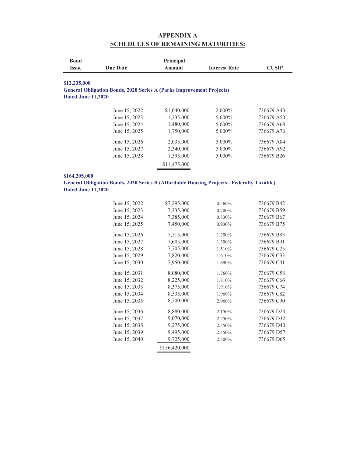| <b>Bond</b>        |                                                                                                  | Principal     |                      |              |
|--------------------|--------------------------------------------------------------------------------------------------|---------------|----------------------|--------------|
| <b>Issue</b>       | <b>Due Date</b>                                                                                  | <b>Amount</b> | <b>Interest Rate</b> | <b>CUSIP</b> |
|                    |                                                                                                  |               |                      |              |
| \$12,235,000       | <b>General Obligation Bonds, 2020 Series A (Parks Improvement Projects)</b>                      |               |                      |              |
| Dated June 11,2020 |                                                                                                  |               |                      |              |
|                    |                                                                                                  |               |                      |              |
|                    | June 15, 2022                                                                                    | \$1,040,000   | 2.000%               | 736679 A43   |
|                    | June 15, 2023                                                                                    | 1,235,000     | 5.000%               | 736679 A50   |
|                    | June 15, 2024                                                                                    | 1,480,000     | 5.000%               | 736679 A68   |
|                    | June 15, 2025                                                                                    | 1,750,000     | 5.000%               | 736679 A76   |
|                    | June 15, 2026                                                                                    | 2,035,000     | 5.000%               | 736679 A84   |
|                    | June 15, 2027                                                                                    | 2,340,000     | 5.000%               | 736679 A92   |
|                    | June 15, 2028                                                                                    | 1,595,000     | 5.000%               | 736679 B26   |
|                    |                                                                                                  | \$11,475,000  |                      |              |
|                    |                                                                                                  |               |                      |              |
| \$164,205,000      | <b>General Obligation Bonds, 2020 Series B (Affordable Housing Projects - Federally Taxable)</b> |               |                      |              |
| Dated June 11,2020 |                                                                                                  |               |                      |              |
|                    |                                                                                                  |               |                      |              |
|                    | June 15, 2022                                                                                    | \$7,295,000   | 0.560%               | 736679 B42   |
|                    | June 15, 2023                                                                                    | 7,335,000     | 0.700%               | 736679 B59   |
|                    | June 15, 2024                                                                                    | 7,385,000     | 0.830%               | 736679 B67   |
|                    | June 15, 2025                                                                                    | 7,450,000     | 0.930%               | 736679 B75   |
|                    | June 15, 2026                                                                                    | 7,515,000     | 1.200%               | 736679 B83   |
|                    | June 15, 2027                                                                                    | 7,605,000     | 1.300%               | 736679 B91   |
|                    | June 15, 2028                                                                                    | 7,705,000     | 1.510%               | 736679 C25   |
|                    | June 15, 2029                                                                                    | 7,820,000     | 1.610%               | 736679 C33   |
|                    | June 15, 2030                                                                                    | 7,950,000     | 1.690%               | 736679 C41   |
|                    | June 15, 2031                                                                                    | 8,080,000     | 1.760%               | 736679 C58   |
|                    | June 15, 2032                                                                                    | 8,225,000     | 1.810%               | 736679 C66   |
|                    | June 15, 2033                                                                                    | 8,375,000     | 1.910%               | 736679 C74   |
|                    | June 15, 2034                                                                                    | 8,535,000     | 1.960%               | 736679 C82   |
|                    | June 15, 2035                                                                                    | 8,700,000     | 2.060%               | 736679 C90   |
|                    | June 15, 2036                                                                                    | 8,880,000     | 2.150%               | 736679 D24   |
|                    | June 15, 2037                                                                                    | 9,070,000     | 2.250%               | 736679 D32   |
|                    | June 15, 2038                                                                                    | 9,275,000     | 2.350%               | 736679 D40   |
|                    | June 15, 2039                                                                                    | 9,495,000     | 2.450%               | 736679 D57   |
|                    | June 15, 2040                                                                                    | 9,725,000     | 2.500%               | 736679 D65   |
|                    |                                                                                                  | \$156,420,000 |                      |              |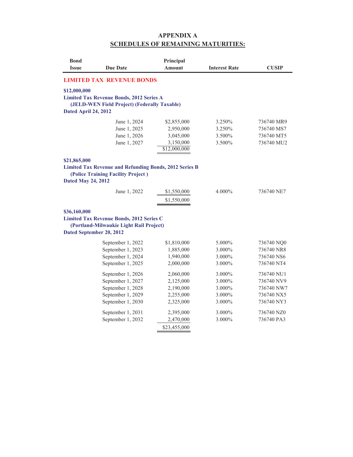| <b>Bond</b><br><b>Issue</b> | <b>Due Date</b>                                               | Principal<br><b>Amount</b> | <b>Interest Rate</b> | <b>CUSIP</b> |
|-----------------------------|---------------------------------------------------------------|----------------------------|----------------------|--------------|
|                             | <b>LIMITED TAX REVENUE BONDS</b>                              |                            |                      |              |
| \$12,000,000                |                                                               |                            |                      |              |
|                             | <b>Limited Tax Revenue Bonds, 2012 Series A</b>               |                            |                      |              |
|                             | (JELD-WEN Field Project) (Federally Taxable)                  |                            |                      |              |
| Dated April 24, 2012        |                                                               |                            |                      |              |
|                             | June 1, 2024                                                  | \$2,855,000                | 3.250%               | 736740 MR9   |
|                             | June 1, 2025                                                  | 2,950,000                  | 3.250%               | 736740 MS7   |
|                             | June 1, 2026                                                  | 3,045,000                  | 3.500%               | 736740 MT5   |
|                             | June 1, 2027                                                  | 3,150,000                  | 3.500%               | 736740 MU2   |
|                             |                                                               | \$12,000,000               |                      |              |
| \$21,865,000                |                                                               |                            |                      |              |
|                             | <b>Limited Tax Revenue and Refunding Bonds, 2012 Series B</b> |                            |                      |              |
|                             | (Police Training Facility Project)                            |                            |                      |              |
| <b>Dated May 24, 2012</b>   |                                                               |                            |                      |              |
|                             |                                                               |                            |                      |              |
|                             | June 1, 2022                                                  | \$1,550,000                | 4.000%               | 736740 NE7   |
|                             |                                                               | \$1,550,000                |                      |              |
| \$36,160,000                |                                                               |                            |                      |              |
|                             | <b>Limited Tax Revenue Bonds, 2012 Series C</b>               |                            |                      |              |
|                             | (Portland-Milwaukie Light Rail Project)                       |                            |                      |              |
|                             | Dated September 20, 2012                                      |                            |                      |              |
|                             |                                                               |                            |                      |              |
|                             | September 1, 2022                                             | \$1,810,000                | 5.000%               | 736740 NQ0   |
|                             | September 1, 2023                                             | 1,885,000                  | 3.000%               | 736740 NR8   |
|                             | September 1, 2024                                             | 1,940,000                  | 3.000%               | 736740 NS6   |
|                             | September 1, 2025                                             | 2,000,000                  | 3.000%               | 736740 NT4   |
|                             | September 1, 2026                                             | 2,060,000                  | 3.000%               | 736740 NU1   |
|                             | September 1, 2027                                             | 2,125,000                  | 3.000%               | 736740 NV9   |
|                             | September 1, 2028                                             | 2,190,000                  | 3.000%               | 736740 NW7   |
|                             | September 1, 2029                                             | 2,255,000                  | 3.000%               | 736740 NX5   |
|                             | September 1, 2030                                             | 2,325,000                  | 3.000%               | 736740 NY3   |
|                             | September 1, 2031                                             | 2,395,000                  | 3.000%               | 736740 NZ0   |
|                             | September 1, 2032                                             | 2,470,000                  | $3.000\%$            | 736740 PA3   |
|                             |                                                               | \$23,455,000               |                      |              |
|                             |                                                               |                            |                      |              |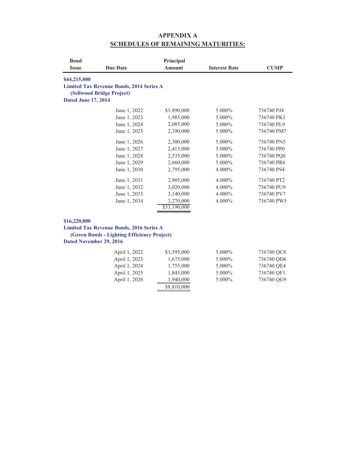| <b>Bond</b>                |                                                                              | Principal                 |                      |              |
|----------------------------|------------------------------------------------------------------------------|---------------------------|----------------------|--------------|
| <b>Issue</b>               | <b>Due Date</b>                                                              | <b>Amount</b>             | <b>Interest Rate</b> | <b>CUSIP</b> |
| \$44,215,000               |                                                                              |                           |                      |              |
|                            | <b>Limited Tax Revenue Bonds, 2014 Series A</b><br>(Sellwood Bridge Project) |                           |                      |              |
| <b>Dated June 17, 2014</b> |                                                                              |                           |                      |              |
|                            | June 1, 2022                                                                 | \$1,890,000               | 5.000%               | 736740 PJ4   |
|                            | June 1, 2023                                                                 | 1,985,000                 | 5.000%               | 736740 PK1   |
|                            | June 1, 2024                                                                 | 2,085,000                 | 5.000%               | 736740 PL9   |
|                            | June 1, 2025                                                                 | 2,190,000                 | 5.000%               | 736740 PM7   |
|                            | June 1, 2026                                                                 | 2,300,000                 | 5.000%               | 736740 PN5   |
|                            | June 1, 2027                                                                 | 2,415,000                 | 5.000%               | 736740 PP0   |
|                            | June 1, 2028                                                                 | 2,535,000                 | 5.000%               | 736740 PO8   |
|                            | June 1, 2029                                                                 | 2,660,000                 | 5.000%               | 736740 PR6   |
|                            | June 1, 2030                                                                 | 2,795,000                 | 4.000%               | 736740 PS4   |
|                            | June 1, 2031                                                                 | 2,905,000                 | 4.000%               | 736740 PT2   |
|                            | June 1, 2032                                                                 | 3,020,000                 | 4.000%               | 736740 PU9   |
|                            | June 1, 2033                                                                 | 3,140,000                 | 4.000%               | 736740 PV7   |
|                            | June 1, 2034                                                                 | 3,270,000<br>\$33,190,000 | 4.000%               | 736740 PW5   |

#### **\$16,220,000**

## **Limited Tax Revenue Bonds, 2016 Series A (Green Bonds - Lighting Efficiency Project) Dated November 29, 2016**

| April 1, 2022 | \$1,595,000 | 5.000\% | 736740 OC8 |
|---------------|-------------|---------|------------|
| April 1, 2023 | 1,675,000   | 5.000%  | 736740 OD6 |
| April 1, 2024 | 1,755,000   | 5.000\% | 736740 OE4 |
| April 1, 2025 | 1,845,000   | 5.000\% | 736740 OF1 |
| April 1, 2026 | 1,940,000   | 5.000\% | 736740 OG9 |
|               | \$8,810,000 |         |            |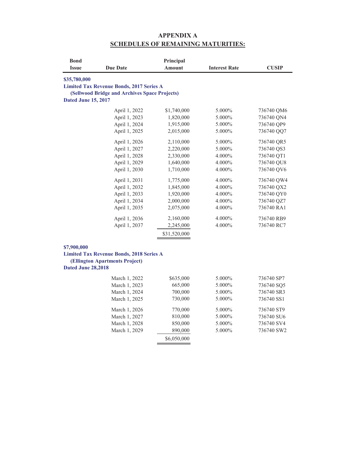| <b>Bond</b>                |                                                 | Principal     |                      |              |
|----------------------------|-------------------------------------------------|---------------|----------------------|--------------|
| <b>Issue</b>               | <b>Due Date</b>                                 | <b>Amount</b> | <b>Interest Rate</b> | <b>CUSIP</b> |
| \$35,780,000               |                                                 |               |                      |              |
|                            | <b>Limited Tax Revenue Bonds, 2017 Series A</b> |               |                      |              |
|                            | (Sellwood Bridge and Archives Space Projects)   |               |                      |              |
| <b>Dated June 15, 2017</b> |                                                 |               |                      |              |
|                            | April 1, 2022                                   | \$1,740,000   | 5.000%               | 736740 QM6   |
|                            | April 1, 2023                                   | 1,820,000     | 5.000%               | 736740 QN4   |
|                            | April 1, 2024                                   | 1,915,000     | 5.000%               | 736740 QP9   |
|                            | April 1, 2025                                   | 2,015,000     | 5.000%               | 736740 QQ7   |
|                            | April 1, 2026                                   | 2,110,000     | 5.000%               | 736740 QR5   |
|                            | April 1, 2027                                   | 2,220,000     | 5.000%               | 736740 QS3   |
|                            | April 1, 2028                                   | 2,330,000     | 4.000%               | 736740 QT1   |
|                            | April 1, 2029                                   | 1,640,000     | 4.000%               | 736740 QU8   |
|                            | April 1, 2030                                   | 1,710,000     | 4.000%               | 736740 QV6   |
|                            | April 1, 2031                                   | 1,775,000     | 4.000%               | 736740 QW4   |
|                            | April 1, 2032                                   | 1,845,000     | 4.000%               | 736740 QX2   |
|                            | April 1, 2033                                   | 1,920,000     | 4.000%               | 736740 QY0   |
|                            | April 1, 2034                                   | 2,000,000     | 4.000%               | 736740 QZ7   |
|                            | April 1, 2035                                   | 2,075,000     | 4.000%               | 736740 RA1   |
|                            | April 1, 2036                                   | 2,160,000     | 4.000%               | 736740 RB9   |
|                            | April 1, 2037                                   | 2,245,000     | 4.000%               | 736740 RC7   |
|                            |                                                 | \$31,520,000  |                      |              |
| \$7,900,000                |                                                 |               |                      |              |
|                            | <b>Limited Tax Revenue Bonds, 2018 Series A</b> |               |                      |              |
|                            | (Ellington Apartments Project)                  |               |                      |              |
| Dated June 28,2018         |                                                 |               |                      |              |
|                            | March 1, 2022                                   | \$635,000     | 5.000%               | 736740 SP7   |
|                            | March 1, 2023                                   | 665,000       | 5.000%               | 736740 SQ5   |
|                            | March 1, 2024                                   | 700,000       | 5.000%               | 736740 SR3   |
|                            | March 1, 2025                                   | 730,000       | 5.000%               | 736740 SS1   |
|                            | March 1, 2026                                   | 770,000       | 5.000%               | 736740 ST9   |
|                            | March 1, 2027                                   | 810,000       | 5.000%               | 736740 SU6   |
|                            | March 1, 2028                                   | 850,000       | 5.000%               | 736740 SV4   |
|                            | March 1, 2029                                   | 890,000       | 5.000%               | 736740 SW2   |

\$6,050,000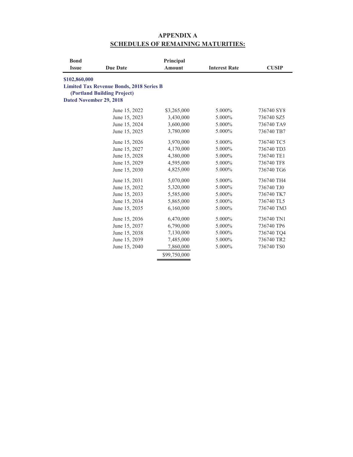| <b>APPENDIX A</b>                         |  |
|-------------------------------------------|--|
| <b>SCHEDULES OF REMAINING MATURITIES:</b> |  |

| <b>Bond</b><br><b>Issue</b> | <b>Due Date</b>                                                                | Principal<br><b>Amount</b> | <b>Interest Rate</b> | <b>CUSIP</b> |
|-----------------------------|--------------------------------------------------------------------------------|----------------------------|----------------------|--------------|
| \$102,860,000               |                                                                                |                            |                      |              |
|                             | <b>Limited Tax Revenue Bonds, 2018 Series B</b><br>(Portland Building Project) |                            |                      |              |
| Dated November 29, 2018     |                                                                                |                            |                      |              |
|                             | June 15, 2022                                                                  | \$3,265,000                | 5.000%               | 736740 SY8   |
|                             | June 15, 2023                                                                  | 3,430,000                  | 5.000%               | 736740 SZ5   |
|                             | June 15, 2024                                                                  | 3,600,000                  | 5.000%               | 736740 TA9   |
|                             | June 15, 2025                                                                  | 3,780,000                  | 5.000%               | 736740 TB7   |
|                             | June 15, 2026                                                                  | 3,970,000                  | 5.000%               | 736740 TC5   |
|                             | June 15, 2027                                                                  | 4,170,000                  | 5.000%               | 736740 TD3   |
|                             | June 15, 2028                                                                  | 4,380,000                  | 5.000%               | 736740 TE1   |
|                             | June 15, 2029                                                                  | 4,595,000                  | 5.000%               | 736740 TF8   |
|                             | June 15, 2030                                                                  | 4,825,000                  | 5.000%               | 736740 TG6   |
|                             | June 15, 2031                                                                  | 5,070,000                  | 5.000%               | 736740 TH4   |
|                             | June 15, 2032                                                                  | 5,320,000                  | 5.000%               | 736740 TJ0   |
|                             | June 15, 2033                                                                  | 5,585,000                  | 5.000%               | 736740 TK7   |
|                             | June 15, 2034                                                                  | 5,865,000                  | 5.000%               | 736740 TL5   |
|                             | June 15, 2035                                                                  | 6,160,000                  | 5.000%               | 736740 TM3   |
|                             | June 15, 2036                                                                  | 6,470,000                  | 5.000%               | 736740 TN1   |
|                             | June 15, 2037                                                                  | 6,790,000                  | 5.000%               | 736740 TP6   |
|                             | June 15, 2038                                                                  | 7,130,000                  | 5.000%               | 736740 TQ4   |
|                             | June 15, 2039                                                                  | 7,485,000                  | 5.000%               | 736740 TR2   |
|                             | June 15, 2040                                                                  | 7,860,000                  | 5.000%               | 736740 TS0   |
|                             |                                                                                | \$99,750,000               |                      |              |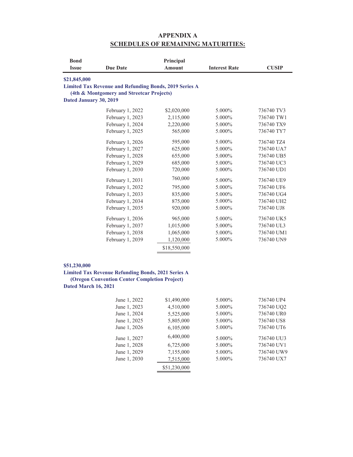| <b>APPENDIX A</b>                         |  |
|-------------------------------------------|--|
| <b>SCHEDULES OF REMAINING MATURITIES:</b> |  |

| <b>Bond</b><br><b>Issue</b> | <b>Due Date</b>                                                                                            | Principal<br><b>Amount</b> | <b>Interest Rate</b> | <b>CUSIP</b> |
|-----------------------------|------------------------------------------------------------------------------------------------------------|----------------------------|----------------------|--------------|
| \$21,845,000                |                                                                                                            |                            |                      |              |
|                             | <b>Limited Tax Revenue and Refunding Bonds, 2019 Series A</b><br>(4th & Montgomery and Streetcar Projects) |                            |                      |              |
| Dated January 30, 2019      |                                                                                                            |                            |                      |              |
|                             | February 1, 2022                                                                                           | \$2,020,000                | 5.000%               | 736740 TV3   |
|                             | February 1, 2023                                                                                           | 2,115,000                  | 5.000%               | 736740 TW1   |
|                             | February 1, 2024                                                                                           | 2,220,000                  | 5.000%               | 736740 TX9   |
|                             | February 1, 2025                                                                                           | 565,000                    | 5.000%               | 736740 TY7   |
|                             | February 1, 2026                                                                                           | 595,000                    | 5.000%               | 736740 TZ4   |
|                             | February 1, 2027                                                                                           | 625,000                    | 5.000%               | 736740 UA7   |
|                             | February 1, 2028                                                                                           | 655,000                    | 5.000%               | 736740 UB5   |
|                             | February 1, 2029                                                                                           | 685,000                    | 5.000%               | 736740 UC3   |
|                             | February 1, 2030                                                                                           | 720,000                    | 5.000%               | 736740 UD1   |
|                             | February 1, 2031                                                                                           | 760,000                    | 5.000%               | 736740 UE9   |
|                             | February 1, 2032                                                                                           | 795,000                    | 5.000%               | 736740 UF6   |
|                             | February 1, 2033                                                                                           | 835,000                    | 5.000%               | 736740 UG4   |
|                             | February 1, 2034                                                                                           | 875,000                    | 5.000%               | 736740 UH2   |
|                             | February 1, 2035                                                                                           | 920,000                    | 5.000%               | 736740 UJ8   |
|                             | February 1, 2036                                                                                           | 965,000                    | 5.000%               | 736740 UK5   |
|                             | February 1, 2037                                                                                           | 1,015,000                  | 5.000%               | 736740 UL3   |
|                             | February 1, 2038                                                                                           | 1,065,000                  | 5.000%               | 736740 UM1   |
|                             | February 1, 2039                                                                                           | 1,120,000                  | 5.000%               | 736740 UN9   |
|                             |                                                                                                            | \$18,550,000               |                      |              |

### **\$51,230,000**

# **Limited Tax Revenue Refunding Bonds, 2021 Series A (Oregon Convention Center Completion Project) Dated March 16, 2021**

| June 1, 2022 | \$1,490,000  | 5.000\% | 736740 UP4 |
|--------------|--------------|---------|------------|
| June 1, 2023 | 4,510,000    | 5.000%  | 736740 UQ2 |
| June 1, 2024 | 5,525,000    | 5.000%  | 736740 UR0 |
| June 1, 2025 | 5,805,000    | 5.000%  | 736740 US8 |
| June 1, 2026 | 6,105,000    | 5.000%  | 736740 UT6 |
| June 1, 2027 | 6,400,000    | 5.000%  | 736740 UU3 |
| June 1, 2028 | 6,725,000    | 5.000\% | 736740 UV1 |
| June 1, 2029 | 7,155,000    | 5.000%  | 736740 UW9 |
| June 1, 2030 | 7,515,000    | 5.000%  | 736740 UX7 |
|              | \$51,230,000 |         |            |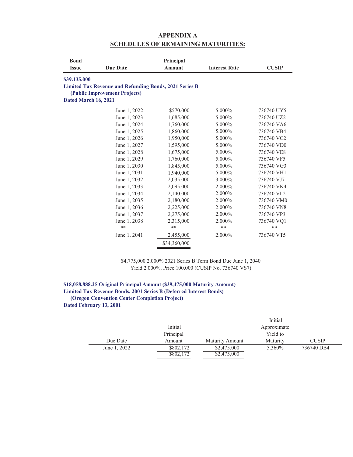| <b>APPENDIX A</b>                         |  |
|-------------------------------------------|--|
| <b>SCHEDULES OF REMAINING MATURITIES:</b> |  |

| <b>Bond</b><br><b>Issue</b> | <b>Due Date</b>                                               | Principal<br><b>Amount</b> | <b>Interest Rate</b> | <b>CUSIP</b> |
|-----------------------------|---------------------------------------------------------------|----------------------------|----------------------|--------------|
| \$39.135.000                |                                                               |                            |                      |              |
|                             | <b>Limited Tax Revenue and Refunding Bonds, 2021 Series B</b> |                            |                      |              |
|                             | (Public Improvement Projects)                                 |                            |                      |              |
| Dated March 16, 2021        |                                                               |                            |                      |              |
|                             | June 1, 2022                                                  | \$570,000                  | 5.000\%              | 736740 UY5   |
|                             | June 1, 2023                                                  | 1,685,000                  | 5.000%               | 736740 UZ2   |
|                             | June 1, 2024                                                  | 1,760,000                  | 5.000%               | 736740 VA6   |
|                             | June 1, 2025                                                  | 1,860,000                  | 5.000%               | 736740 VB4   |
|                             | June 1, 2026                                                  | 1,950,000                  | 5.000%               | 736740 VC2   |
|                             | June 1, 2027                                                  | 1,595,000                  | 5.000%               | 736740 VD0   |
|                             | June 1, 2028                                                  | 1,675,000                  | 5.000%               | 736740 VE8   |
|                             | June 1, 2029                                                  | 1,760,000                  | 5.000%               | 736740 VF5   |
|                             | June 1, 2030                                                  | 1,845,000                  | 5.000%               | 736740 VG3   |
|                             | June 1, 2031                                                  | 1,940,000                  | 5.000%               | 736740 VH1   |
|                             | June 1, 2032                                                  | 2,035,000                  | 3.000%               | 736740 VJ7   |
|                             | June 1, 2033                                                  | 2,095,000                  | 2.000%               | 736740 VK4   |
|                             | June 1, 2034                                                  | 2,140,000                  | 2.000%               | 736740 VL2   |
|                             | June 1, 2035                                                  | 2,180,000                  | 2.000%               | 736740 VM0   |
|                             | June 1, 2036                                                  | 2,225,000                  | 2.000%               | 736740 VN8   |
|                             | June 1, 2037                                                  | 2,275,000                  | 2.000%               | 736740 VP3   |
|                             | June 1, 2038                                                  | 2,315,000                  | 2.000%               | 736740 VO1   |
|                             | $***$                                                         | $***$                      | **                   | **           |
|                             | June 1, 2041                                                  | 2,455,000                  | 2.000%               | 736740 VT5   |
|                             |                                                               | \$34,360,000               |                      |              |

\$4,775,000 2.000% 2021 Series B Term Bond Due June 1, 2040 Yield 2.000%, Price 100.000 (CUSIP No. 736740 VS7)

# **\$18,058,888.25 Original Principal Amount (\$39,475,000 Maturity Amount) Limited Tax Revenue Bonds, 2001 Series B (Deferred Interest Bonds) (Oregon Convention Center Completion Project) Dated February 13, 2001**

Due Date Initial Principal Amount Maturity Amount Initial Approximate Yield to Maturity CUSIP June 1, 2022 \$802,172 \$2,475,000 5.360% 736740 DB4 \$802,172 \$2,475,000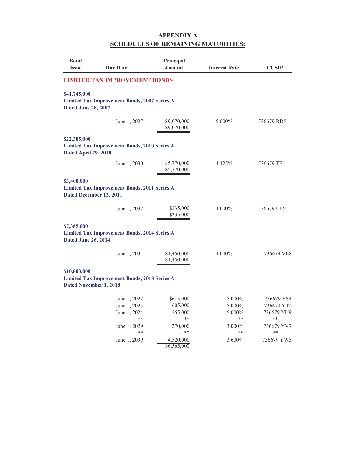| <b>Bond</b><br><b>Issue</b>                   | <b>Due Date</b>                                     | Principal<br><b>Amount</b>      | <b>Interest Rate</b>       | <b>CUSIP</b>                           |
|-----------------------------------------------|-----------------------------------------------------|---------------------------------|----------------------------|----------------------------------------|
|                                               | <b>LIMITED TAX IMPROVEMENT BONDS</b>                |                                 |                            |                                        |
| \$41,745,000<br><b>Dated June 28, 2007</b>    | <b>Limited Tax Improvement Bonds, 2007 Series A</b> |                                 |                            |                                        |
|                                               | June 1, 2027                                        | \$9,070,000<br>\$9,070,000      | 5.000%                     | 736679 RD5                             |
| \$22,305,000                                  |                                                     |                                 |                            |                                        |
| Dated April 29, 2010                          | <b>Limited Tax Improvement Bonds, 2010 Series A</b> |                                 |                            |                                        |
|                                               | June 1, 2030                                        | \$5,770,000<br>\$5,770,000      | 4.125%                     | 736679 TE1                             |
| \$3,400,000<br>Dated December 13, 2011        | <b>Limited Tax Improvement Bonds, 2011 Series A</b> |                                 |                            |                                        |
|                                               | June 1, 2032                                        | \$235,000<br>\$235,000          | 4.000%                     | 736679 UE9                             |
| \$7,385,000<br><b>Dated June 26, 2014</b>     | <b>Limited Tax Improvement Bonds, 2014 Series A</b> |                                 |                            |                                        |
|                                               | June 1, 2034                                        | \$1,450,000<br>\$1,450,000      | 4.000%                     | 736679 VE8                             |
| \$10,800,000<br><b>Dated November 1, 2018</b> | <b>Limited Tax Improvement Bonds, 2018 Series A</b> |                                 |                            |                                        |
|                                               | June 1, 2022<br>June 1, 2023<br>June 1, 2024        | \$615,000<br>605,000<br>555,000 | 5.000%<br>5.000%<br>5.000% | 736679 YS4<br>736679 YT2<br>736679 YU9 |
|                                               | **<br>June 1, 2029<br>$***$                         | **<br>270,000<br>**             | $***$<br>3.000%<br>$***$   | $***$<br>736679 YV7<br>$***$           |
|                                               | June 1, 2039                                        | 4,520,000<br>\$6,565,000        | 3.600%                     | 736679 YW5                             |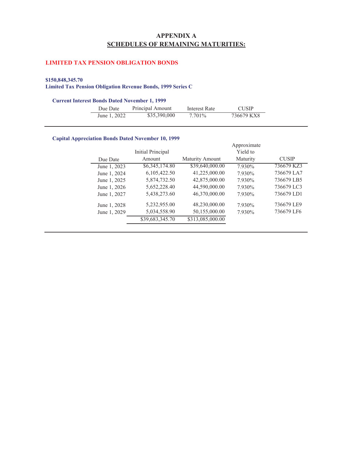# **SCHEDULES OF REMAINING MATURITIES: APPENDIX A**

# **LIMITED TAX PENSION OBLIGATION BONDS**

# **\$150,848,345.70**

# **Limited Tax Pension Obligation Revenue Bonds, 1999 Series C**

|  |  |  |  |  | <b>Current Interest Bonds Dated November 1, 1999</b> |  |
|--|--|--|--|--|------------------------------------------------------|--|
|--|--|--|--|--|------------------------------------------------------|--|

# **Capital Appreciation Bonds Dated November 10, 1999**

|              | iativn Donus Dattu Ivottinoti To, 1999 |                  |             |              |
|--------------|----------------------------------------|------------------|-------------|--------------|
|              |                                        |                  | Approximate |              |
|              | Initial Principal                      |                  | Yield to    |              |
| Due Date     | Amount                                 | Maturity Amount  | Maturity    | <b>CUSIP</b> |
| June 1, 2023 | \$6,345,174.80                         | \$39,640,000.00  | 7.930%      | 736679 KZ3   |
| June 1, 2024 | 6,105,422.50                           | 41,225,000.00    | 7.930%      | 736679 LA7   |
| June 1, 2025 | 5,874,732.50                           | 42,875,000.00    | 7.930%      | 736679 LB5   |
| June 1, 2026 | 5,652,228.40                           | 44,590,000.00    | 7.930%      | 736679 LC3   |
| June 1, 2027 | 5,438,273.60                           | 46,370,000.00    | 7.930%      | 736679 LD1   |
| June 1, 2028 | 5,232,955.00                           | 48,230,000.00    | 7.930%      | 736679 LE9   |
| June 1, 2029 | 5,034,558.90                           | 50,155,000.00    | 7.930%      | 736679 LF6   |
|              | \$39,683,345.70                        | \$313,085,000.00 |             |              |
|              |                                        |                  |             |              |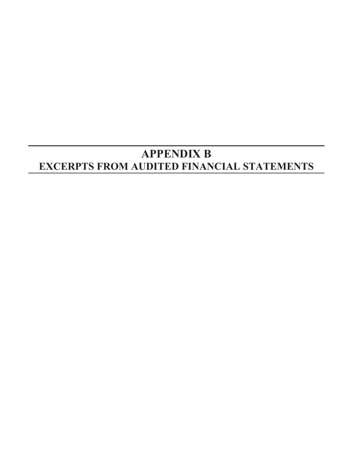# **APPENDIX B EXCERPTS FROM AUDITED FINANCIAL STATEMENTS**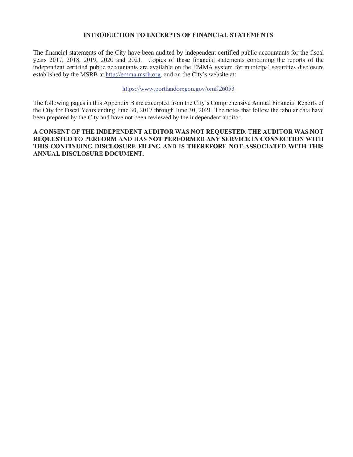# **INTRODUCTION TO EXCERPTS OF FINANCIAL STATEMENTS**

The financial statements of the City have been audited by independent certified public accountants for the fiscal years 2017, 2018, 2019, 2020 and 2021. Copies of these financial statements containing the reports of the independent certified public accountants are available on the EMMA system for municipal securities disclosure established by the MSRB at http://emma.msrb.org. and on the City's website at:

https://www.portlandoregon.gov/omf/26053

The following pages in this Appendix B are excerpted from the City's Comprehensive Annual Financial Reports of the City for Fiscal Years ending June 30, 2017 through June 30, 2021. The notes that follow the tabular data have been prepared by the City and have not been reviewed by the independent auditor.

# **A CONSENT OF THE INDEPENDENT AUDITOR WAS NOT REQUESTED. THE AUDITOR WAS NOT REQUESTED TO PERFORM AND HAS NOT PERFORMED ANY SERVICE IN CONNECTION WITH THIS CONTINUING DISCLOSURE FILING AND IS THEREFORE NOT ASSOCIATED WITH THIS ANNUAL DISCLOSURE DOCUMENT.**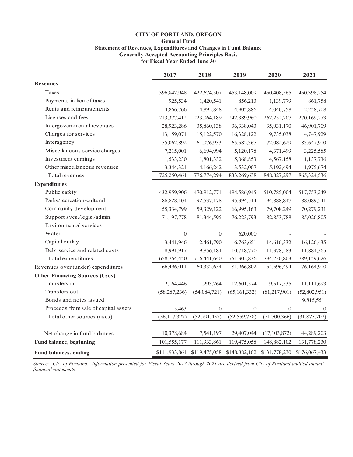# **CITY OF PORTLAND, OREGON General Fund Statement of Revenues, Expenditures and Changes in Fund Balance Generally Accepted Accounting Principles Basis for Fiscal Year Ended June 30**

|                                       | 2017           | 2018                                                                  | 2019             | 2020           | 2021           |
|---------------------------------------|----------------|-----------------------------------------------------------------------|------------------|----------------|----------------|
| <b>Revenues</b>                       |                |                                                                       |                  |                |                |
| Taxes                                 | 396,842,948    | 422,674,507                                                           | 453,148,009      | 450,408,565    | 450,398,254    |
| Payments in lieu of taxes             | 925,534        | 1,420,541                                                             | 856,213          | 1,139,779      | 861,758        |
| Rents and reimbursements              | 4,866,766      | 4,892,848                                                             | 4,905,886        | 4,046,758      | 2,258,708      |
| Licenses and fees                     | 213,377,412    | 223,064,189                                                           | 242,389,960      | 262,252,207    | 270,169,273    |
| Intergovernmental revenues            | 28,923,286     | 35,860,138                                                            | 36,338,043       | 35,031,170     | 46,901,709     |
| Charges for services                  | 13,159,071     | 15, 122, 570                                                          | 16,328,122       | 9,735,038      | 4,747,929      |
| Interagency                           | 55,062,892     | 61,076,933                                                            | 65,582,367       | 72,082,629     | 83,647,910     |
| Miscellaneous service charges         | 7,215,001      | 6,694,994                                                             | 5,120,178        | 4,371,499      | 3,225,585      |
| Investment earnings                   | 1,533,230      | 1,801,332                                                             | 5,068,853        | 4,567,158      | 1,137,736      |
| Other miscellaneous revenues          | 3,344,321      | 4,166,242                                                             | 3,532,007        | 5,192,494      | 1,975,674      |
| Total revenues                        | 725,250,461    | 776,774,294                                                           | 833,269,638      | 848, 827, 297  | 865,324,536    |
| <b>Expenditures</b>                   |                |                                                                       |                  |                |                |
| Public safety                         | 432,959,906    | 470,912,771                                                           | 494,586,945      | 510,785,004    | 517,753,249    |
| Parks/recreation/cultural             | 86,828,104     | 92,537,178                                                            | 95,394,514       | 94,888,847     | 88,089,541     |
| Community development                 | 55,334,799     | 59,329,122                                                            | 66,995,163       | 79,708,249     | 70,279,231     |
| Support svcs./legis./admin.           | 71,197,778     | 81,344,595                                                            | 76,223,793       | 82, 853, 788   | 85,026,805     |
| Environmental services                |                |                                                                       |                  |                |                |
| Water                                 | $\mathbf{0}$   | $\boldsymbol{0}$                                                      | 620,000          |                |                |
| Capital outlay                        | 3,441,946      | 2,461,790                                                             | 6,763,651        | 14,616,332     | 16,126,435     |
| Debt service and related costs        | 8,991,917      | 9,856,184                                                             | 10,718,770       | 11,378,583     | 11,884,365     |
| Total expenditures                    | 658,754,450    | 716,441,640                                                           | 751,302,836      | 794,230,803    | 789,159,626    |
| Revenues over (under) expenditures    | 66,496,011     | 60,332,654                                                            | 81,966,802       | 54,596,494     | 76,164,910     |
| <b>Other Financing Sources (Uses)</b> |                |                                                                       |                  |                |                |
| Transfers in                          | 2,164,446      | 1,293,264                                                             | 12,601,574       | 9,517,535      | 11,111,693     |
| Transfers out                         | (58, 287, 236) | (54,084,721)                                                          | (65, 161, 332)   | (81, 217, 901) | (52,802,951)   |
| Bonds and notes issued                |                |                                                                       |                  |                | 9,815,551      |
| Proceeds from sale of capital assets  | 5,463          | $\boldsymbol{0}$                                                      | $\boldsymbol{0}$ | $\mathbf{0}$   | $\overline{0}$ |
| Total other sources (uses)            | (56, 117, 327) | (52, 791, 457)                                                        | (52, 559, 758)   | (71,700,366)   | (31,875,707)   |
| Net change in fund balances           | 10,378,684     | 7,541,197                                                             | 29,407,044       | (17, 103, 872) | 44,289,203     |
| Fund balance, beginning               | 101,555,177    | 111,933,861                                                           | 119,475,058      | 148,882,102    | 131,778,230    |
| <b>Fund balances, ending</b>          |                | \$111,933,861 \$119,475,058 \$148,882,102 \$131,778,230 \$176,067,433 |                  |                |                |

*Source: City of Portland. Information presented for Fiscal Years 2017 through 2021 are derived from City of Portland audited annual financial statements.*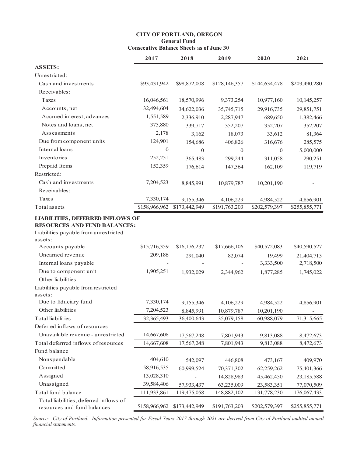# **CITY OF PORTLAND, OREGON General Fund Consecutive Balance Sheets as of June 30**

|                                                                              | 2017          | 2018          | 2019           | 2020          | 2021          |
|------------------------------------------------------------------------------|---------------|---------------|----------------|---------------|---------------|
| <b>ASSETS:</b>                                                               |               |               |                |               |               |
| Unrestricted:                                                                |               |               |                |               |               |
| Cash and investments                                                         | \$93,431,942  | \$98,872,008  | \$128,146,357  | \$144,634,478 | \$203,490,280 |
| Receivables:                                                                 |               |               |                |               |               |
| Taxes                                                                        | 16,046,561    | 18,570,996    | 9,373,254      | 10,977,160    | 10,145,257    |
| Accounts, net                                                                | 32,494,604    | 34,622,036    | 35,745,715     | 29,916,735    | 29,851,751    |
| Accrued interest, advances                                                   | 1,551,589     | 2,336,910     | 2,287,947      | 689,650       | 1,382,466     |
| Notes and loans, net                                                         | 375,880       | 339,717       | 352,207        | 352,207       | 352,207       |
| Assessments                                                                  | 2,178         | 3,162         | 18,073         | 33,612        | 81,364        |
| Due from component units                                                     | 124,901       | 154,686       | 406,826        | 316,676       | 285,575       |
| Internal loans                                                               | $\mathbf{0}$  | $\mathbf{0}$  | $\overline{0}$ | $\mathbf{0}$  | 5,000,000     |
| Inventories                                                                  | 252,251       | 365,483       | 299,244        | 311,058       | 290,251       |
| Prepaid Items                                                                | 152,359       | 176,614       | 147,564        | 162,109       | 119,719       |
| Restricted:                                                                  |               |               |                |               |               |
| Cash and investments                                                         | 7,204,523     | 8,845,991     | 10,879,787     | 10,201,190    |               |
| Receivables:                                                                 |               |               |                |               |               |
| Taxes                                                                        | 7,330,174     | 9,155,346     | 4,106,229      | 4,984,522     | 4,856,901     |
| Total assets                                                                 | \$158,966,962 | \$173,442,949 | \$191,763,203  | \$202,579,397 | \$255,855,771 |
| <b>RESOURCES AND FUND BALANCES:</b><br>Liabilities payable from unrestricted |               |               |                |               |               |
| assets:<br>Accounts payable                                                  | \$15,716,359  | \$16,176,237  | \$17,666,106   | \$40,572,083  | \$40,590,527  |
| Unearned revenue                                                             | 209,186       | 291,040       | 82,074         | 19,499        | 21,404,715    |
| Internal loans payable                                                       |               |               |                | 3,333,500     | 2,718,500     |
| Due to component unit                                                        | 1,905,251     | 1,932,029     | 2,344,962      |               |               |
| Other liabilities                                                            |               |               |                | 1,877,285     | 1,745,022     |
| Liabilities payable from restricted                                          |               |               |                |               |               |
| assets:                                                                      |               |               |                |               |               |
| Due to fiduciary fund                                                        | 7,330,174     | 9,155,346     | 4,106,229      | 4,984,522     | 4,856,901     |
| Other liabilities                                                            | 7,204,523     | 8,845,991     | 10,879,787     | 10,201,190    |               |
| <b>Total</b> liabilities                                                     | 32,365,493    | 36,400,643    | 35,079,158     | 60,988,079    | 71,315,665    |
| Deferred inflows of resources                                                |               |               |                |               |               |
| Unavailable revenue - unrestricted                                           | 14,667,608    | 17,567,248    | 7,801,943      | 9,813,088     | 8,472,673     |
| Total deferrred inflows of resources                                         | 14,667,608    | 17,567,248    | 7,801,943      | 9,813,088     | 8,472,673     |
| Fund balance                                                                 |               |               |                |               |               |
| Nonspendable                                                                 | 404,610       | 542,097       | 446,808        | 473,167       | 409,970       |
| Committed                                                                    | 58,916,535    | 60,999,524    | 70,371,302     | 62,259,262    | 75,401,366    |
| Assigned                                                                     | 13,028,310    |               | 14,828,983     | 45,462,450    | 23,185,588    |
| Unassigned                                                                   | 39,584,406    | 57,933,437    | 63,235,009     | 23,583,351    | 77,070,509    |
| Total fund balance                                                           | 111,933,861   | 119,475,058   | 148,882,102    | 131,778,230   | 176,067,433   |
| Total liabilities, deferred inflows of<br>resources and fund balances        | \$158,966,962 | \$173,442,949 | \$191,763,203  | \$202,579,397 | \$255,855,771 |

*Source: City of Portland. Information presented for Fiscal Years 2017 through 2021 are derived from City of Portland audited annual financial statements.*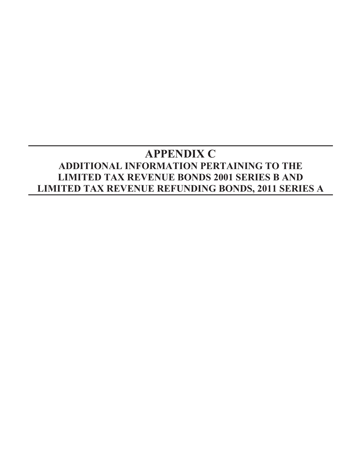# **APPENDIX C**

# **ADDITIONAL INFORMATION PERTAINING TO THE LIMITED TAX REVENUE BONDS 2001 SERIES B AND LIMITED TAX REVENUE REFUNDING BONDS, 2011 SERIES A**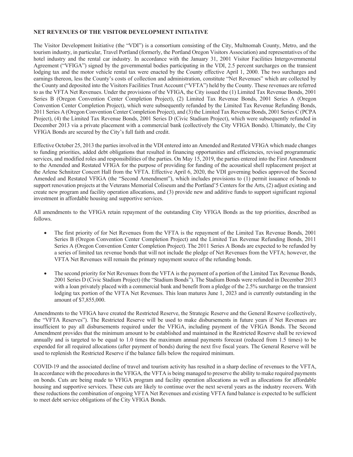### **NET REVENUES OF THE VISITOR DEVELOPMENT INITIATIVE**

The Visitor Development Initiative (the "VDI") is a consortium consisting of the City, Multnomah County, Metro, and the tourism industry, in particular, Travel Portland (formerly, the Portland Oregon Visitors Association) and representatives of the hotel industry and the rental car industry. In accordance with the January 31, 2001 Visitor Facilities Intergovernmental Agreement ("VFIGA") signed by the governmental bodies participating in the VDI, 2.5 percent surcharges on the transient lodging tax and the motor vehicle rental tax were enacted by the County effective April 1, 2000. The two surcharges and earnings thereon, less the County's costs of collection and administration, constitute "Net Revenues" which are collected by the County and deposited into the Visitors Facilities Trust Account ("VFTA") held by the County. These revenues are referred to as the VFTA Net Revenues. Under the provisions of the VFIGA, the City issued the (1) Limited Tax Revenue Bonds, 2001 Series B (Oregon Convention Center Completion Project), (2) Limited Tax Revenue Bonds, 2001 Series A (Oregon Convention Center Completion Project), which were subsequently refunded by the Limited Tax Revenue Refunding Bonds, 2011 Series A (Oregon Convention Center Completion Project), and (3) the Limited Tax Revenue Bonds, 2001 Series C (PCPA Project), (4) the Limited Tax Revenue Bonds, 2001 Series D (Civic Stadium Project), which were subsequently refunded in December 2013 via a private placement with a commercial bank (collectively the City VFIGA Bonds). Ultimately, the City VFIGA Bonds are secured by the City's full faith and credit.

Effective October 25, 2013 the parties involved in the VDI entered into an Amended and Restated VFIGA which made changes to funding priorities, added debt obligations that resulted in financing opportunities and efficiencies, revised programmatic services, and modified roles and responsibilities of the parties. On May 15, 2019, the parties entered into the First Amendment to the Amended and Restated VFIGA for the purpose of providing for funding of the acoustical shell replacement project at the Arlene Schnitzer Concert Hall from the VFTA. Effective April 6, 2020, the VDI governing bodies approved the Second Amended and Restated VFIGA (the "Second Amendment"), which includes provisions to (1) permit issuance of bonds to support renovation projects at the Veterans Memorial Coliseum and the Portland'5 Centers for the Arts, (2) adjust existing and create new program and facility operation allocations, and (3) provide new and additive funds to support significant regional investment in affordable housing and supportive services.

All amendments to the VFIGA retain repayment of the outstanding City VFIGA Bonds as the top priorities, described as follows.

- The first priority of for Net Revenues from the VFTA is the repayment of the Limited Tax Revenue Bonds, 2001 Series B (Oregon Convention Center Completion Project) and the Limited Tax Revenue Refunding Bonds, 2011 Series A (Oregon Convention Center Completion Project). The 2011 Series A Bonds are expected to be refunded by a series of limited tax revenue bonds that will not include the pledge of Net Revenues from the VFTA; however, the VFTA Net Revenues will remain the primary repayment source of the refunding bonds.
- The second priority for Net Revenues from the VFTA is the payment of a portion of the Limited Tax Revenue Bonds, 2001 Series D (Civic Stadium Project) (the "Stadium Bonds"). The Stadium Bonds were refunded in December 2013 with a loan privately placed with a commercial bank and benefit from a pledge of the 2.5% surcharge on the transient lodging tax portion of the VFTA Net Revenues. This loan matures June 1, 2023 and is currently outstanding in the amount of \$7,855,000.

Amendments to the VFIGA have created the Restricted Reserve, the Strategic Reserve and the General Reserve (collectively, the "VFTA Reserves"). The Restricted Reserve will be used to make disbursements in future years if Net Revenues are insufficient to pay all disbursements required under the VFIGA, including payment of the VFIGA Bonds. The Second Amendment provides that the minimum amount to be established and maintained in the Restricted Reserve shall be reviewed annually and is targeted to be equal to 1.0 times the maximum annual payments forecast (reduced from 1.5 times) to be expended for all required allocations (after payment of bonds) during the next five fiscal years. The General Reserve will be used to replenish the Restricted Reserve if the balance falls below the required minimum.

COVID-19 and the associated decline of travel and tourism activity has resulted in a sharp decline of revenues to the VFTA, In accordance with the procedures in the VFIGA, the VFTA is being managed to preserve the ability to make required payments on bonds. Cuts are being made to VFIGA program and facility operation allocations as well as allocations for affordable housing and supportive services. These cuts are likely to continue over the next several years as the industry recovers. With these reductions the combination of ongoing VFTA Net Revenues and existing VFTA fund balance is expected to be sufficient to meet debt service obligations of the City VFIGA Bonds.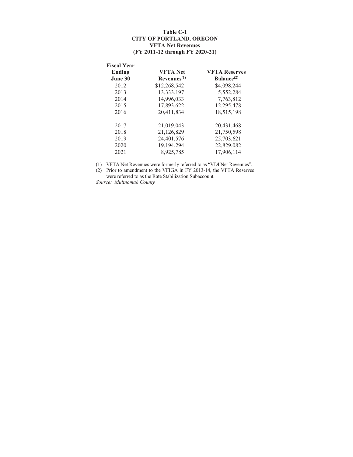# **Table C-1 CITY OF PORTLAND, OREGON VFTA Net Revenues (FY 2011-12 through FY 2020-21)**

| <b>Fiscal Year</b><br>Ending<br>June 30 | <b>VFTA</b> Net<br>Revenues <sup>(1)</sup> | <b>VFTA Reserves</b><br>$Balance^{(2)}$ |
|-----------------------------------------|--------------------------------------------|-----------------------------------------|
| 2012                                    | \$12,268,542                               | \$4,098,244                             |
| 2013                                    | 13,333,197                                 | 5,552,284                               |
| 2014                                    | 14,996,033                                 | 7,763,812                               |
| 2015                                    | 17,893,622                                 | 12,295,478                              |
| 2016                                    | 20.411.834                                 | 18,515,198                              |
| 2017                                    | 21,019,043                                 | 20,431,468                              |
| 2018                                    | 21,126,829                                 | 21,750,598                              |
| 2019                                    | 24,401,576                                 | 25,703,621                              |
| 2020                                    | 19, 194, 294                               | 22,829,082                              |
| 2021                                    | 8,925,785                                  | 17,906,114                              |

(1) VFTA Net Revenues were formerly referred to as "VDI Net Revenues".

(2) Prior to amendment to the VFIGA in FY 2013-14, the VFTA Reserves were referred to as the Rate Stabilization Subaccount.

*Source: Multnomah County*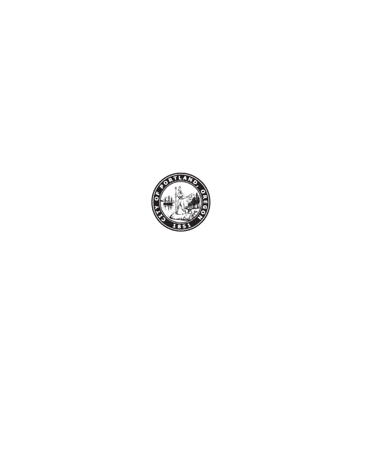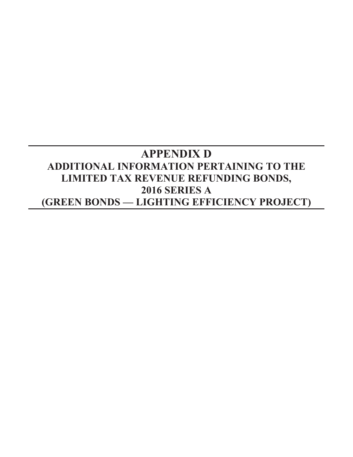# **APPENDIX D ADDITIONAL INFORMATION PERTAINING TO THE LIMITED TAX REVENUE REFUNDING BONDS, 2016 SERIES A (GREEN BONDS — LIGHTING EFFICIENCY PROJECT)**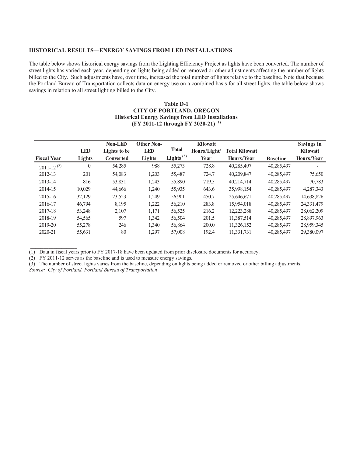#### **HISTORICAL RESULTS—ENERGY SAVINGS FROM LED INSTALLATIONS**

The table below shows historical energy savings from the Lighting Efficiency Project as lights have been converted. The number of street lights has varied each year, depending on lights being added or removed or other adjustments affecting the number of lights billed to the City. Such adjustments have, over time, increased the total number of lights relative to the baseline. Note that because the Portland Bureau of Transportation collects data on energy use on a combined basis for all street lights, the table below shows savings in relation to all street lighting billed to the City.

#### **Table D-1 CITY OF PORTLAND, OREGON Historical Energy Savings from LED Installations (FY 2011-12 through FY 2020-21) (1)**

|                    | <b>LED</b> | <b>Non-LED</b><br>Lights to be | <b>Other Non-</b><br><b>LED</b> | <b>Total</b>          | Kilowatt<br>Hours/Light/ | <b>Total Kilowatt</b> |                 | Savings in<br>Kilowatt |
|--------------------|------------|--------------------------------|---------------------------------|-----------------------|--------------------------|-----------------------|-----------------|------------------------|
| <b>Fiscal Year</b> | Lights     | <b>Converted</b>               | Lights                          | Lights <sup>(3)</sup> | Year                     | Hours/Year            | <b>Baseline</b> | Hours/Year             |
| $2011 - 12^{(2)}$  | $\theta$   | 54,285                         | 988                             | 55,273                | 728.8                    | 40,285,497            | 40,285,497      |                        |
| 2012-13            | 201        | 54,083                         | 1,203                           | 55,487                | 724.7                    | 40,209,847            | 40,285,497      | 75,650                 |
| 2013-14            | 816        | 53,831                         | 1,243                           | 55,890                | 719.5                    | 40.214,714            | 40.285,497      | 70,783                 |
| 2014-15            | 10.029     | 44,666                         | 1,240                           | 55,935                | 643.6                    | 35,998,154            | 40,285,497      | 4,287,343              |
| 2015-16            | 32,129     | 23,523                         | 1.249                           | 56,901                | 450.7                    | 25,646,671            | 40.285,497      | 14,638,826             |
| 2016-17            | 46,794     | 8,195                          | 1,222                           | 56,210                | 283.8                    | 15,954,018            | 40,285,497      | 24,331,479             |
| 2017-18            | 53,248     | 2,107                          | 1,171                           | 56,525                | 216.2                    | 12,223,288            | 40,285,497      | 28,062,209             |
| 2018-19            | 54.565     | 597                            | 1.342                           | 56,504                | 201.5                    | 11.387.514            | 40.285.497      | 28,897,963             |
| 2019-20            | 55,278     | 246                            | 1,340                           | 56,864                | 200.0                    | 11,326,152            | 40,285,497      | 28,959,345             |
| 2020-21            | 55,631     | 80                             | 1,297                           | 57,008                | 192.4                    | 11,331,731            | 40,285,497      | 29,380,097             |

(1) Data in fiscal years prior to FY 2017-18 have been updated from prior disclosure documents for accuracy.

(2) FY 2011-12 serves as the baseline and is used to measure energy savings.

 $\mathcal{L}_\text{max}$ 

(3) The number of street lights varies from the baseline, depending on lights being added or removed or other billing adjustments. *Source: City of Portland, Portland Bureau of Transportation*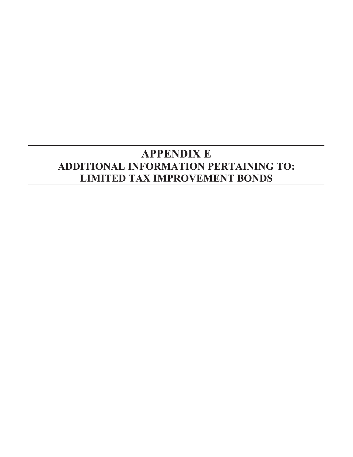# **APPENDIX E ADDITIONAL INFORMATION PERTAINING TO: LIMITED TAX IMPROVEMENT BONDS**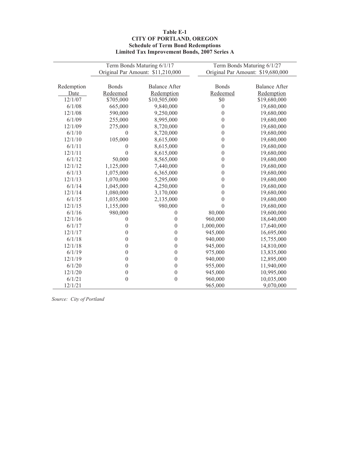# **Table (-1 CITY OF PORTLAND, OREGON Schedule of Term Bond Redemptions Limited Tax Improvement Bonds, 2007 Series A**

|            | Term Bonds Maturing 6/1/17 |                                   |                  | Term Bonds Maturing 6/1/27        |
|------------|----------------------------|-----------------------------------|------------------|-----------------------------------|
|            |                            | Original Par Amount: \$11,210,000 |                  | Original Par Amount: \$19,680,000 |
| Redemption | <b>Bonds</b>               | <b>Balance After</b>              | <b>Bonds</b>     | <b>Balance After</b>              |
| Date       | Redeemed                   | Redemption                        | Redeemed         | Redemption                        |
| 12/1/07    | \$705,000                  | \$10,505,000                      | \$0              | \$19,680,000                      |
| 6/1/08     | 665,000                    | 9,840,000                         | $\boldsymbol{0}$ | 19,680,000                        |
| 12/1/08    | 590,000                    | 9,250,000                         | $\boldsymbol{0}$ | 19,680,000                        |
| 6/1/09     | 255,000                    | 8,995,000                         | $\boldsymbol{0}$ | 19,680,000                        |
| 12/1/09    | 275,000                    | 8,720,000                         | $\boldsymbol{0}$ | 19,680,000                        |
| 6/1/10     | $\overline{0}$             | 8,720,000                         | $\boldsymbol{0}$ | 19,680,000                        |
| 12/1/10    | 105,000                    | 8,615,000                         | $\boldsymbol{0}$ | 19,680,000                        |
| 6/1/11     | $\theta$                   | 8,615,000                         | $\boldsymbol{0}$ | 19,680,000                        |
| 12/1/11    | $\theta$                   | 8,615,000                         | $\boldsymbol{0}$ | 19,680,000                        |
| 6/1/12     | 50,000                     | 8,565,000                         | $\boldsymbol{0}$ | 19,680,000                        |
| 12/1/12    | 1,125,000                  | 7,440,000                         | $\boldsymbol{0}$ | 19,680,000                        |
| 6/1/13     | 1,075,000                  | 6,365,000                         | $\boldsymbol{0}$ | 19,680,000                        |
| 12/1/13    | 1,070,000                  | 5,295,000                         | $\boldsymbol{0}$ | 19,680,000                        |
| 6/1/14     | 1,045,000                  | 4,250,000                         | $\boldsymbol{0}$ | 19,680,000                        |
| 12/1/14    | 1,080,000                  | 3,170,000                         | $\boldsymbol{0}$ | 19,680,000                        |
| 6/1/15     | 1,035,000                  | 2,135,000                         | $\boldsymbol{0}$ | 19,680,000                        |
| 12/1/15    | 1,155,000                  | 980,000                           | $\theta$         | 19,680,000                        |
| 6/1/16     | 980,000                    | $\theta$                          | 80,000           | 19,600,000                        |
| 12/1/16    | $\boldsymbol{0}$           | $\boldsymbol{0}$                  | 960,000          | 18,640,000                        |
| 6/1/17     | $\boldsymbol{0}$           | $\boldsymbol{0}$                  | 1,000,000        | 17,640,000                        |
| 12/1/17    | $\theta$                   | $\mathbf{0}$                      | 945,000          | 16,695,000                        |
| 6/1/18     | $\theta$                   | $\boldsymbol{0}$                  | 940,000          | 15,755,000                        |
| 12/1/18    | $\overline{0}$             | $\boldsymbol{0}$                  | 945,000          | 14,810,000                        |
| 6/1/19     | $\theta$                   | $\boldsymbol{0}$                  | 975,000          | 13,835,000                        |
| 12/1/19    | $\overline{0}$             | $\boldsymbol{0}$                  | 940,000          | 12,895,000                        |
| 6/1/20     | $\boldsymbol{0}$           | $\boldsymbol{0}$                  | 955,000          | 11,940,000                        |
| 12/1/20    | $\overline{0}$             | $\mathbf{0}$                      | 945,000          | 10,995,000                        |
| 6/1/21     | $\mathbf{0}$               | $\mathbf{0}$                      | 960,000          | 10,035,000                        |
| 12/1/21    |                            |                                   | 965,000          | 9,070,000                         |

*Source: City of Portland*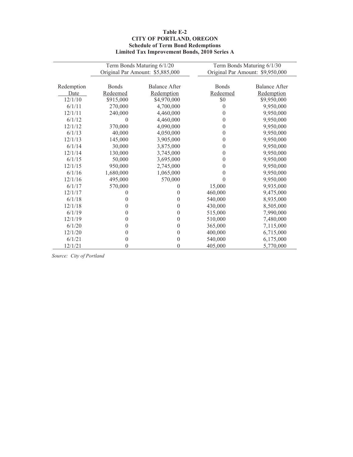# **Table (-2 CITY OF PORTLAND, OREGON Schedule of Term Bond Redemptions Limited Tax Improvement Bonds, 2010 Series A**

|            | Term Bonds Maturing 6/1/20       |                  |                  | Term Bonds Maturing 6/1/30       |
|------------|----------------------------------|------------------|------------------|----------------------------------|
|            | Original Par Amount: \$5,885,000 |                  |                  | Original Par Amount: \$9,950,000 |
|            |                                  |                  |                  |                                  |
| Redemption | <b>Bonds</b>                     | Balance After    | <b>Bonds</b>     | Balance After                    |
| Date       | Redeemed                         | Redemption       | Redeemed         | Redemption                       |
| 12/1/10    | \$915,000                        | \$4,970,000      | \$0              | \$9,950,000                      |
| 6/1/11     | 270,000                          | 4,700,000        | $\overline{0}$   | 9,950,000                        |
| 12/1/11    | 240,000                          | 4,460,000        | $\boldsymbol{0}$ | 9,950,000                        |
| 6/1/12     | $\theta$                         | 4,460,000        | $\boldsymbol{0}$ | 9,950,000                        |
| 12/1/12    | 370,000                          | 4,090,000        | $\theta$         | 9,950,000                        |
| 6/1/13     | 40,000                           | 4,050,000        | $\boldsymbol{0}$ | 9,950,000                        |
| 12/1/13    | 145,000                          | 3,905,000        | $\boldsymbol{0}$ | 9,950,000                        |
| 6/1/14     | 30,000                           | 3,875,000        | $\boldsymbol{0}$ | 9,950,000                        |
| 12/1/14    | 130,000                          | 3,745,000        | $\boldsymbol{0}$ | 9,950,000                        |
| 6/1/15     | 50,000                           | 3,695,000        | $\boldsymbol{0}$ | 9,950,000                        |
| 12/1/15    | 950,000                          | 2,745,000        | $\boldsymbol{0}$ | 9,950,000                        |
| 6/1/16     | 1,680,000                        | 1,065,000        | $\overline{0}$   | 9,950,000                        |
| 12/1/16    | 495,000                          | 570,000          | $\theta$         | 9,950,000                        |
| 6/1/17     | 570,000                          | $\boldsymbol{0}$ | 15,000           | 9,935,000                        |
| 12/1/17    | $\theta$                         | $\boldsymbol{0}$ | 460,000          | 9,475,000                        |
| 6/1/18     | $\theta$                         | $\boldsymbol{0}$ | 540,000          | 8,935,000                        |
| 12/1/18    | $\theta$                         | $\boldsymbol{0}$ | 430,000          | 8,505,000                        |
| 6/1/19     | $\theta$                         | $\boldsymbol{0}$ | 515,000          | 7,990,000                        |
| 12/1/19    | $\theta$                         | $\theta$         | 510,000          | 7,480,000                        |
| 6/1/20     | $\theta$                         | $\boldsymbol{0}$ | 365,000          | 7,115,000                        |
| 12/1/20    | $\boldsymbol{0}$                 | $\boldsymbol{0}$ | 400,000          | 6,715,000                        |
| 6/1/21     | $\theta$                         | $\overline{0}$   | 540,000          | 6,175,000                        |
| 12/1/21    | $\theta$                         | $\boldsymbol{0}$ | 405,000          | 5,770,000                        |

*Source: City of Portland*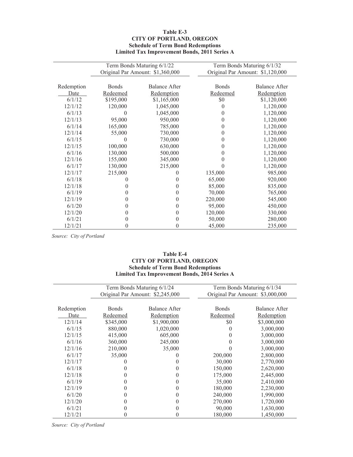# **Table (-3 CITY OF PORTLAND, OREGON Schedule of Term Bond Redemptions Limited Tax Improvement Bonds, 2011 Series A**

|            | Term Bonds Maturing 6/1/22       |                  |                | Term Bonds Maturing 6/1/32       |
|------------|----------------------------------|------------------|----------------|----------------------------------|
|            | Original Par Amount: \$1,360,000 |                  |                | Original Par Amount: \$1,120,000 |
|            |                                  |                  |                |                                  |
| Redemption | <b>Bonds</b>                     | Balance After    | <b>Bonds</b>   | <b>Balance After</b>             |
| Date       | Redeemed                         | Redemption       | Redeemed       | Redemption                       |
| 6/1/12     | \$195,000                        | \$1,165,000      | \$0            | \$1,120,000                      |
| 12/1/12    | 120,000                          | 1,045,000        | 0              | 1,120,000                        |
| 6/1/13     | 0                                | 1,045,000        | 0              | 1,120,000                        |
| 12/1/13    | 95,000                           | 950,000          | 0              | 1,120,000                        |
| 6/1/14     | 165,000                          | 785,000          | 0              | 1,120,000                        |
| 12/1/14    | 55,000                           | 730,000          | $\theta$       | 1,120,000                        |
| 6/1/15     | 0                                | 730,000          | $\theta$       | 1,120,000                        |
| 12/1/15    | 100,000                          | 630,000          | $\theta$       | 1,120,000                        |
| 6/1/16     | 130,000                          | 500,000          | $\overline{0}$ | 1,120,000                        |
| 12/1/16    | 155,000                          | 345,000          | 0              | 1,120,000                        |
| 6/1/17     | 130,000                          | 215,000          | 0              | 1,120,000                        |
| 12/1/17    | 215,000                          | 0                | 135,000        | 985,000                          |
| 6/1/18     | 0                                | 0                | 65,000         | 920,000                          |
| 12/1/18    | $\theta$                         | 0                | 85,000         | 835,000                          |
| 6/1/19     | 0                                | 0                | 70,000         | 765,000                          |
| 12/1/19    | $\theta$                         | $\overline{0}$   | 220,000        | 545,000                          |
| 6/1/20     | $\overline{0}$                   | 0                | 95,000         | 450,000                          |
| 12/1/20    | 0                                | 0                | 120,000        | 330,000                          |
| 6/1/21     | $\overline{0}$                   | $\boldsymbol{0}$ | 50,000         | 280,000                          |
| 12/1/21    | 0                                | 0                | 45,000         | 235,000                          |

*Source: City of Portland* 

# **Table (-4 CITY OF PORTLAND, OREGON Schedule of Term Bond Redemptions Limited Tax Improvement Bonds, 2014 Series A**

|            | Term Bonds Maturing 6/1/24       |               |              | Term Bonds Maturing 6/1/34       |
|------------|----------------------------------|---------------|--------------|----------------------------------|
|            | Original Par Amount: \$2,245,000 |               |              | Original Par Amount: \$3,000,000 |
|            |                                  |               |              |                                  |
| Redemption | <b>Bonds</b>                     | Balance After | <b>Bonds</b> | Balance After                    |
| Date       | Redeemed                         | Redemption    | Redeemed     | Redemption                       |
| 12/1/14    | \$345,000                        | \$1,900,000   | \$0          | \$3,000,000                      |
| 6/1/15     | 880,000                          | 1,020,000     | $\theta$     | 3,000,000                        |
| 12/1/15    | 415,000                          | 605,000       | $\theta$     | 3,000,000                        |
| 6/1/16     | 360,000                          | 245,000       | $\theta$     | 3,000,000                        |
| 12/1/16    | 210,000                          | 35,000        |              | 3,000,000                        |
| 6/1/17     | 35,000                           |               | 200,000      | 2,800,000                        |
| 12/1/17    |                                  |               | 30,000       | 2,770,000                        |
| 6/1/18     |                                  | 0             | 150,000      | 2,620,000                        |
| 12/1/18    |                                  | 0             | 175,000      | 2,445,000                        |
| 6/1/19     | $\theta$                         | 0             | 35,000       | 2,410,000                        |
| 12/1/19    | $\theta$                         | 0             | 180,000      | 2,230,000                        |
| 6/1/20     |                                  | 0             | 240,000      | 1,990,000                        |
| 12/1/20    |                                  | 0             | 270,000      | 1,720,000                        |
| 6/1/21     | $\theta$                         | 0             | 90,000       | 1,630,000                        |
| 12/1/21    | 0                                | 0             | 180,000      | 1,450,000                        |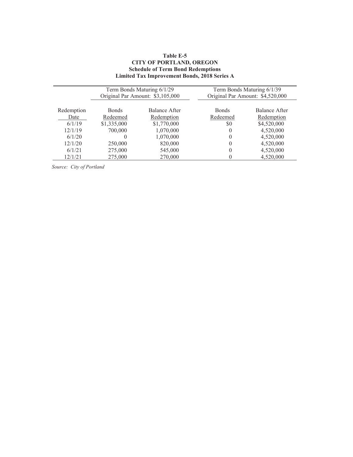# **Table (-5 CITY OF PORTLAND, OREGON Schedule of Term Bond Redemptions Limited Tax Improvement Bonds, 2018 Series A**

|            | Term Bonds Maturing 6/1/29<br>Original Par Amount: \$3,105,000 |               | Term Bonds Maturing 6/1/39<br>Original Par Amount: \$4,520,000 |               |  |
|------------|----------------------------------------------------------------|---------------|----------------------------------------------------------------|---------------|--|
| Redemption | <b>Bonds</b>                                                   | Balance After | <b>Bonds</b>                                                   | Balance After |  |
| Date       | Redeemed                                                       | Redemption    | Redeemed                                                       | Redemption    |  |
| 6/1/19     | \$1,335,000                                                    | \$1,770,000   | \$0                                                            | \$4,520,000   |  |
| 12/1/19    | 700,000                                                        | 1,070,000     | $\theta$                                                       | 4,520,000     |  |
| 6/1/20     | $\theta$                                                       | 1,070,000     | 0                                                              | 4,520,000     |  |
| 12/1/20    | 250,000                                                        | 820,000       | 0                                                              | 4,520,000     |  |
| 6/1/21     | 275,000                                                        | 545,000       | $\theta$                                                       | 4,520,000     |  |
| 12/1/21    | 275,000                                                        | 270,000       | $\theta$                                                       | 4,520,000     |  |

*Source: City of Portland*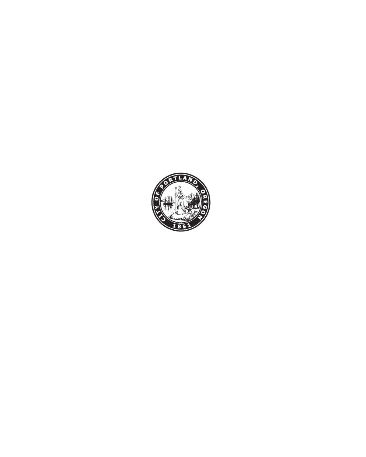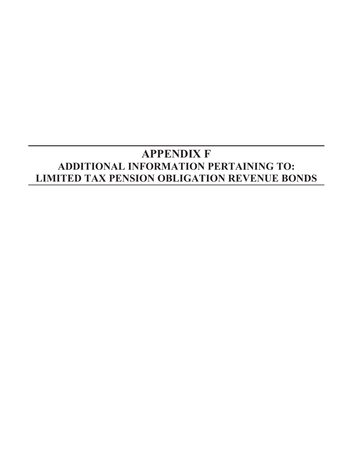## **APPENDIX F ADDITIONAL INFORMATION PERTAINING TO: LIMITED TAX PENSION OBLIGATION REVENUE BONDS**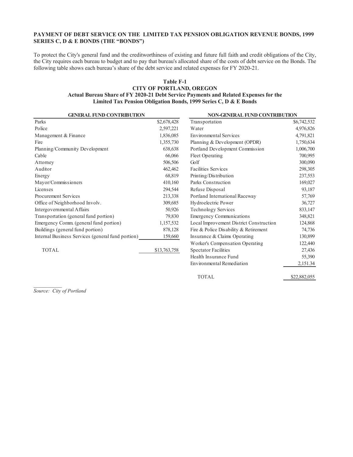## **PAYMENT OF DEBT SERVICE ON THE LIMITED TAX PENSION OBLIGATION REVENUE BONDS, 1999 SERIES C, D & E BONDS (THE "BONDS")**

To protect the City's general fund and the creditworthiness of existing and future full faith and credit obligations of the City, the City requires each bureau to budget and to pay that bureau's allocated share of the costs of debt service on the Bonds. The following table shows each bureau's share of the debt service and related expenses for FY 2020-21.

## **Table )-1 CITY OF PORTLAND, OREGON Actual Bureau Share of FY 2020-21 Debt Service Payments and Related Expenses for the Limited Tax Pension Obligation Bonds, 1999 Series C, D & E Bonds**

| <b>GENERAL FUND CONTRIBUTION</b>                  |              | <b>NON-GENERAL FUND CONTRIBUTION</b>    |             |
|---------------------------------------------------|--------------|-----------------------------------------|-------------|
| Parks                                             | \$2,678,428  | Transportation                          | \$6,742,532 |
| Police                                            | 2,597,221    | Water                                   | 4,976,826   |
| Management & Finance                              | 1,836,085    | <b>Environmental Services</b>           | 4,791,821   |
| Fire                                              | 1,355,730    | Planning & Development (OPDR)           | 1,750,634   |
| Planning/Community Development                    | 638,638      | Portland Development Commission         | 1,006,700   |
| Cable                                             | 66,066       | Fleet Operating                         | 700,995     |
| Attorney                                          | 506,506      | Golf                                    | 300,090     |
| Auditor                                           | 462,462      | <b>Facilities Services</b>              | 298,305     |
| Energy                                            | 68,819       | Printing/Distribution                   | 237,553     |
| Mayor/Commissioners                               | 410,160      | Parks Construction                      | 169,027     |
| Licenses                                          | 294,544      | Refuse Disposal                         | 93,187      |
| Procurement Services                              | 213,338      | Portland International Raceway          | 57,769      |
| Office of Neighborhood Involv.                    | 309,685      | Hydroelectric Power                     | 36,727      |
| Intergovernmental Affairs                         | 50,926       | <b>Technology Services</b>              | 833,147     |
| Transportation (general fund portion)             | 79,830       | <b>Emergency Communications</b>         | 348,821     |
| Emergency Comm. (general fund portion)            | 1,157,532    | Local Improvement District Construction | 124,868     |
| Buildings (general fund portion)                  | 878,128      | Fire & Police Disability & Retirement   | 74,736      |
| Internal Business Services (general fund portion) | 159,660      | Insurance & Claims Operating            | 130,899     |
|                                                   |              | Worker's Compensation Operating         | 122,440     |
| <b>TOTAL</b>                                      | \$13,763,758 | <b>Spectator Facilities</b>             | 27,436      |
|                                                   |              | Health Insurance Fund                   | 55,390      |
|                                                   |              | <b>Environmental Remediation</b>        | 2,151.34    |
|                                                   |              |                                         |             |

TOTAL \$22,882,055

*Source: City of Portland*